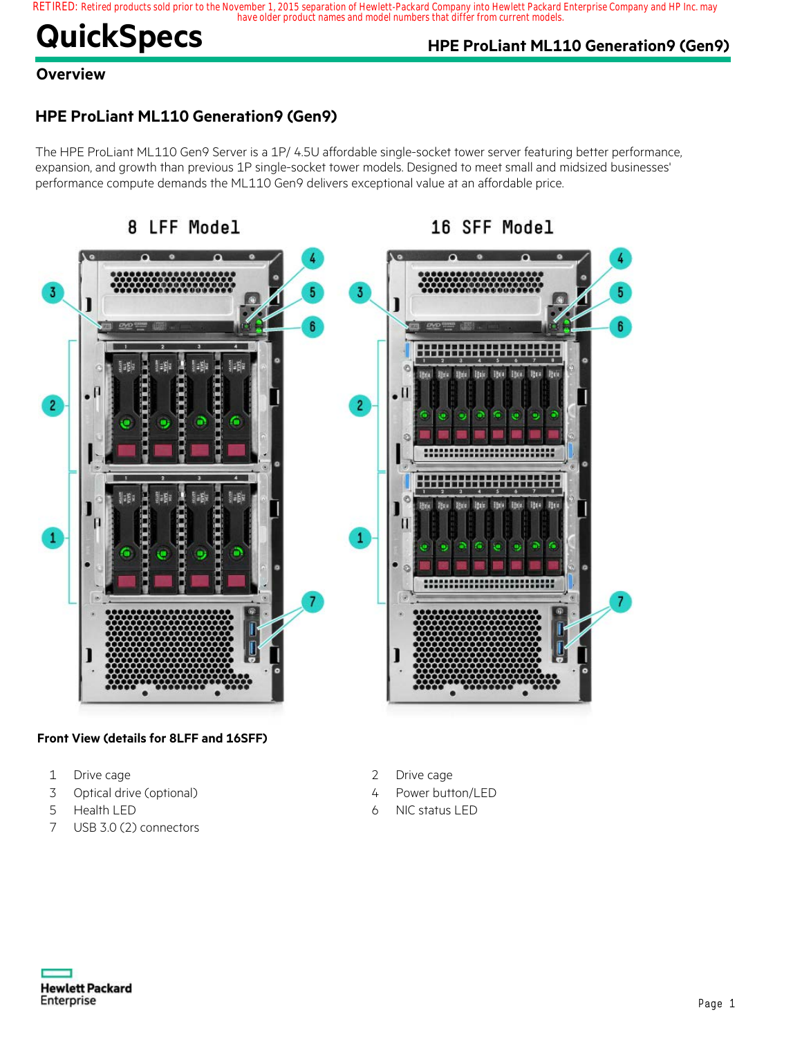### RETIRED: Retired products sold prior to the November 1, 2015 separation of Hewlett-Packard Company into Hewlett Packard Enterprise Company and HP Inc. may<br>have older product names and model numbers that differ from current

# **QuickSpecs HPE ProLiant ML110 Generation9 (Gen9)**

16 SFF Model

### **Overview**

### **HPE ProLiant ML110 Generation9 (Gen9)**

The HPE ProLiant ML110 Gen9 Server is a 1P/ 4.5U affordable single-socket tower server featuring better performance, expansion, and growth than previous 1P single-socket tower models. Designed to meet small and midsized businesses' performance compute demands the ML110 Gen9 delivers exceptional value at an affordable price.

8 LFF Model



#### **Front View (details for 8LFF and 16SFF)**

- 1 Drive cage
- 3 Optical drive (optional)
- 5 Health LED
- 7 USB 3.0 (2) connectors
- 2 Drive cage
- 4 Power button/LED
- 6 NIC status LED

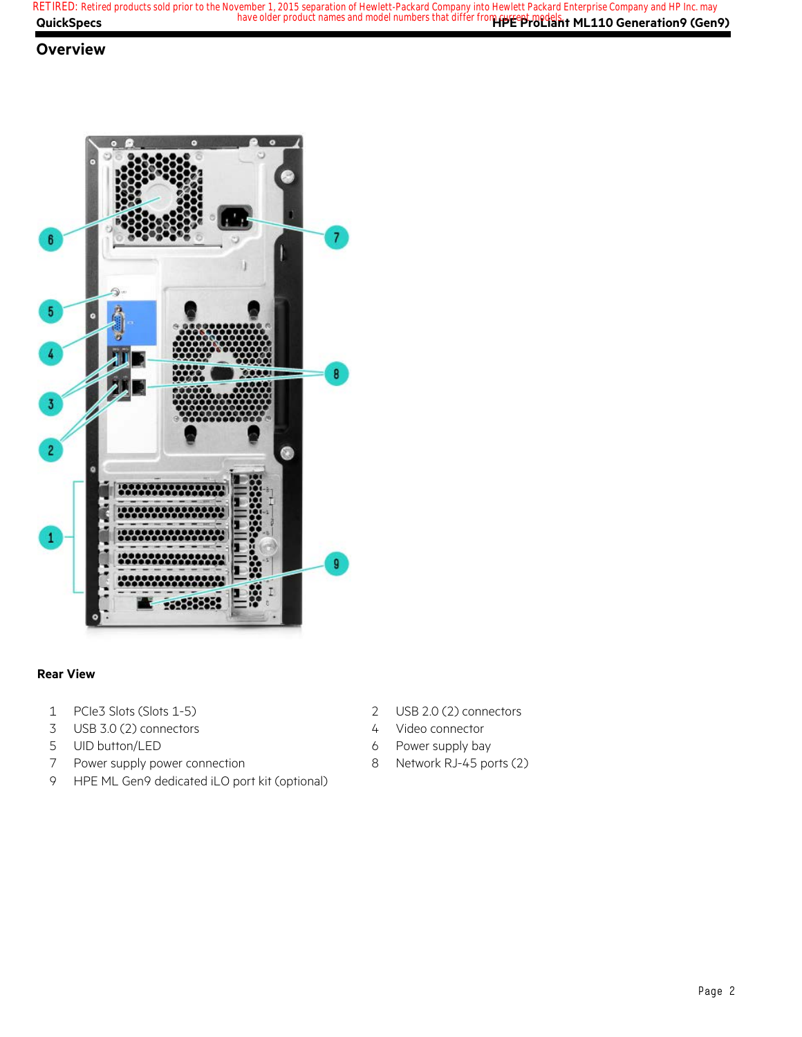#### **Overview**



#### **Rear View**

- PCIe3 Slots (Slots 1-5)
- USB 3.0 (2) connectors
- UID button/LED
- Power supply power connection
- HPE ML Gen9 dedicated iLO port kit (optional)
- USB 2.0 (2) connectors
- Video connector
- Power supply bay
- Network RJ-45 ports (2)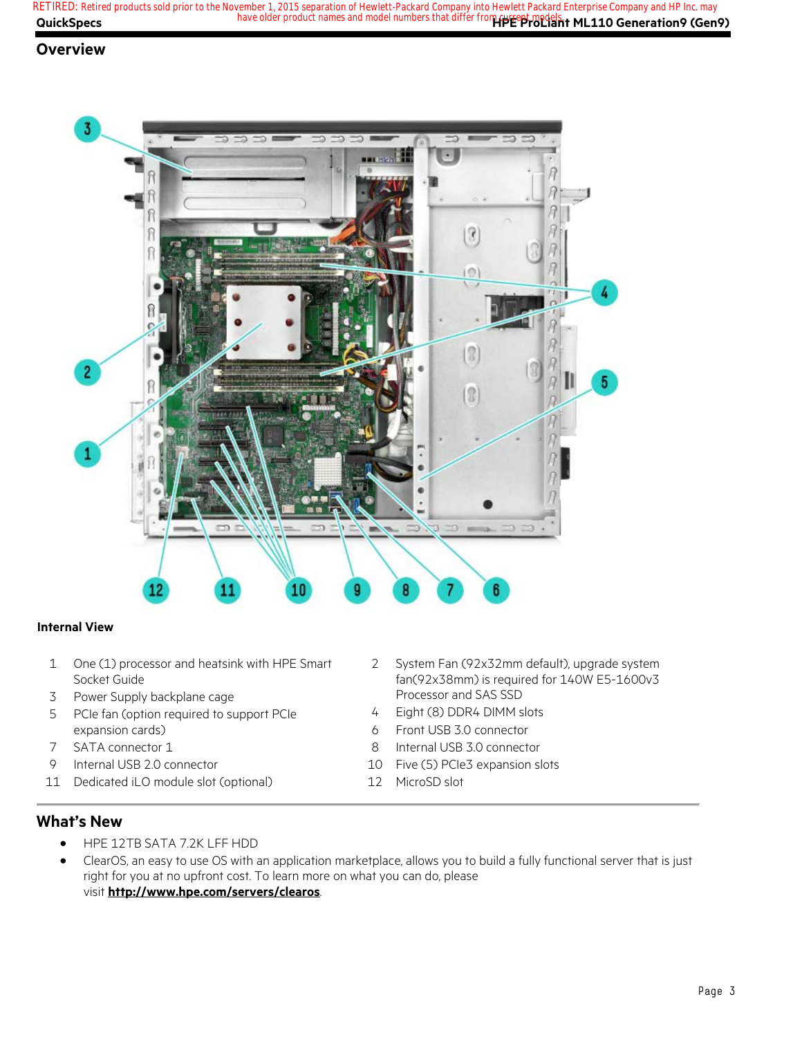**QuickSpecs Here are all of the same of the product names and model numbers that differ from <b>current models**. ML110 Generation9 (Gen9) **RETIRED: Retired products sold prior to the November 1, 2015 separation of Hewlett-Packard Company into Hewlett Packard Enterprise Company and HP Inc. may**

#### **Overview**



#### **Internal View**

- 1 One (1) processor and heatsink with HPE Smart Socket Guide
- 3 Power Supply backplane cage
- 5 PCIe fan (option required to support PCIe expansion cards)
- 7 SATA connector 1
- 9 Internal USB 2.0 connector
- 11 Dedicated iLO module slot (optional)
- 2 System Fan (92x32mm default), upgrade system fan(92x38mm) is required for 140W E5-1600v3 Processor and SAS SSD
- 4 Eight (8) DDR4 DIMM slots
- 6 Front USB 3.0 connector
- 8 Internal USB 3.0 connector
- 10 Five (5) PCIe3 expansion slots
- 12 MicroSD slot

#### **What's New**

- HPE 12TB SATA 7.2K LFF HDD
- ClearOS, an easy to use OS with an application marketplace, allows you to build a fully functional server that is just right for you at no upfront cost. To learn more on what you can do, please visit **http://www.hpe.com/servers/clearos**.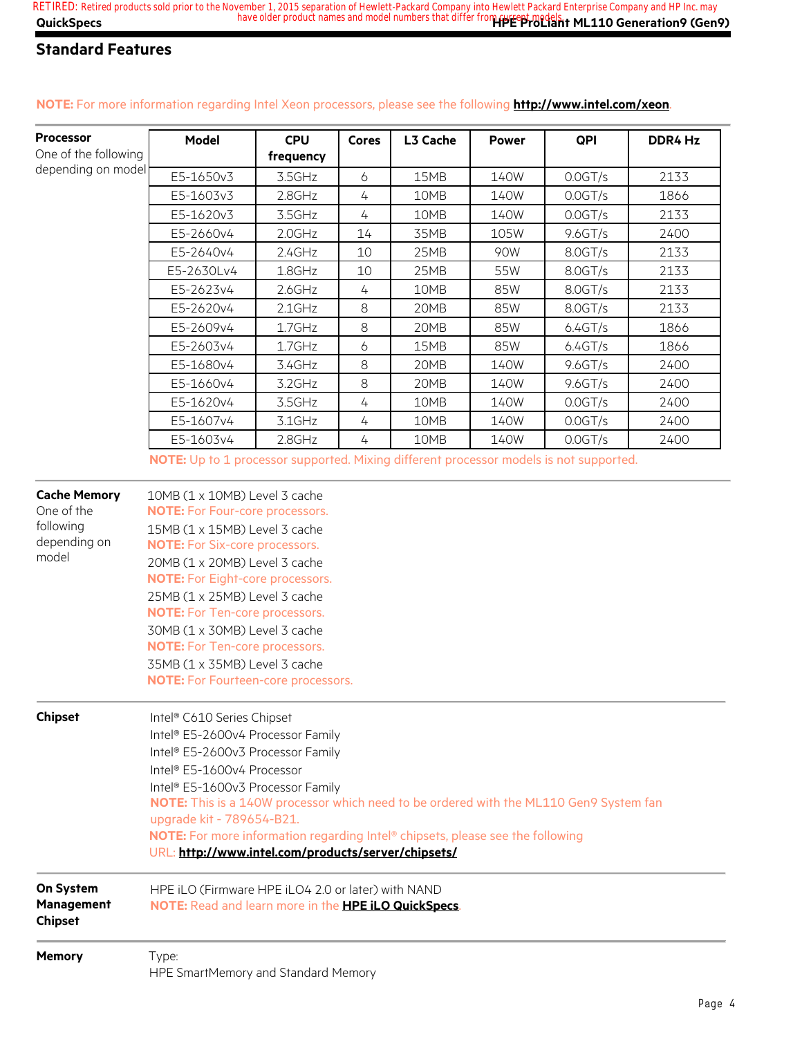| <b>Processor</b>     | Model      | <b>CPU</b> | <b>Cores</b> | L3 Cache | <b>Power</b> | QPI        | DDR4 Hz |
|----------------------|------------|------------|--------------|----------|--------------|------------|---------|
| One of the following |            | frequency  |              |          |              |            |         |
| depending on model   | E5-1650v3  | 3.5GHz     | 6            | 15MB     | 140W         | $0.0$ GT/s | 2133    |
|                      | E5-1603v3  | 2.8GHz     | 4            | 10MB     | 140W         | $0.0$ GT/s | 1866    |
|                      | E5-1620v3  | 3.5GHz     | 4            | 10MB     | 140W         | $0.0$ GT/s | 2133    |
|                      | E5-2660v4  | $2.0$ GHz  | 14           | 35MB     | 105W         | $9.6$ GT/s | 2400    |
|                      | E5-2640v4  | $2.4$ GHz  | 10           | 25MB     | 90W          | 8.0 GT/s   | 2133    |
|                      | E5-2630Lv4 | 1.8GHz     | 10           | 25MB     | 55W          | 8.0GT/s    | 2133    |
|                      | E5-2623v4  | $2.6$ GHz  | 4            | 10MB     | 85W          | $8.0$ GT/s | 2133    |
|                      | E5-2620v4  | $2.1$ GHz  | 8            | 20MB     | 85W          | 8.0GT/s    | 2133    |
|                      | E5-2609v4  | $1.7$ GHz  | 8            | 20MB     | 85W          | 6.4GT/s    | 1866    |
|                      | E5-2603v4  | $1.7$ GHz  | 6            | 15MB     | 85W          | 6.4GT/s    | 1866    |
|                      | E5-1680v4  | $3.4$ GHz  | 8            | 20MB     | 140W         | $9.6$ GT/s | 2400    |
|                      | E5-1660v4  | 3.2GHz     | 8            | 20MB     | 140W         | $9.6$ GT/s | 2400    |
|                      | E5-1620v4  | 3.5GHz     | 4            | 10MB     | 140W         | $0.0$ GT/s | 2400    |
|                      | E5-1607v4  | $3.1$ GHz  | 4            | 10MB     | 140W         | $0.0$ GT/s | 2400    |
|                      | E5-1603v4  | 2.8GHz     | 4            | 10MB     | 140W         | $0.0$ GT/s | 2400    |

#### **NOTE:** For more information regarding Intel Xeon processors, please see the following **http://www.intel.com/xeon**.

**NOTE:** Up to 1 processor supported. Mixing different processor models is not supported.

| <b>Cache Memory</b><br>One of the<br>following<br>depending on<br>model | $10MB(1 \times 10MB)$ Level 3 cache<br><b>NOTE:</b> For Four-core processors.<br>15MB (1 x 15MB) Level 3 cache<br><b>NOTE:</b> For Six-core processors.<br>20MB (1 x 20MB) Level 3 cache<br><b>NOTE:</b> For Eight-core processors.<br>25MB (1 x 25MB) Level 3 cache<br><b>NOTE:</b> For Ten-core processors.<br>30MB (1 x 30MB) Level 3 cache<br><b>NOTE:</b> For Ten-core processors.<br>35MB (1 x 35MB) Level 3 cache<br><b>NOTE:</b> For Fourteen-core processors. |
|-------------------------------------------------------------------------|------------------------------------------------------------------------------------------------------------------------------------------------------------------------------------------------------------------------------------------------------------------------------------------------------------------------------------------------------------------------------------------------------------------------------------------------------------------------|
| <b>Chipset</b>                                                          | Intel® C610 Series Chipset<br>Intel® E5-2600v4 Processor Family<br>Intel® E5-2600v3 Processor Family<br>Intel® E5-1600v4 Processor<br>Intel® E5-1600v3 Processor Family<br><b>NOTE:</b> This is a 140W processor which need to be ordered with the ML110 Gen9 System fan<br>upgrade kit - 789654-B21.<br>NOTE: For more information regarding Intel® chipsets, please see the following<br>URL: http://www.intel.com/products/server/chipsets/                         |
| On System<br>Management<br><b>Chipset</b>                               | HPE iLO (Firmware HPE iLO4 2.0 or later) with NAND<br>NOTE: Read and learn more in the HPE iLO QuickSpecs.                                                                                                                                                                                                                                                                                                                                                             |
| <b>Memory</b>                                                           | Type:<br>HPE SmartMemory and Standard Memory                                                                                                                                                                                                                                                                                                                                                                                                                           |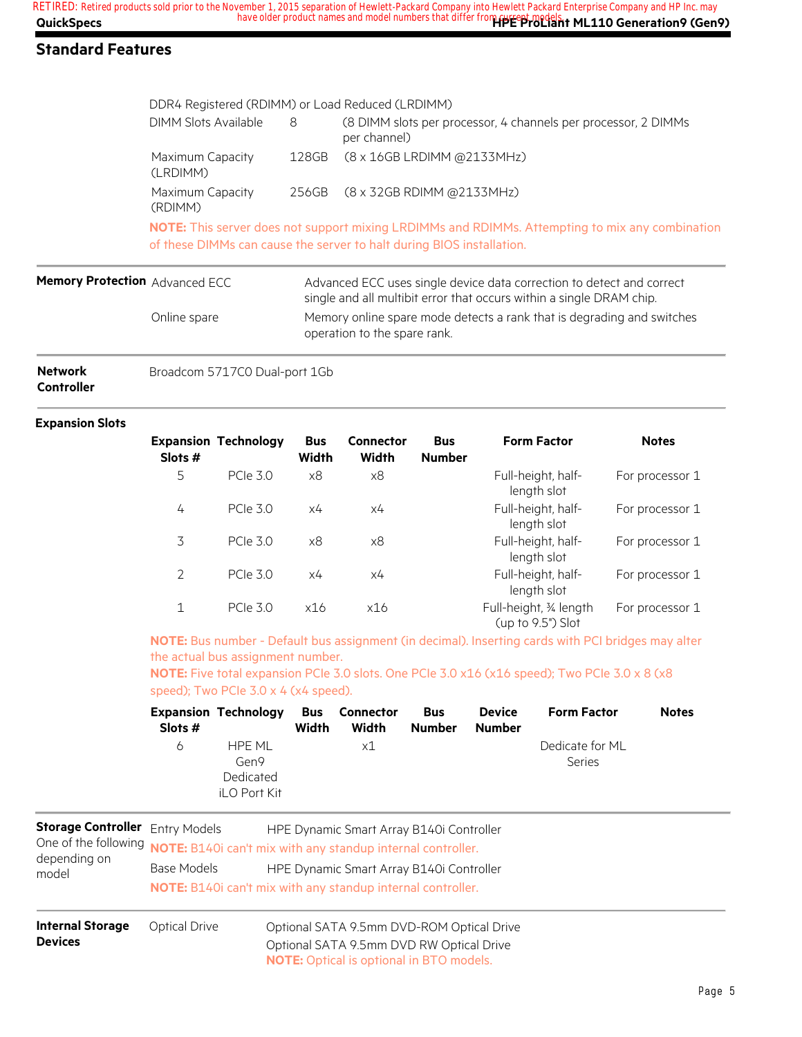|                                | DDR4 Registered (RDIMM) or Load Reduced (LRDIMM)                                                                       |       |                                                                                                                                                                                 |  |  |  |
|--------------------------------|------------------------------------------------------------------------------------------------------------------------|-------|---------------------------------------------------------------------------------------------------------------------------------------------------------------------------------|--|--|--|
|                                | DIMM Slots Available                                                                                                   | 8     | (8 DIMM slots per processor, 4 channels per processor, 2 DIMMs<br>per channel)                                                                                                  |  |  |  |
|                                | Maximum Capacity<br>(LRDIMM)                                                                                           | 128GB | $(8 \times 16$ GB LRDIMM @2133MHz)                                                                                                                                              |  |  |  |
|                                | Maximum Capacity<br>(RDIMM)                                                                                            | 256GB | (8 x 32GB RDIMM @2133MHz)                                                                                                                                                       |  |  |  |
|                                |                                                                                                                        |       | <b>NOTE:</b> This server does not support mixing LRDIMMs and RDIMMs. Attempting to mix any combination<br>of these DIMMs can cause the server to halt during BIOS installation. |  |  |  |
| Memory Protection Advanced ECC |                                                                                                                        |       | Advanced ECC uses single device data correction to detect and correct<br>single and all multibit error that occurs within a single DRAM chip.                                   |  |  |  |
|                                | Memory online spare mode detects a rank that is degrading and switches<br>Online spare<br>operation to the spare rank. |       |                                                                                                                                                                                 |  |  |  |
|                                |                                                                                                                        |       |                                                                                                                                                                                 |  |  |  |

| <b>Network</b>    | Broadcom 5717C0 Dual-port 1Gb |
|-------------------|-------------------------------|
| <b>Controller</b> |                               |

#### **Expansion Slots**

| Slots #      | <b>Expansion Technology</b> | <b>Bus</b><br>Width | Connector<br>Width | <b>Bus</b><br><b>Number</b> | <b>Form Factor</b>                          | <b>Notes</b>    |
|--------------|-----------------------------|---------------------|--------------------|-----------------------------|---------------------------------------------|-----------------|
| 5            | <b>PCIe 3.0</b>             | x8                  | x8                 |                             | Full-height, half-<br>length slot           | For processor 1 |
| 4            | <b>PCIe 3.0</b>             | х4                  | x4                 |                             | Full-height, half-<br>length slot           | For processor 1 |
| 3            | PCIe 30                     | x8                  | x8                 |                             | Full-height, half-<br>length slot           | For processor 1 |
| 2            | PCIe 30                     | x4                  | x4                 |                             | Full-height, half-<br>length slot           | For processor 1 |
| $\mathbf{1}$ | <b>PCIe 3.0</b>             | x16                 | x16                |                             | Full-height, 34 length<br>(up to 9.5") Slot | For processor 1 |

**NOTE:** Bus number - Default bus assignment (in decimal). Inserting cards with PCI bridges may alter the actual bus assignment number.

**NOTE:** Five total expansion PCIe 3.0 slots. One PCIe 3.0 x16 (x16 speed); Two PCIe 3.0 x 8 (x8 speed); Two PCIe 3.0 x 4 (x4 speed).

| Slots # | <b>Expansion Technology</b>                 | Width | <b>Bus</b> Connector<br>Width | <b>Bus</b><br><b>Number</b> | <b>Device</b><br><b>Number</b> | <b>Form Factor</b>        | <b>Notes</b> |
|---------|---------------------------------------------|-------|-------------------------------|-----------------------------|--------------------------------|---------------------------|--------------|
| 6       | HPF MI<br>Gen9<br>Dedicated<br>iLO Port Kit |       | x1                            |                             |                                | Dedicate for ML<br>Series |              |

| <b>Storage Controller</b> Entry Models<br>depending on<br>model | HPE Dynamic Smart Array B140i Controller<br>One of the following <b>NOTE:</b> B140i can't mix with any standup internal controller.<br>Base Models<br>HPE Dynamic Smart Array B140i Controller |                                                                                                                                          |  |  |  |
|-----------------------------------------------------------------|------------------------------------------------------------------------------------------------------------------------------------------------------------------------------------------------|------------------------------------------------------------------------------------------------------------------------------------------|--|--|--|
|                                                                 | <b>NOTE:</b> B140i can't mix with any standup internal controller.                                                                                                                             |                                                                                                                                          |  |  |  |
| <b>Internal Storage</b><br><b>Devices</b>                       | Optical Drive                                                                                                                                                                                  | Optional SATA 9.5mm DVD-ROM Optical Drive<br>Optional SATA 9.5mm DVD RW Optical Drive<br><b>NOTE:</b> Optical is optional in BTO models. |  |  |  |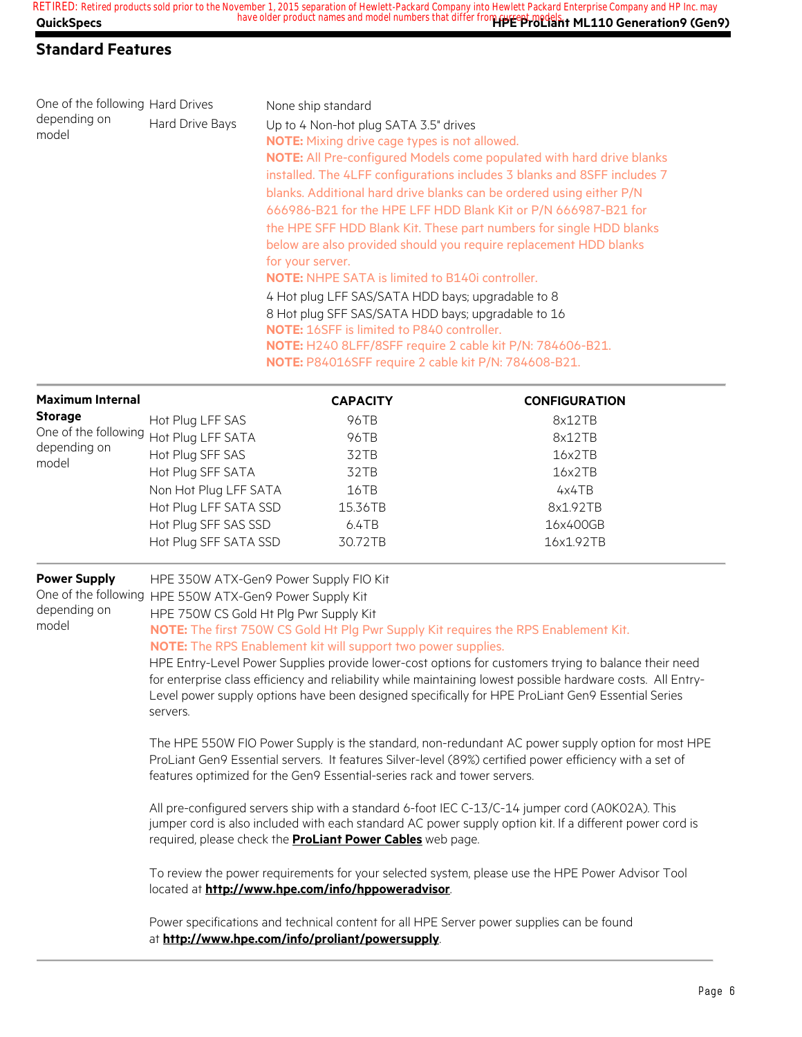| One of the following Hard Drives |                                                                                                               | None ship standard                                                       |                                                                                                              |  |  |  |  |
|----------------------------------|---------------------------------------------------------------------------------------------------------------|--------------------------------------------------------------------------|--------------------------------------------------------------------------------------------------------------|--|--|--|--|
| depending on                     | Hard Drive Bays<br>Up to 4 Non-hot plug SATA 3.5" drives                                                      |                                                                          |                                                                                                              |  |  |  |  |
| model                            |                                                                                                               | <b>NOTE:</b> Mixing drive cage types is not allowed.                     |                                                                                                              |  |  |  |  |
|                                  |                                                                                                               |                                                                          | NOTE: All Pre-configured Models come populated with hard drive blanks                                        |  |  |  |  |
|                                  |                                                                                                               |                                                                          | installed. The 4LFF configurations includes 3 blanks and 8SFF includes 7                                     |  |  |  |  |
|                                  |                                                                                                               |                                                                          | blanks. Additional hard drive blanks can be ordered using either P/N                                         |  |  |  |  |
|                                  |                                                                                                               |                                                                          | 666986-B21 for the HPE LFF HDD Blank Kit or P/N 666987-B21 for                                               |  |  |  |  |
|                                  |                                                                                                               |                                                                          | the HPE SFF HDD Blank Kit. These part numbers for single HDD blanks                                          |  |  |  |  |
|                                  |                                                                                                               |                                                                          | below are also provided should you require replacement HDD blanks                                            |  |  |  |  |
|                                  |                                                                                                               | for your server.                                                         |                                                                                                              |  |  |  |  |
|                                  |                                                                                                               | <b>NOTE:</b> NHPE SATA is limited to B140i controller.                   |                                                                                                              |  |  |  |  |
|                                  |                                                                                                               | 4 Hot plug LFF SAS/SATA HDD bays; upgradable to 8                        |                                                                                                              |  |  |  |  |
|                                  |                                                                                                               | 8 Hot plug SFF SAS/SATA HDD bays; upgradable to 16                       |                                                                                                              |  |  |  |  |
|                                  |                                                                                                               | NOTE: 16SFF is limited to P840 controller.                               |                                                                                                              |  |  |  |  |
|                                  |                                                                                                               |                                                                          | NOTE: H240 8LFF/8SFF require 2 cable kit P/N: 784606-B21.                                                    |  |  |  |  |
|                                  |                                                                                                               | NOTE: P84016SFF require 2 cable kit P/N: 784608-B21.                     |                                                                                                              |  |  |  |  |
| <b>Maximum Internal</b>          |                                                                                                               | <b>CAPACITY</b>                                                          | <b>CONFIGURATION</b>                                                                                         |  |  |  |  |
| <b>Storage</b>                   | Hot Plug LFF SAS                                                                                              | 96TB                                                                     | 8x12TB                                                                                                       |  |  |  |  |
| One of the following             | Hot Plug LFF SATA                                                                                             | 96TB                                                                     | 8x12TB                                                                                                       |  |  |  |  |
| depending on<br>model            | Hot Plug SFF SAS                                                                                              | 32TB                                                                     | 16x2TB                                                                                                       |  |  |  |  |
|                                  | Hot Plug SFF SATA                                                                                             | 32TB                                                                     | 16x2TB                                                                                                       |  |  |  |  |
|                                  | Non Hot Plug LFF SATA                                                                                         | 16TB                                                                     | 4x4TB                                                                                                        |  |  |  |  |
|                                  | Hot Plug LFF SATA SSD                                                                                         | 15.36TB                                                                  | 8x1.92TB                                                                                                     |  |  |  |  |
|                                  | Hot Plug SFF SAS SSD                                                                                          | 6.4TB                                                                    | 16x400GB                                                                                                     |  |  |  |  |
|                                  | Hot Plug SFF SATA SSD                                                                                         | 30.72TB                                                                  | 16x1.92TB                                                                                                    |  |  |  |  |
| <b>Power Supply</b>              | HPE 350W ATX-Gen9 Power Supply FIO Kit                                                                        |                                                                          |                                                                                                              |  |  |  |  |
|                                  | One of the following HPE 550W ATX-Gen9 Power Supply Kit                                                       |                                                                          |                                                                                                              |  |  |  |  |
| depending on                     | HPE 750W CS Gold Ht Plg Pwr Supply Kit                                                                        |                                                                          |                                                                                                              |  |  |  |  |
| model                            | NOTE: The first 750W CS Gold Ht Plg Pwr Supply Kit requires the RPS Enablement Kit.                           |                                                                          |                                                                                                              |  |  |  |  |
|                                  | NOTE: The RPS Enablement kit will support two power supplies.                                                 |                                                                          |                                                                                                              |  |  |  |  |
|                                  | HPE Entry-Level Power Supplies provide lower-cost options for customers trying to balance their need          |                                                                          |                                                                                                              |  |  |  |  |
|                                  |                                                                                                               |                                                                          | for enterprise class efficiency and reliability while maintaining lowest possible hardware costs. All Entry- |  |  |  |  |
|                                  | Level power supply options have been designed specifically for HPE ProLiant Gen9 Essential Series<br>servers. |                                                                          |                                                                                                              |  |  |  |  |
|                                  | The HPE 550W FIO Power Supply is the standard, non-redundant AC power supply option for most HPE              |                                                                          |                                                                                                              |  |  |  |  |
|                                  |                                                                                                               |                                                                          | ProLiant Gen9 Essential servers. It features Silver-level (89%) certified power efficiency with a set of     |  |  |  |  |
|                                  |                                                                                                               | features optimized for the Gen9 Essential-series rack and tower servers. |                                                                                                              |  |  |  |  |
|                                  | All pre-configured servers ship with a standard 6-foot IEC C-13/C-14 jumper cord (AOKO2A). This               |                                                                          |                                                                                                              |  |  |  |  |

jumper cord is also included with each standard AC power supply option kit. If a different power cord is required, please check the **ProLiant Power Cables** web page.

To review the power requirements for your selected system, please use the HPE Power Advisor Tool located at **http://www.hpe.com/info/hppoweradvisor**.

Power specifications and technical content for all HPE Server power supplies can be found at **http://www.hpe.com/info/proliant/powersupply**.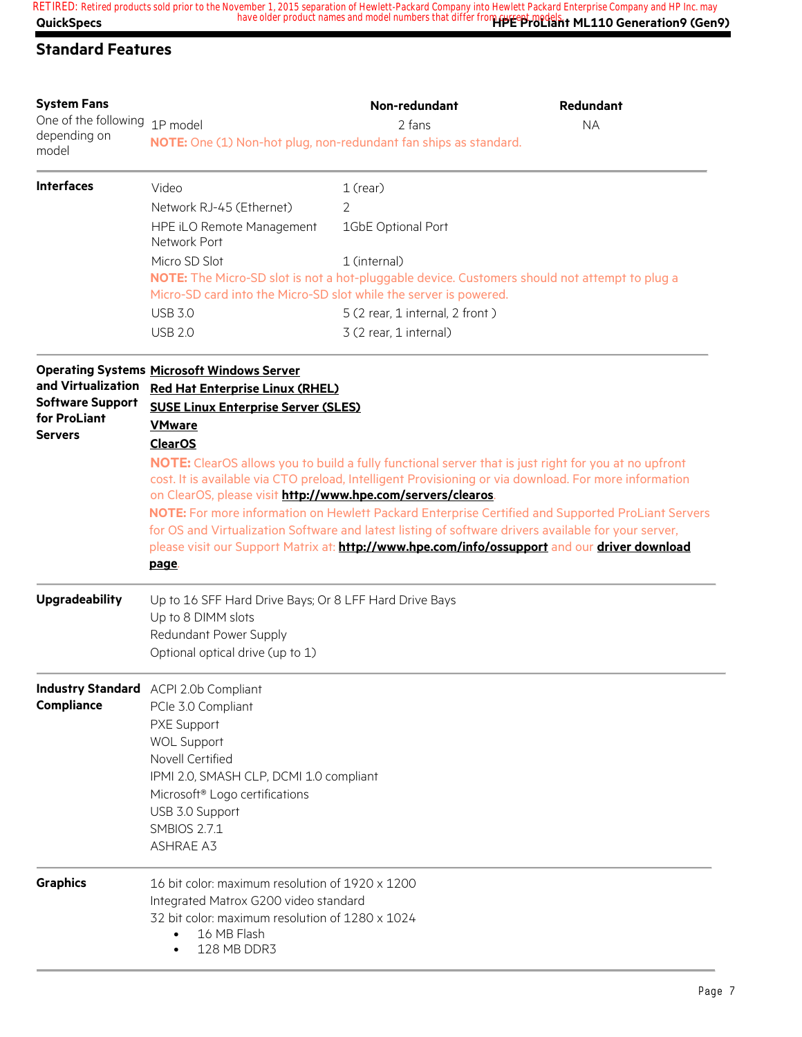| <b>System Fans</b><br>One of the following                                      | 1P model                                                                                                                                                                                                                                                                           | Non-redundant<br>2 fans                                   | Redundant<br><b>NA</b>                                                                                                                                                                                                                                                                                                                                                                                                                                                                                                      |  |  |  |
|---------------------------------------------------------------------------------|------------------------------------------------------------------------------------------------------------------------------------------------------------------------------------------------------------------------------------------------------------------------------------|-----------------------------------------------------------|-----------------------------------------------------------------------------------------------------------------------------------------------------------------------------------------------------------------------------------------------------------------------------------------------------------------------------------------------------------------------------------------------------------------------------------------------------------------------------------------------------------------------------|--|--|--|
| depending on<br>model                                                           | NOTE: One (1) Non-hot plug, non-redundant fan ships as standard.                                                                                                                                                                                                                   |                                                           |                                                                                                                                                                                                                                                                                                                                                                                                                                                                                                                             |  |  |  |
| <b>Interfaces</b>                                                               | Video<br>Network RJ-45 (Ethernet)                                                                                                                                                                                                                                                  | $1$ (rear)<br>2                                           |                                                                                                                                                                                                                                                                                                                                                                                                                                                                                                                             |  |  |  |
|                                                                                 | HPE iLO Remote Management<br>Network Port                                                                                                                                                                                                                                          | 1GbE Optional Port                                        |                                                                                                                                                                                                                                                                                                                                                                                                                                                                                                                             |  |  |  |
|                                                                                 | Micro SD Slot<br>Micro-SD card into the Micro-SD slot while the server is powered.                                                                                                                                                                                                 | 1 (internal)                                              | NOTE: The Micro-SD slot is not a hot-pluggable device. Customers should not attempt to plug a                                                                                                                                                                                                                                                                                                                                                                                                                               |  |  |  |
|                                                                                 | <b>USB 3.0</b><br><b>USB 2.0</b>                                                                                                                                                                                                                                                   | 5 (2 rear, 1 internal, 2 front)<br>3 (2 rear, 1 internal) |                                                                                                                                                                                                                                                                                                                                                                                                                                                                                                                             |  |  |  |
| and Virtualization<br><b>Software Support</b><br>for ProLiant<br><b>Servers</b> | <b>Operating Systems Microsoft Windows Server</b><br><b>Red Hat Enterprise Linux (RHEL)</b><br><b>SUSE Linux Enterprise Server (SLES)</b><br><b>VMware</b><br><b>ClearOS</b><br>on ClearOS, please visit http://www.hpe.com/servers/clearos.<br>page.                              |                                                           | NOTE: ClearOS allows you to build a fully functional server that is just right for you at no upfront<br>cost. It is available via CTO preload, Intelligent Provisioning or via download. For more information<br>NOTE: For more information on Hewlett Packard Enterprise Certified and Supported ProLiant Servers<br>for OS and Virtualization Software and latest listing of software drivers available for your server,<br>please visit our Support Matrix at: http://www.hpe.com/info/ossupport and our driver download |  |  |  |
| <b>Upgradeability</b>                                                           | Up to 16 SFF Hard Drive Bays; Or 8 LFF Hard Drive Bays<br>Up to 8 DIMM slots<br>Redundant Power Supply<br>Optional optical drive (up to 1)                                                                                                                                         |                                                           |                                                                                                                                                                                                                                                                                                                                                                                                                                                                                                                             |  |  |  |
| <b>Compliance</b>                                                               | <b>Industry Standard</b> ACPI 2.0b Compliant<br>PCIe 3.0 Compliant<br>PXE Support<br><b>WOL Support</b><br>Novell Certified<br>IPMI 2.0, SMASH CLP, DCMI 1.0 compliant<br>Microsoft <sup>®</sup> Logo certifications<br>USB 3.0 Support<br><b>SMBIOS 2.7.1</b><br><b>ASHRAE A3</b> |                                                           |                                                                                                                                                                                                                                                                                                                                                                                                                                                                                                                             |  |  |  |
| <b>Graphics</b>                                                                 | 16 bit color: maximum resolution of 1920 x 1200<br>Integrated Matrox G200 video standard<br>32 bit color: maximum resolution of 1280 x 1024<br>16 MB Flash<br>128 MB DDR3                                                                                                          |                                                           |                                                                                                                                                                                                                                                                                                                                                                                                                                                                                                                             |  |  |  |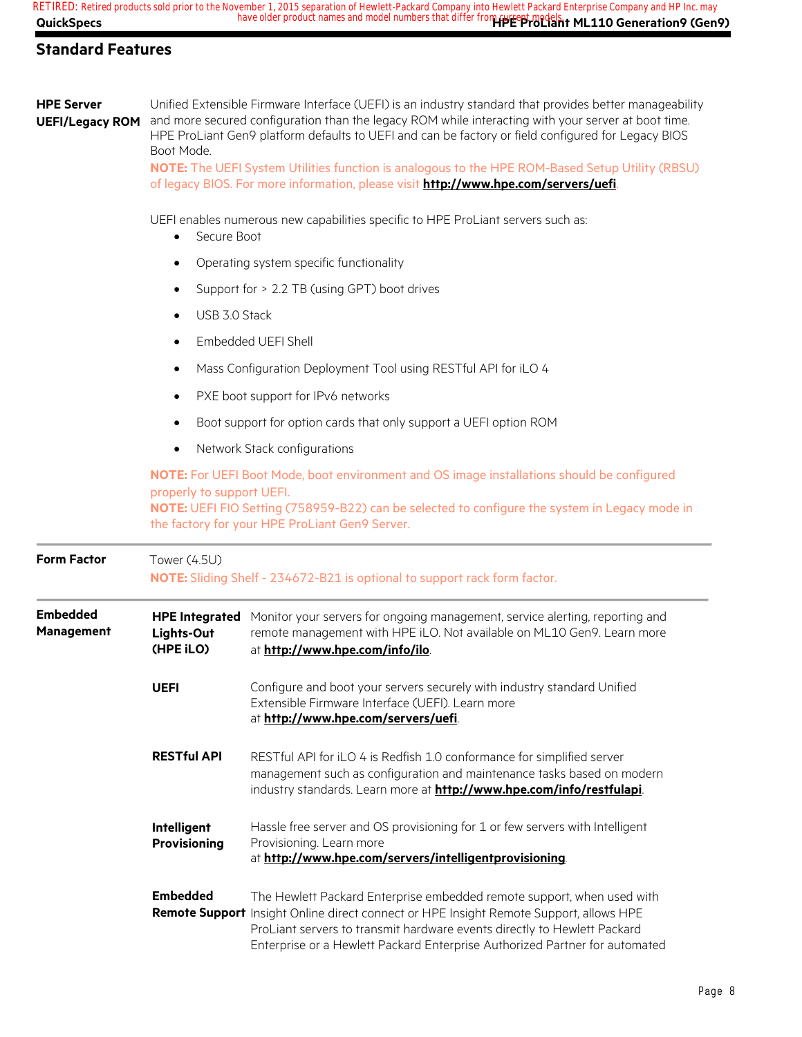| <b>HPE Server</b><br><b>UEFI/Legacy ROM</b> | Unified Extensible Firmware Interface (UEFI) is an industry standard that provides better manageability<br>and more secured configuration than the legacy ROM while interacting with your server at boot time.<br>HPE ProLiant Gen9 platform defaults to UEFI and can be factory or field configured for Legacy BIOS<br>Boot Mode.<br>NOTE: The UEFI System Utilities function is analogous to the HPE ROM-Based Setup Utility (RBSU)<br>of legacy BIOS. For more information, please visit http://www.hpe.com/servers/uefi. |                                                                                                                                                                                                                                                                                                                             |  |  |  |
|---------------------------------------------|------------------------------------------------------------------------------------------------------------------------------------------------------------------------------------------------------------------------------------------------------------------------------------------------------------------------------------------------------------------------------------------------------------------------------------------------------------------------------------------------------------------------------|-----------------------------------------------------------------------------------------------------------------------------------------------------------------------------------------------------------------------------------------------------------------------------------------------------------------------------|--|--|--|
|                                             | Secure Boot                                                                                                                                                                                                                                                                                                                                                                                                                                                                                                                  | UEFI enables numerous new capabilities specific to HPE ProLiant servers such as:                                                                                                                                                                                                                                            |  |  |  |
|                                             | $\bullet$                                                                                                                                                                                                                                                                                                                                                                                                                                                                                                                    | Operating system specific functionality                                                                                                                                                                                                                                                                                     |  |  |  |
|                                             | ٠                                                                                                                                                                                                                                                                                                                                                                                                                                                                                                                            | Support for > 2.2 TB (using GPT) boot drives                                                                                                                                                                                                                                                                                |  |  |  |
|                                             | USB 3.0 Stack<br>$\bullet$                                                                                                                                                                                                                                                                                                                                                                                                                                                                                                   |                                                                                                                                                                                                                                                                                                                             |  |  |  |
|                                             | $\bullet$                                                                                                                                                                                                                                                                                                                                                                                                                                                                                                                    | Embedded UEFI Shell                                                                                                                                                                                                                                                                                                         |  |  |  |
|                                             | $\bullet$                                                                                                                                                                                                                                                                                                                                                                                                                                                                                                                    | Mass Configuration Deployment Tool using RESTful API for iLO 4                                                                                                                                                                                                                                                              |  |  |  |
|                                             | PXE boot support for IPv6 networks<br>$\bullet$                                                                                                                                                                                                                                                                                                                                                                                                                                                                              |                                                                                                                                                                                                                                                                                                                             |  |  |  |
|                                             | Boot support for option cards that only support a UEFI option ROM<br>٠                                                                                                                                                                                                                                                                                                                                                                                                                                                       |                                                                                                                                                                                                                                                                                                                             |  |  |  |
|                                             | Network Stack configurations<br>$\bullet$                                                                                                                                                                                                                                                                                                                                                                                                                                                                                    |                                                                                                                                                                                                                                                                                                                             |  |  |  |
|                                             | NOTE: For UEFI Boot Mode, boot environment and OS image installations should be configured<br>properly to support UEFI.<br>NOTE: UEFI FIO Setting (758959-B22) can be selected to configure the system in Legacy mode in<br>the factory for your HPE ProLiant Gen9 Server.                                                                                                                                                                                                                                                   |                                                                                                                                                                                                                                                                                                                             |  |  |  |
| <b>Form Factor</b>                          | Tower (4.5U)                                                                                                                                                                                                                                                                                                                                                                                                                                                                                                                 | NOTE: Sliding Shelf - 234672-B21 is optional to support rack form factor.                                                                                                                                                                                                                                                   |  |  |  |
| <b>Embedded</b><br><b>Management</b>        | Lights-Out<br>(HPE iLO)                                                                                                                                                                                                                                                                                                                                                                                                                                                                                                      | HPE Integrated Monitor your servers for ongoing management, service alerting, reporting and<br>remote management with HPE iLO. Not available on ML10 Gen9. Learn more<br>at http://www.hpe.com/info/ilo.                                                                                                                    |  |  |  |
|                                             | <b>UEFI</b>                                                                                                                                                                                                                                                                                                                                                                                                                                                                                                                  | Configure and boot your servers securely with industry standard Unified<br>Extensible Firmware Interface (UEFI). Learn more<br>at http://www.hpe.com/servers/uefi.                                                                                                                                                          |  |  |  |
|                                             | <b>RESTful API</b>                                                                                                                                                                                                                                                                                                                                                                                                                                                                                                           | RESTful API for iLO 4 is Redfish 1.0 conformance for simplified server<br>management such as configuration and maintenance tasks based on modern<br>industry standards. Learn more at http://www.hpe.com/info/restfulapi.                                                                                                   |  |  |  |
|                                             | Intelligent<br><b>Provisioning</b>                                                                                                                                                                                                                                                                                                                                                                                                                                                                                           | Hassle free server and OS provisioning for 1 or few servers with Intelligent<br>Provisioning. Learn more<br>at http://www.hpe.com/servers/intelligentprovisioning.                                                                                                                                                          |  |  |  |
|                                             | <b>Embedded</b>                                                                                                                                                                                                                                                                                                                                                                                                                                                                                                              | The Hewlett Packard Enterprise embedded remote support, when used with<br>Remote Support Insight Online direct connect or HPE Insight Remote Support, allows HPE<br>ProLiant servers to transmit hardware events directly to Hewlett Packard<br>Enterprise or a Hewlett Packard Enterprise Authorized Partner for automated |  |  |  |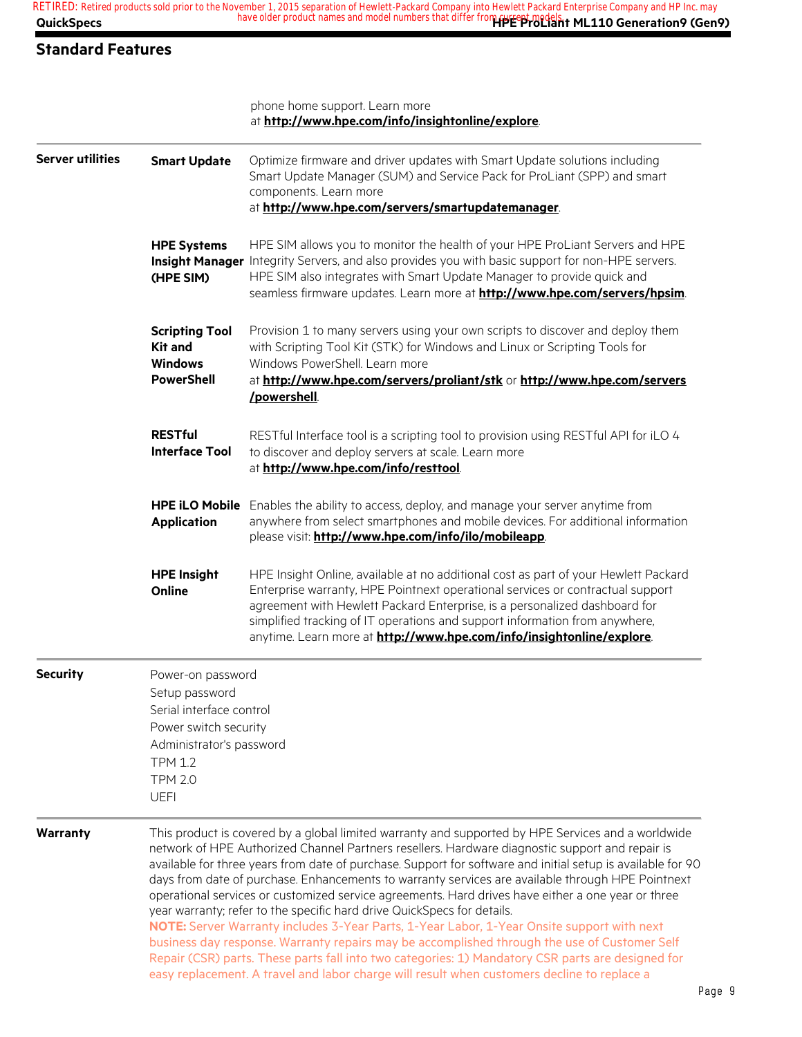#### **Standard Features**

|                         |                                                                                                                                                                         | phone home support. Learn more<br>at http://www.hpe.com/info/insightonline/explore.                                                                                                                                                                                                                                                                                                                                                                                                                                                                                                                                                                                                                                                                                                                                                                                                                                                                                                                          |
|-------------------------|-------------------------------------------------------------------------------------------------------------------------------------------------------------------------|--------------------------------------------------------------------------------------------------------------------------------------------------------------------------------------------------------------------------------------------------------------------------------------------------------------------------------------------------------------------------------------------------------------------------------------------------------------------------------------------------------------------------------------------------------------------------------------------------------------------------------------------------------------------------------------------------------------------------------------------------------------------------------------------------------------------------------------------------------------------------------------------------------------------------------------------------------------------------------------------------------------|
| <b>Server utilities</b> | <b>Smart Update</b>                                                                                                                                                     | Optimize firmware and driver updates with Smart Update solutions including<br>Smart Update Manager (SUM) and Service Pack for ProLiant (SPP) and smart<br>components. Learn more<br>at http://www.hpe.com/servers/smartupdatemanager.                                                                                                                                                                                                                                                                                                                                                                                                                                                                                                                                                                                                                                                                                                                                                                        |
|                         | <b>HPE Systems</b><br>(HPE SIM)                                                                                                                                         | HPE SIM allows you to monitor the health of your HPE ProLiant Servers and HPE<br>Insight Manager Integrity Servers, and also provides you with basic support for non-HPE servers.<br>HPE SIM also integrates with Smart Update Manager to provide quick and<br>seamless firmware updates. Learn more at http://www.hpe.com/servers/hpsim.                                                                                                                                                                                                                                                                                                                                                                                                                                                                                                                                                                                                                                                                    |
|                         | <b>Scripting Tool</b><br><b>Kit and</b><br><b>Windows</b><br><b>PowerShell</b>                                                                                          | Provision 1 to many servers using your own scripts to discover and deploy them<br>with Scripting Tool Kit (STK) for Windows and Linux or Scripting Tools for<br>Windows PowerShell. Learn more<br>at http://www.hpe.com/servers/proliant/stk or http://www.hpe.com/servers<br>/powershell                                                                                                                                                                                                                                                                                                                                                                                                                                                                                                                                                                                                                                                                                                                    |
|                         | <b>RESTful</b><br><b>Interface Tool</b>                                                                                                                                 | RESTful Interface tool is a scripting tool to provision using RESTful API for iLO 4<br>to discover and deploy servers at scale. Learn more<br>at http://www.hpe.com/info/resttool.                                                                                                                                                                                                                                                                                                                                                                                                                                                                                                                                                                                                                                                                                                                                                                                                                           |
|                         | <b>HPE iLO Mobile</b><br><b>Application</b>                                                                                                                             | Enables the ability to access, deploy, and manage your server anytime from<br>anywhere from select smartphones and mobile devices. For additional information<br>please visit: http://www.hpe.com/info/ilo/mobileapp.                                                                                                                                                                                                                                                                                                                                                                                                                                                                                                                                                                                                                                                                                                                                                                                        |
|                         | <b>HPE Insight</b><br>Online                                                                                                                                            | HPE Insight Online, available at no additional cost as part of your Hewlett Packard<br>Enterprise warranty, HPE Pointnext operational services or contractual support<br>agreement with Hewlett Packard Enterprise, is a personalized dashboard for<br>simplified tracking of IT operations and support information from anywhere,<br>anytime. Learn more at http://www.hpe.com/info/insightonline/explore.                                                                                                                                                                                                                                                                                                                                                                                                                                                                                                                                                                                                  |
| <b>Security</b>         | Power-on password<br>Setup password<br>Serial interface control<br>Power switch security<br>Administrator's password<br><b>TPM 1.2</b><br><b>TPM 2.0</b><br><b>UEFI</b> |                                                                                                                                                                                                                                                                                                                                                                                                                                                                                                                                                                                                                                                                                                                                                                                                                                                                                                                                                                                                              |
| Warranty                |                                                                                                                                                                         | This product is covered by a global limited warranty and supported by HPE Services and a worldwide<br>network of HPE Authorized Channel Partners resellers. Hardware diagnostic support and repair is<br>available for three years from date of purchase. Support for software and initial setup is available for 90<br>days from date of purchase. Enhancements to warranty services are available through HPE Pointnext<br>operational services or customized service agreements. Hard drives have either a one year or three<br>year warranty; refer to the specific hard drive QuickSpecs for details.<br>NOTE: Server Warranty includes 3-Year Parts, 1-Year Labor, 1-Year Onsite support with next<br>business day response. Warranty repairs may be accomplished through the use of Customer Self<br>Repair (CSR) parts. These parts fall into two categories: 1) Mandatory CSR parts are designed for<br>easy replacement. A travel and labor charge will result when customers decline to replace a |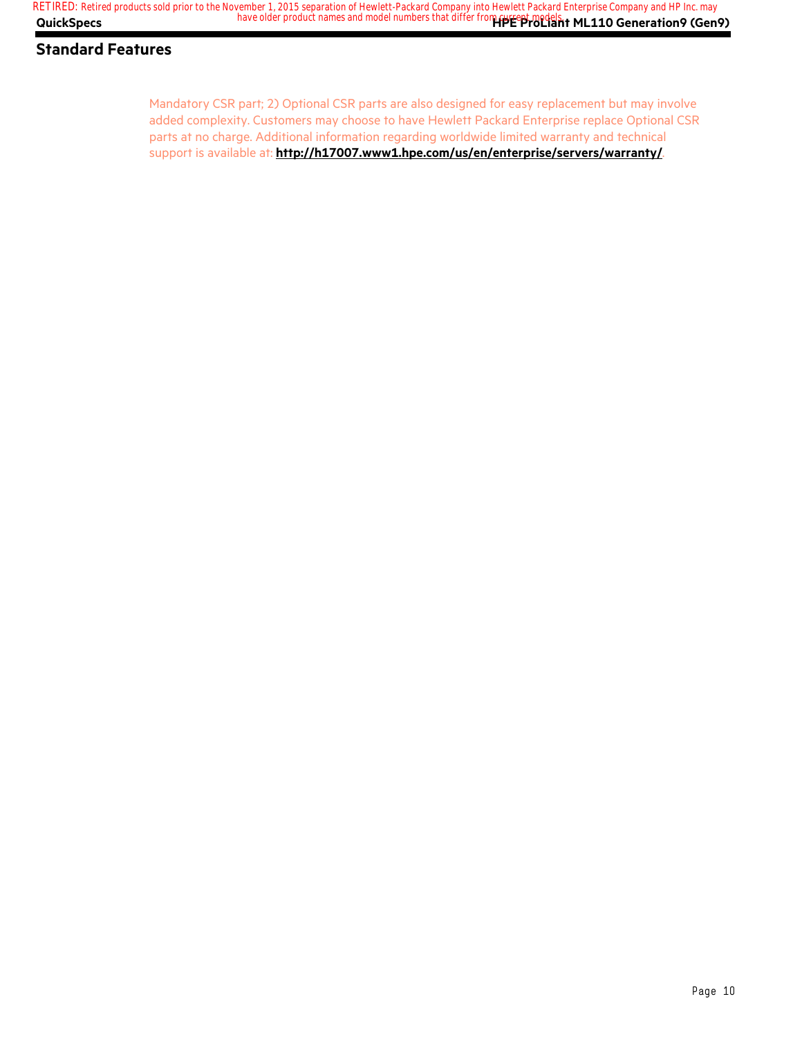Mandatory CSR part; 2) Optional CSR parts are also designed for easy replacement but may involve added complexity. Customers may choose to have Hewlett Packard Enterprise replace Optional CSR parts at no charge. Additional information regarding worldwide limited warranty and technical support is available at: **http://h17007.www1.hpe.com/us/en/enterprise/servers/warranty/**.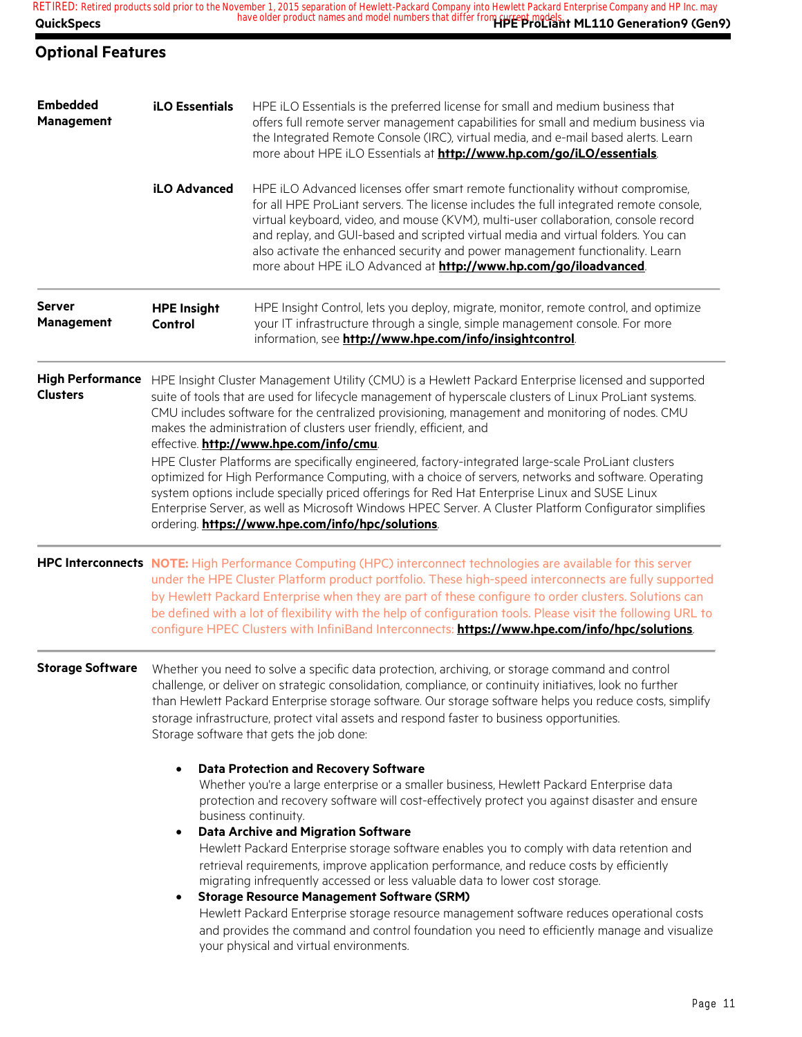| <b>QuickSpecs</b>                          |                                                                                                                                                                                                                                                                                                                                                                                                                                                                                                                                                    | RETIRED: Retired products sold prior to the November 1, 2015 separation of Hewlett-Packard Company into Hewlett Packard Enterprise Company and HP Inc. may<br>Network 1, 2013 Separation of Houston Company of the differ from current models.<br>have older product names and model numbers that differ from current models.                                                                                                                                                                                                                                                                                                                                                                                                                                                                                                                                                          |  |  |  |
|--------------------------------------------|----------------------------------------------------------------------------------------------------------------------------------------------------------------------------------------------------------------------------------------------------------------------------------------------------------------------------------------------------------------------------------------------------------------------------------------------------------------------------------------------------------------------------------------------------|----------------------------------------------------------------------------------------------------------------------------------------------------------------------------------------------------------------------------------------------------------------------------------------------------------------------------------------------------------------------------------------------------------------------------------------------------------------------------------------------------------------------------------------------------------------------------------------------------------------------------------------------------------------------------------------------------------------------------------------------------------------------------------------------------------------------------------------------------------------------------------------|--|--|--|
| <b>Optional Features</b>                   |                                                                                                                                                                                                                                                                                                                                                                                                                                                                                                                                                    |                                                                                                                                                                                                                                                                                                                                                                                                                                                                                                                                                                                                                                                                                                                                                                                                                                                                                        |  |  |  |
| <b>Embedded</b><br><b>Management</b>       | <b>iLO Essentials</b>                                                                                                                                                                                                                                                                                                                                                                                                                                                                                                                              | HPE iLO Essentials is the preferred license for small and medium business that<br>offers full remote server management capabilities for small and medium business via<br>the Integrated Remote Console (IRC), virtual media, and e-mail based alerts. Learn<br>more about HPE iLO Essentials at http://www.hp.com/go/iLO/essentials.                                                                                                                                                                                                                                                                                                                                                                                                                                                                                                                                                   |  |  |  |
|                                            | iLO Advanced                                                                                                                                                                                                                                                                                                                                                                                                                                                                                                                                       | HPE iLO Advanced licenses offer smart remote functionality without compromise,<br>for all HPE ProLiant servers. The license includes the full integrated remote console,<br>virtual keyboard, video, and mouse (KVM), multi-user collaboration, console record<br>and replay, and GUI-based and scripted virtual media and virtual folders. You can<br>also activate the enhanced security and power management functionality. Learn<br>more about HPE iLO Advanced at http://www.hp.com/go/iloadvanced.                                                                                                                                                                                                                                                                                                                                                                               |  |  |  |
| <b>Server</b><br>Management                | <b>HPE Insight</b><br>Control                                                                                                                                                                                                                                                                                                                                                                                                                                                                                                                      | HPE Insight Control, lets you deploy, migrate, monitor, remote control, and optimize<br>your IT infrastructure through a single, simple management console. For more<br>information, see http://www.hpe.com/info/insightcontrol.                                                                                                                                                                                                                                                                                                                                                                                                                                                                                                                                                                                                                                                       |  |  |  |
| <b>High Performance</b><br><b>Clusters</b> | HPE Insight Cluster Management Utility (CMU) is a Hewlett Packard Enterprise licensed and supported<br>suite of tools that are used for lifecycle management of hyperscale clusters of Linux ProLiant systems.<br>CMU includes software for the centralized provisioning, management and monitoring of nodes. CMU<br>makes the administration of clusters user friendly, efficient, and<br>effective. http://www.hpe.com/info/cmu.                                                                                                                 |                                                                                                                                                                                                                                                                                                                                                                                                                                                                                                                                                                                                                                                                                                                                                                                                                                                                                        |  |  |  |
|                                            | HPE Cluster Platforms are specifically engineered, factory-integrated large-scale ProLiant clusters<br>optimized for High Performance Computing, with a choice of servers, networks and software. Operating<br>system options include specially priced offerings for Red Hat Enterprise Linux and SUSE Linux<br>Enterprise Server, as well as Microsoft Windows HPEC Server. A Cluster Platform Configurator simplifies<br>ordering. https://www.hpe.com/info/hpc/solutions.                                                                       |                                                                                                                                                                                                                                                                                                                                                                                                                                                                                                                                                                                                                                                                                                                                                                                                                                                                                        |  |  |  |
|                                            | HPC Interconnects NOTE: High Performance Computing (HPC) interconnect technologies are available for this server<br>under the HPE Cluster Platform product portfolio. These high-speed interconnects are fully supported<br>by Hewlett Packard Enterprise when they are part of these configure to order clusters. Solutions can<br>be defined with a lot of flexibility with the help of configuration tools. Please visit the following URL to<br>configure HPEC Clusters with InfiniBand Interconnects: https://www.hpe.com/info/hpc/solutions. |                                                                                                                                                                                                                                                                                                                                                                                                                                                                                                                                                                                                                                                                                                                                                                                                                                                                                        |  |  |  |
| <b>Storage Software</b>                    | Whether you need to solve a specific data protection, archiving, or storage command and control<br>challenge, or deliver on strategic consolidation, compliance, or continuity initiatives, look no further<br>than Hewlett Packard Enterprise storage software. Our storage software helps you reduce costs, simplify<br>storage infrastructure, protect vital assets and respond faster to business opportunities.<br>Storage software that gets the job done:                                                                                   |                                                                                                                                                                                                                                                                                                                                                                                                                                                                                                                                                                                                                                                                                                                                                                                                                                                                                        |  |  |  |
|                                            | $\bullet$<br>$\bullet$                                                                                                                                                                                                                                                                                                                                                                                                                                                                                                                             | <b>Data Protection and Recovery Software</b><br>Whether you're a large enterprise or a smaller business, Hewlett Packard Enterprise data<br>protection and recovery software will cost-effectively protect you against disaster and ensure<br>business continuity.<br><b>Data Archive and Migration Software</b><br>Hewlett Packard Enterprise storage software enables you to comply with data retention and<br>retrieval requirements, improve application performance, and reduce costs by efficiently<br>migrating infrequently accessed or less valuable data to lower cost storage.<br><b>Storage Resource Management Software (SRM)</b><br>Hewlett Packard Enterprise storage resource management software reduces operational costs<br>and provides the command and control foundation you need to efficiently manage and visualize<br>your physical and virtual environments. |  |  |  |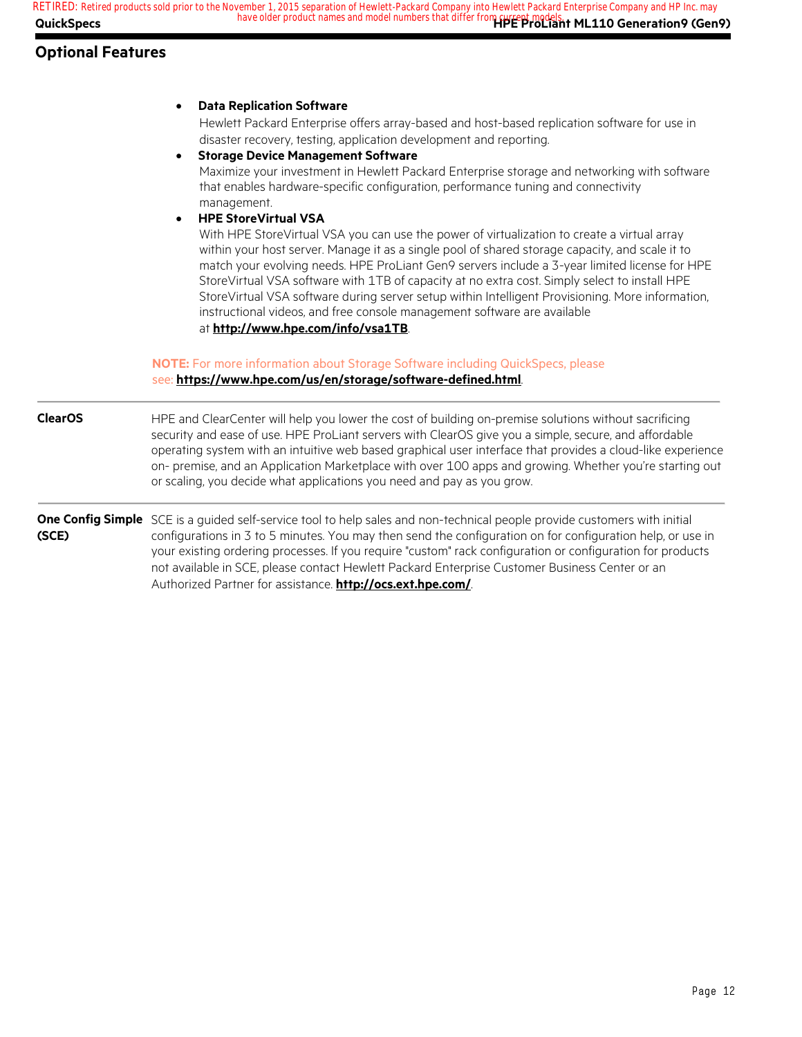### **Optional Features**

|                | <b>Data Replication Software</b><br>$\bullet$<br>Hewlett Packard Enterprise offers array-based and host-based replication software for use in                                                                                                                                                                                                                                                                                                                                                                                                                                                                                                                                                                                                                                                                                                                                                                                                                                                         |
|----------------|-------------------------------------------------------------------------------------------------------------------------------------------------------------------------------------------------------------------------------------------------------------------------------------------------------------------------------------------------------------------------------------------------------------------------------------------------------------------------------------------------------------------------------------------------------------------------------------------------------------------------------------------------------------------------------------------------------------------------------------------------------------------------------------------------------------------------------------------------------------------------------------------------------------------------------------------------------------------------------------------------------|
|                | disaster recovery, testing, application development and reporting.<br><b>Storage Device Management Software</b><br>$\bullet$<br>Maximize your investment in Hewlett Packard Enterprise storage and networking with software<br>that enables hardware-specific configuration, performance tuning and connectivity<br>management.<br><b>HPE StoreVirtual VSA</b><br>$\bullet$<br>With HPE StoreVirtual VSA you can use the power of virtualization to create a virtual array<br>within your host server. Manage it as a single pool of shared storage capacity, and scale it to<br>match your evolving needs. HPE ProLiant Gen9 servers include a 3-year limited license for HPE<br>StoreVirtual VSA software with 1TB of capacity at no extra cost. Simply select to install HPE<br>StoreVirtual VSA software during server setup within Intelligent Provisioning. More information,<br>instructional videos, and free console management software are available<br>at http://www.hpe.com/info/vsa1TB. |
|                | <b>NOTE:</b> For more information about Storage Software including QuickSpecs, please<br>see: https://www.hpe.com/us/en/storage/software-defined.html                                                                                                                                                                                                                                                                                                                                                                                                                                                                                                                                                                                                                                                                                                                                                                                                                                                 |
| <b>ClearOS</b> | HPE and ClearCenter will help you lower the cost of building on-premise solutions without sacrificing<br>security and ease of use. HPE ProLiant servers with ClearOS give you a simple, secure, and affordable<br>operating system with an intuitive web based graphical user interface that provides a cloud-like experience<br>on- premise, and an Application Marketplace with over 100 apps and growing. Whether you're starting out<br>or scaling, you decide what applications you need and pay as you grow.                                                                                                                                                                                                                                                                                                                                                                                                                                                                                    |
| (SCE)          | One Config Simple SCE is a guided self-service tool to help sales and non-technical people provide customers with initial<br>configurations in 3 to 5 minutes. You may then send the configuration on for configuration help, or use in<br>your existing ordering processes. If you require "custom" rack configuration or configuration for products<br>not available in SCE, please contact Hewlett Packard Enterprise Customer Business Center or an<br>Authorized Partner for assistance. http://ocs.ext.hpe.com/.                                                                                                                                                                                                                                                                                                                                                                                                                                                                                |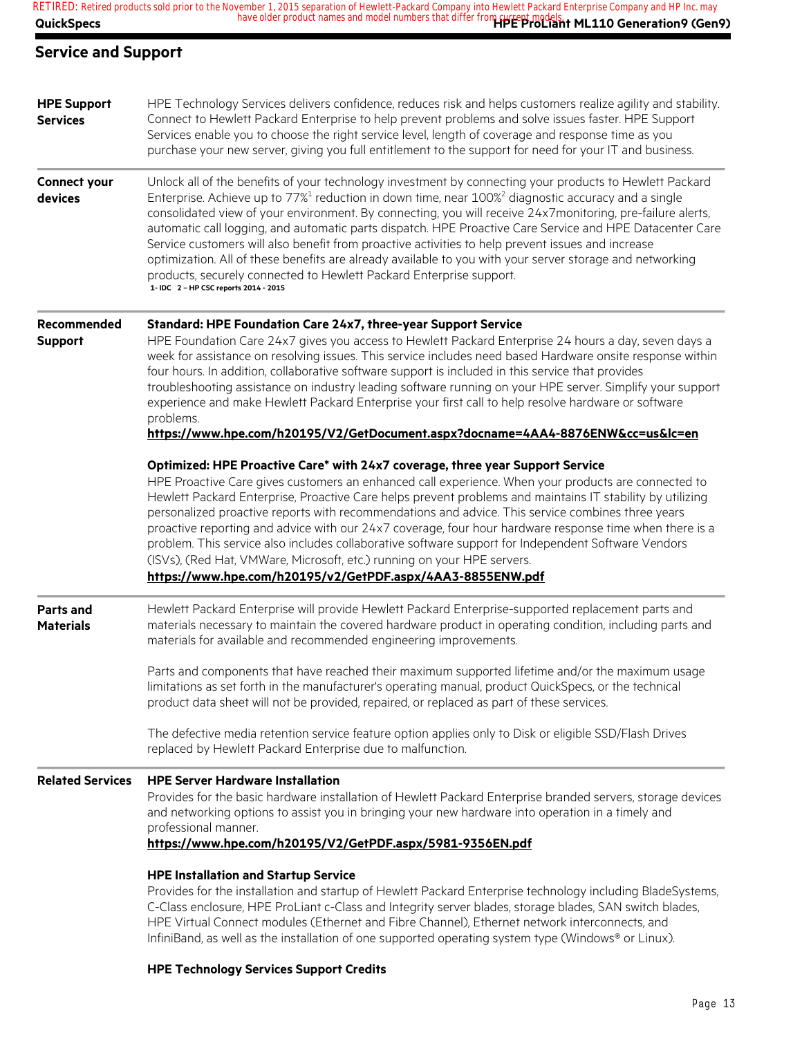### **Service and Support**

| <b>HPE Support</b><br><b>Services</b> | HPE Technology Services delivers confidence, reduces risk and helps customers realize agility and stability.<br>Connect to Hewlett Packard Enterprise to help prevent problems and solve issues faster. HPE Support<br>Services enable you to choose the right service level, length of coverage and response time as you<br>purchase your new server, giving you full entitlement to the support for need for your IT and business.                                                                                                                                                                                                                                                                                                                                                             |
|---------------------------------------|--------------------------------------------------------------------------------------------------------------------------------------------------------------------------------------------------------------------------------------------------------------------------------------------------------------------------------------------------------------------------------------------------------------------------------------------------------------------------------------------------------------------------------------------------------------------------------------------------------------------------------------------------------------------------------------------------------------------------------------------------------------------------------------------------|
| Connect your<br>devices               | Unlock all of the benefits of your technology investment by connecting your products to Hewlett Packard<br>Enterprise. Achieve up to 77% <sup>1</sup> reduction in down time, near 100% <sup>2</sup> diagnostic accuracy and a single<br>consolidated view of your environment. By connecting, you will receive 24x7monitoring, pre-failure alerts,<br>automatic call logging, and automatic parts dispatch. HPE Proactive Care Service and HPE Datacenter Care<br>Service customers will also benefit from proactive activities to help prevent issues and increase<br>optimization. All of these benefits are already available to you with your server storage and networking<br>products, securely connected to Hewlett Packard Enterprise support.<br>1- IDC 2 - HP CSC reports 2014 - 2015 |
| Recommended<br><b>Support</b>         | Standard: HPE Foundation Care 24x7, three-year Support Service<br>HPE Foundation Care 24x7 gives you access to Hewlett Packard Enterprise 24 hours a day, seven days a<br>week for assistance on resolving issues. This service includes need based Hardware onsite response within<br>four hours. In addition, collaborative software support is included in this service that provides<br>troubleshooting assistance on industry leading software running on your HPE server. Simplify your support<br>experience and make Hewlett Packard Enterprise your first call to help resolve hardware or software<br>problems.<br>https://www.hpe.com/h20195/V2/GetDocument.aspx?docname=4AA4-8876ENW&cc=us&lc=en                                                                                     |
|                                       | Optimized: HPE Proactive Care* with 24x7 coverage, three year Support Service<br>HPE Proactive Care gives customers an enhanced call experience. When your products are connected to<br>Hewlett Packard Enterprise, Proactive Care helps prevent problems and maintains IT stability by utilizing<br>personalized proactive reports with recommendations and advice. This service combines three years<br>proactive reporting and advice with our 24x7 coverage, four hour hardware response time when there is a<br>problem. This service also includes collaborative software support for Independent Software Vendors<br>(ISVs), (Red Hat, VMWare, Microsoft, etc.) running on your HPE servers.<br>https://www.hpe.com/h20195/v2/GetPDF.aspx/4AA3-8855ENW.pdf                                |
| <b>Parts and</b><br><b>Materials</b>  | Hewlett Packard Enterprise will provide Hewlett Packard Enterprise-supported replacement parts and<br>materials necessary to maintain the covered hardware product in operating condition, including parts and<br>materials for available and recommended engineering improvements.<br>Parts and components that have reached their maximum supported lifetime and/or the maximum usage<br>limitations as set forth in the manufacturer's operating manual, product QuickSpecs, or the technical                                                                                                                                                                                                                                                                                                 |
|                                       | product data sheet will not be provided, repaired, or replaced as part of these services.<br>The defective media retention service feature option applies only to Disk or eligible SSD/Flash Drives<br>replaced by Hewlett Packard Enterprise due to malfunction.                                                                                                                                                                                                                                                                                                                                                                                                                                                                                                                                |
| <b>Related Services</b>               | <b>HPE Server Hardware Installation</b><br>Provides for the basic hardware installation of Hewlett Packard Enterprise branded servers, storage devices<br>and networking options to assist you in bringing your new hardware into operation in a timely and<br>professional manner.<br>https://www.hpe.com/h20195/V2/GetPDF.aspx/5981-9356EN.pdf                                                                                                                                                                                                                                                                                                                                                                                                                                                 |
|                                       | <b>HPE Installation and Startup Service</b><br>Provides for the installation and startup of Hewlett Packard Enterprise technology including BladeSystems,<br>C-Class enclosure, HPE ProLiant c-Class and Integrity server blades, storage blades, SAN switch blades,<br>HPE Virtual Connect modules (Ethernet and Fibre Channel), Ethernet network interconnects, and<br>InfiniBand, as well as the installation of one supported operating system type (Windows® or Linux).                                                                                                                                                                                                                                                                                                                     |

#### **HPE Technology Services Support Credits**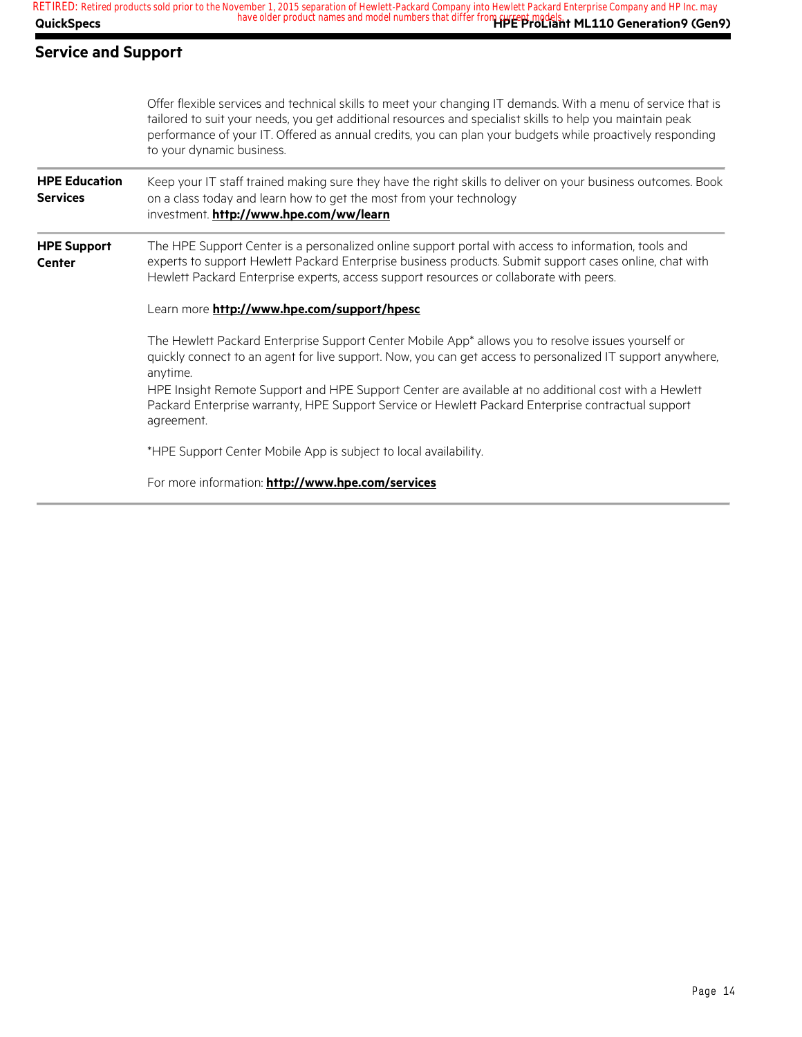#### **Service and Support**

|                                         | Offer flexible services and technical skills to meet your changing IT demands. With a menu of service that is<br>tailored to suit your needs, you get additional resources and specialist skills to help you maintain peak<br>performance of your IT. Offered as annual credits, you can plan your budgets while proactively responding<br>to your dynamic business. |
|-----------------------------------------|----------------------------------------------------------------------------------------------------------------------------------------------------------------------------------------------------------------------------------------------------------------------------------------------------------------------------------------------------------------------|
| <b>HPE Education</b><br><b>Services</b> | Keep your IT staff trained making sure they have the right skills to deliver on your business outcomes. Book<br>on a class today and learn how to get the most from your technology<br>investment. http://www.hpe.com/ww/learn                                                                                                                                       |
| <b>HPE Support</b><br><b>Center</b>     | The HPE Support Center is a personalized online support portal with access to information, tools and<br>experts to support Hewlett Packard Enterprise business products. Submit support cases online, chat with<br>Hewlett Packard Enterprise experts, access support resources or collaborate with peers.                                                           |
|                                         | Learn more http://www.hpe.com/support/hpesc                                                                                                                                                                                                                                                                                                                          |
|                                         | The Hewlett Packard Enterprise Support Center Mobile App* allows you to resolve issues yourself or<br>quickly connect to an agent for live support. Now, you can get access to personalized IT support anywhere,<br>anytime.                                                                                                                                         |
|                                         | HPE Insight Remote Support and HPE Support Center are available at no additional cost with a Hewlett<br>Packard Enterprise warranty, HPE Support Service or Hewlett Packard Enterprise contractual support<br>agreement.                                                                                                                                             |
|                                         | *HPE Support Center Mobile App is subject to local availability.                                                                                                                                                                                                                                                                                                     |
|                                         | For more information: http://www.hpe.com/services                                                                                                                                                                                                                                                                                                                    |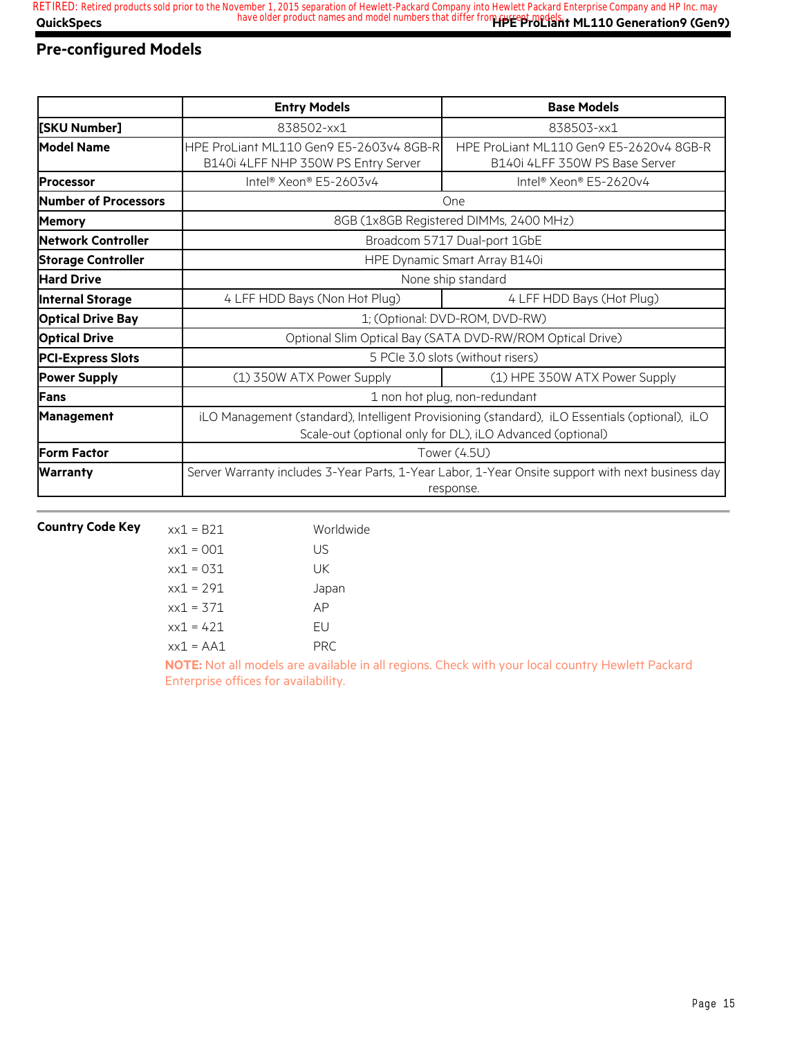### **Pre-configured Models**

|                           | <b>Entry Models</b>                                                                                                                                         | <b>Base Models</b>                                                        |  |  |
|---------------------------|-------------------------------------------------------------------------------------------------------------------------------------------------------------|---------------------------------------------------------------------------|--|--|
| [SKU Number]              | 838502-xx1                                                                                                                                                  | 838503-xx1                                                                |  |  |
| <b>Model Name</b>         | HPE ProLiant ML110 Gen9 E5-2603v4 8GB-R<br>B140i 4LFF NHP 350W PS Entry Server                                                                              | HPE ProLiant ML110 Gen9 E5-2620v4 8GB-R<br>B140i 4LFF 350W PS Base Server |  |  |
| <b>Processor</b>          | Intel® Xeon® E5-2603v4                                                                                                                                      | Intel® Xeon® E5-2620v4                                                    |  |  |
| Number of Processors      |                                                                                                                                                             | One                                                                       |  |  |
| <b>Memory</b>             |                                                                                                                                                             | 8GB (1x8GB Registered DIMMs, 2400 MHz)                                    |  |  |
| <b>Network Controller</b> | Broadcom 5717 Dual-port 1GbE                                                                                                                                |                                                                           |  |  |
| <b>Storage Controller</b> | HPE Dynamic Smart Array B140i                                                                                                                               |                                                                           |  |  |
| <b>Hard Drive</b>         | None ship standard                                                                                                                                          |                                                                           |  |  |
| <b>Internal Storage</b>   | 4 LFF HDD Bays (Non Hot Plug)<br>4 LFF HDD Bays (Hot Plug)                                                                                                  |                                                                           |  |  |
| <b>Optical Drive Bay</b>  | 1; (Optional: DVD-ROM, DVD-RW)                                                                                                                              |                                                                           |  |  |
| <b>Optical Drive</b>      | Optional Slim Optical Bay (SATA DVD-RW/ROM Optical Drive)                                                                                                   |                                                                           |  |  |
| <b>PCI-Express Slots</b>  | 5 PCIe 3.0 slots (without risers)                                                                                                                           |                                                                           |  |  |
| <b>Power Supply</b>       | (1) 350W ATX Power Supply                                                                                                                                   | (1) HPE 350W ATX Power Supply                                             |  |  |
| Fans                      | 1 non hot plug, non-redundant                                                                                                                               |                                                                           |  |  |
| <b>Management</b>         | iLO Management (standard), Intelligent Provisioning (standard), iLO Essentials (optional), iLO<br>Scale-out (optional only for DL), iLO Advanced (optional) |                                                                           |  |  |
| <b>Form Factor</b>        | Tower (4.5U)                                                                                                                                                |                                                                           |  |  |
| <b>Warranty</b>           | Server Warranty includes 3-Year Parts, 1-Year Labor, 1-Year Onsite support with next business day<br>response.                                              |                                                                           |  |  |

| <b>Country Code Key</b> | $xx1 = B21$  | Worldwide |
|-------------------------|--------------|-----------|
|                         | $xx1 = 001$  | US        |
|                         | $xx1 = 031$  | UK        |
|                         | $xx1 = 291$  | Japan     |
|                         | $xx1 = 371$  | AP        |
|                         | $xx1 = 421$  | FU        |
|                         | $xx1 = A A1$ | PRC       |
|                         |              |           |

**NOTE:** Not all models are available in all regions. Check with your local country Hewlett Packard Enterprise offices for availability.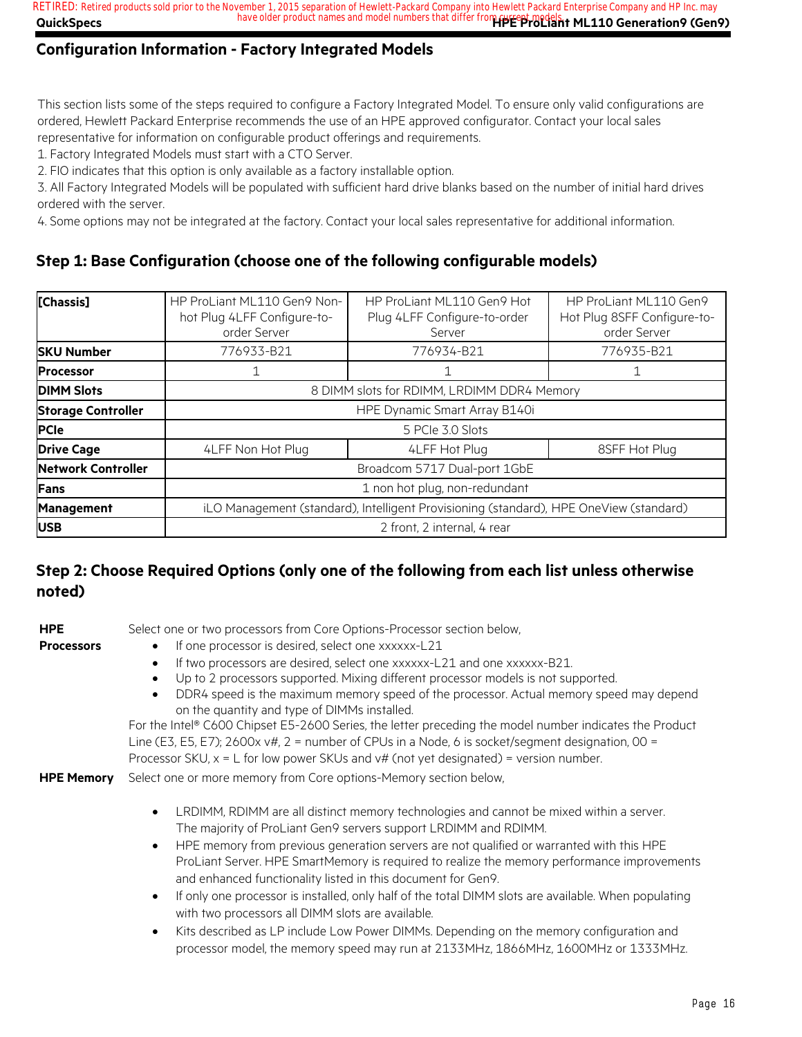**QuickSpecs Here are all of the same of the product names and model numbers that differ from <b>current models**. ML110 Generation9 (Gen9) **RETIRED: Retired products sold prior to the November 1, 2015 separation of Hewlett-Packard Company into Hewlett Packard Enterprise Company and HP Inc. may**

### **Configuration Information - Factory Integrated Models**

This section lists some of the steps required to configure a Factory Integrated Model. To ensure only valid configurations are ordered, Hewlett Packard Enterprise recommends the use of an HPE approved configurator. Contact your local sales representative for information on configurable product offerings and requirements.

1. Factory Integrated Models must start with a CTO Server.

2. FIO indicates that this option is only available as a factory installable option.

3. All Factory Integrated Models will be populated with sufficient hard drive blanks based on the number of initial hard drives ordered with the server.

4. Some options may not be integrated at the factory. Contact your local sales representative for additional information.

#### **Step 1: Base Configuration (choose one of the following configurable models)**

| [Chassis]                 | HP ProLiant ML110 Gen9 Non-<br>hot Plug 4LFF Configure-to-<br>order Server             | HP ProLiant ML110 Gen9 Hot<br>Plug 4LFF Configure-to-order<br>Server | HP ProLiant ML110 Gen9<br>Hot Plug 8SFF Configure-to-<br>order Server |
|---------------------------|----------------------------------------------------------------------------------------|----------------------------------------------------------------------|-----------------------------------------------------------------------|
| <b>SKU Number</b>         | 776933-B21                                                                             | 776934-B21                                                           | 776935-B21                                                            |
| <b>Processor</b>          |                                                                                        |                                                                      |                                                                       |
| <b>DIMM Slots</b>         | 8 DIMM slots for RDIMM, LRDIMM DDR4 Memory                                             |                                                                      |                                                                       |
| <b>Storage Controller</b> | HPE Dynamic Smart Array B140i                                                          |                                                                      |                                                                       |
| <b>PCIe</b>               | 5 PCIe 3.0 Slots                                                                       |                                                                      |                                                                       |
| <b>Drive Cage</b>         | 4LFF Non Hot Plug                                                                      | 4LFF Hot Plug                                                        | 8SFF Hot Plug                                                         |
| <b>Network Controller</b> | Broadcom 5717 Dual-port 1GbE                                                           |                                                                      |                                                                       |
| <b>IFans</b>              | 1 non hot plug, non-redundant                                                          |                                                                      |                                                                       |
| <b>Management</b>         | iLO Management (standard), Intelligent Provisioning (standard), HPE OneView (standard) |                                                                      |                                                                       |
| <b>IUSB</b>               | 2 front, 2 internal, 4 rear                                                            |                                                                      |                                                                       |

#### **Step 2: Choose Required Options (only one of the following from each list unless otherwise noted)**

**HPE** 

- Select one or two processors from Core Options-Processor section below,
- **Processors**
- 
- If one processor is desired, select one xxxxxx-L21
	- If two processors are desired, select one xxxxxx-L21 and one xxxxxx-B21.
	- Up to 2 processors supported. Mixing different processor models is not supported.
	- DDR4 speed is the maximum memory speed of the processor. Actual memory speed may depend on the quantity and type of DIMMs installed.

For the Intel® C600 Chipset E5-2600 Series, the letter preceding the model number indicates the Product Line (E3, E5, E7); 2600x v#, 2 = number of CPUs in a Node, 6 is socket/segment designation, 00 = Processor SKU,  $x = L$  for low power SKUs and  $v#$  (not yet designated) = version number.

**HPE Memory** Select one or more memory from Core options-Memory section below,

- LRDIMM, RDIMM are all distinct memory technologies and cannot be mixed within a server. The majority of ProLiant Gen9 servers support LRDIMM and RDIMM.
- HPE memory from previous generation servers are not qualified or warranted with this HPE ProLiant Server. HPE SmartMemory is required to realize the memory performance improvements and enhanced functionality listed in this document for Gen9.
- If only one processor is installed, only half of the total DIMM slots are available. When populating with two processors all DIMM slots are available.
- Kits described as LP include Low Power DIMMs. Depending on the memory configuration and processor model, the memory speed may run at 2133MHz, 1866MHz, 1600MHz or 1333MHz.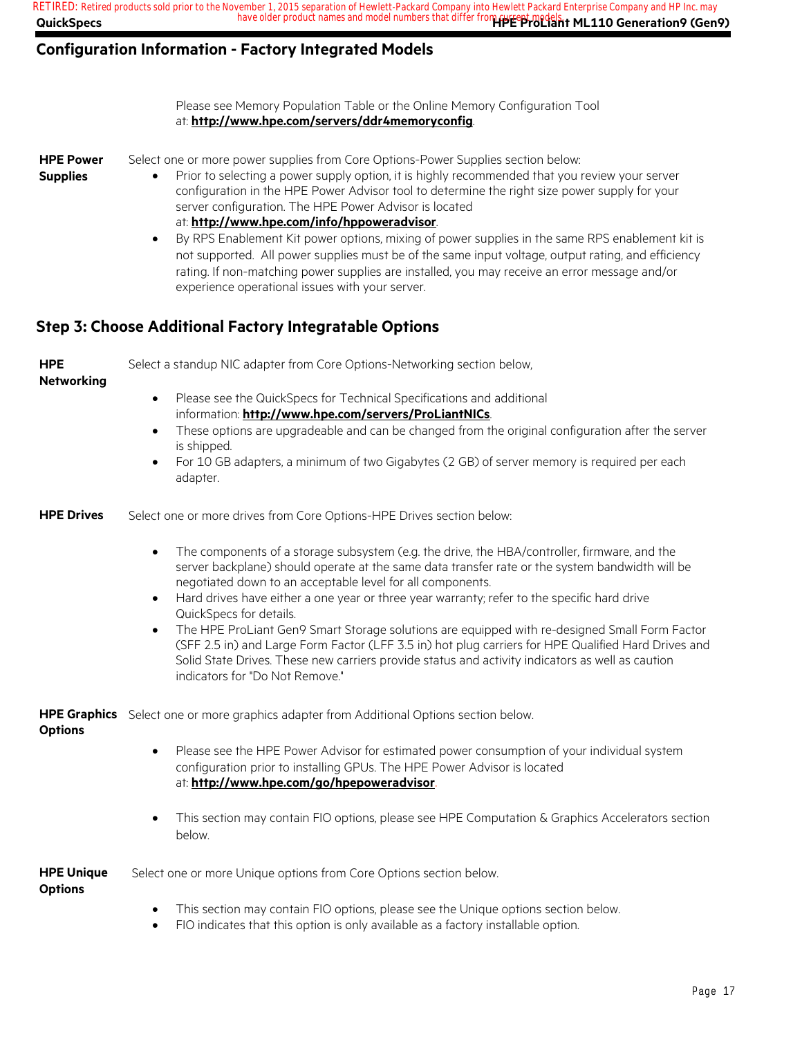| QuickSpecs                          | RETIRED: Retired products sold prior to the November 1, 2015 separation of Hewlett-Packard Company into Hewlett Packard Enterprise Company and HP Inc. may<br>have older product names and model numbers that differ from recording to ML110 Generation9 (Gen9)                                                                                                                                                                                                                                                                                                                                                                                                                                                                                            |
|-------------------------------------|------------------------------------------------------------------------------------------------------------------------------------------------------------------------------------------------------------------------------------------------------------------------------------------------------------------------------------------------------------------------------------------------------------------------------------------------------------------------------------------------------------------------------------------------------------------------------------------------------------------------------------------------------------------------------------------------------------------------------------------------------------|
|                                     | <b>Configuration Information - Factory Integrated Models</b>                                                                                                                                                                                                                                                                                                                                                                                                                                                                                                                                                                                                                                                                                               |
|                                     | Please see Memory Population Table or the Online Memory Configuration Tool<br>at: http://www.hpe.com/servers/ddr4memoryconfig.                                                                                                                                                                                                                                                                                                                                                                                                                                                                                                                                                                                                                             |
| <b>HPE Power</b><br><b>Supplies</b> | Select one or more power supplies from Core Options-Power Supplies section below:<br>Prior to selecting a power supply option, it is highly recommended that you review your server<br>configuration in the HPE Power Advisor tool to determine the right size power supply for your<br>server configuration. The HPE Power Advisor is located<br>at: http://www.hpe.com/info/hppoweradvisor.<br>By RPS Enablement Kit power options, mixing of power supplies in the same RPS enablement kit is<br>not supported. All power supplies must be of the same input voltage, output rating, and efficiency<br>rating. If non-matching power supplies are installed, you may receive an error message and/or<br>experience operational issues with your server. |
|                                     | <b>Step 3: Choose Additional Factory Integratable Options</b>                                                                                                                                                                                                                                                                                                                                                                                                                                                                                                                                                                                                                                                                                              |
| <b>HPE</b><br><b>Networking</b>     | Select a standup NIC adapter from Core Options-Networking section below,<br>Please see the QuickSpecs for Technical Specifications and additional<br>$\bullet$<br>information: http://www.hpe.com/servers/ProLiantNICs.<br>These options are upgradeable and can be changed from the original configuration after the server<br>$\bullet$<br>is shipped.<br>For 10 GB adapters, a minimum of two Gigabytes (2 GB) of server memory is required per each<br>adapter.                                                                                                                                                                                                                                                                                        |
| <b>HPE Drives</b>                   | Select one or more drives from Core Options-HPE Drives section below:                                                                                                                                                                                                                                                                                                                                                                                                                                                                                                                                                                                                                                                                                      |
|                                     | The components of a storage subsystem (e.g. the drive, the HBA/controller, firmware, and the<br>server backplane) should operate at the same data transfer rate or the system bandwidth will be<br>negotiated down to an acceptable level for all components.<br>Hard drives have either a one year or three year warranty; refer to the specific hard drive<br>QuickSpecs for details.<br>The HPE ProLiant Gen9 Smart Storage solutions are equipped with re-designed Small Form Factor<br>(SFF 2.5 in) and Large Form Factor (LFF 3.5 in) hot plug carriers for HPE Qualified Hard Drives and<br>Solid State Drives. These new carriers provide status and activity indicators as well as caution<br>indicators for "Do Not Remove."                     |
| <b>Options</b>                      | HPE Graphics Select one or more graphics adapter from Additional Options section below.<br>Please see the HPE Power Advisor for estimated power consumption of your individual system<br>configuration prior to installing GPUs. The HPE Power Advisor is located<br>at: http://www.hpe.com/go/hpepoweradvisor.                                                                                                                                                                                                                                                                                                                                                                                                                                            |
|                                     | This section may contain FIO options, please see HPE Computation & Graphics Accelerators section<br>below.                                                                                                                                                                                                                                                                                                                                                                                                                                                                                                                                                                                                                                                 |
| <b>HPE Unique</b>                   | Select one or more Unique options from Core Options section below.                                                                                                                                                                                                                                                                                                                                                                                                                                                                                                                                                                                                                                                                                         |
| <b>Options</b>                      | This section may contain FIO options, please see the Unique options section below.<br>$\bullet$<br>FIO indicates that this option is only available as a factory installable option.<br>$\bullet$                                                                                                                                                                                                                                                                                                                                                                                                                                                                                                                                                          |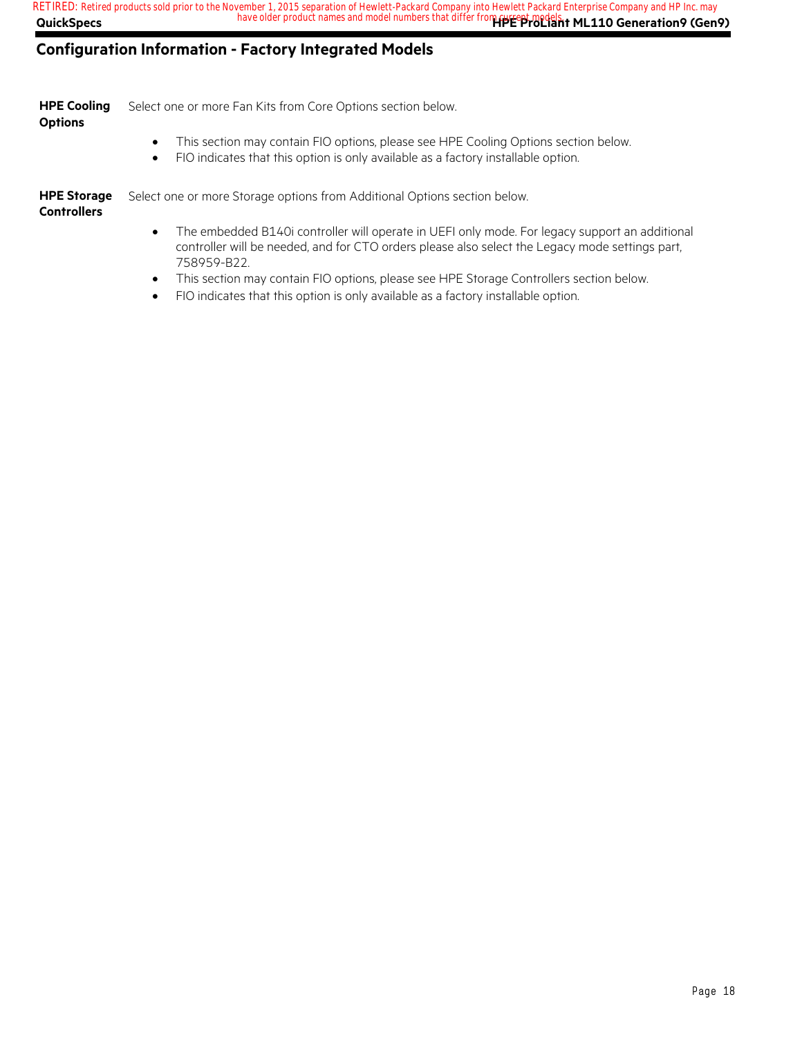#### **Configuration Information - Factory Integrated Models**

|               | <b>HPE Cooling</b> Select one or more Fan Kits from Core Options section below. |
|---------------|---------------------------------------------------------------------------------|
| $\sim$ $\sim$ |                                                                                 |

#### **Options**

- This section may contain FIO options, please see HPE Cooling Options section below.
- FIO indicates that this option is only available as a factory installable option.

**HPE Storage Controllers** Select one or more Storage options from Additional Options section below.

- The embedded B140i controller will operate in UEFI only mode. For legacy support an additional controller will be needed, and for CTO orders please also select the Legacy mode settings part, 758959-B22.
- This section may contain FIO options, please see HPE Storage Controllers section below.
- FIO indicates that this option is only available as a factory installable option.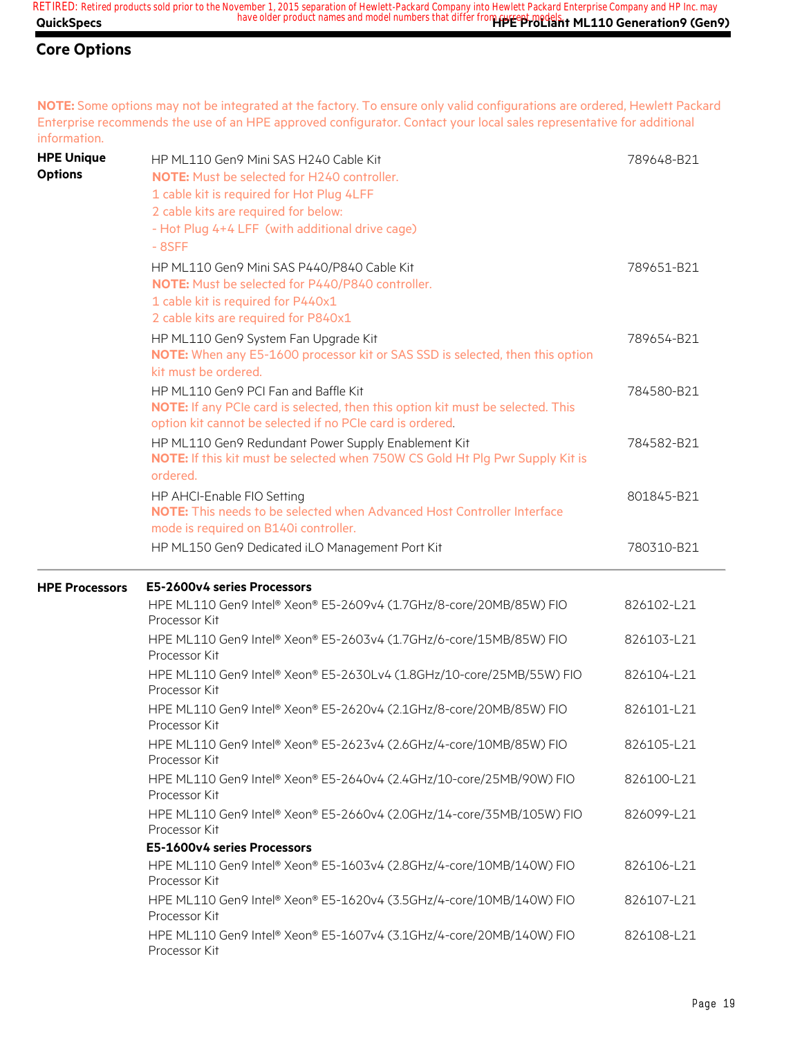#### **Core Options**

**NOTE:** Some options may not be integrated at the factory. To ensure only valid configurations are ordered, Hewlett Packard Enterprise recommends the use of an HPE approved configurator. Contact your local sales representative for additional information.

| <b>HPE Unique</b><br><b>Options</b> | HP ML110 Gen9 Mini SAS H240 Cable Kit<br><b>NOTE:</b> Must be selected for H240 controller.<br>1 cable kit is required for Hot Plug 4LFF<br>2 cable kits are required for below:<br>- Hot Plug 4+4 LFF (with additional drive cage)<br>$-8SFF$ | 789648-B21 |
|-------------------------------------|------------------------------------------------------------------------------------------------------------------------------------------------------------------------------------------------------------------------------------------------|------------|
|                                     | HP ML110 Gen9 Mini SAS P440/P840 Cable Kit<br>NOTE: Must be selected for P440/P840 controller.<br>1 cable kit is required for P440x1<br>2 cable kits are required for P840x1                                                                   | 789651-B21 |
|                                     | HP ML110 Gen9 System Fan Upgrade Kit<br>NOTE: When any E5-1600 processor kit or SAS SSD is selected, then this option<br>kit must be ordered.                                                                                                  | 789654-B21 |
|                                     | HP ML110 Gen9 PCI Fan and Baffle Kit<br>NOTE: If any PCIe card is selected, then this option kit must be selected. This<br>option kit cannot be selected if no PCIe card is ordered.                                                           | 784580-B21 |
|                                     | HP ML110 Gen9 Redundant Power Supply Enablement Kit<br>NOTE: If this kit must be selected when 750W CS Gold Ht Plg Pwr Supply Kit is<br>ordered.                                                                                               | 784582-B21 |
|                                     | HP AHCI-Enable FIO Setting<br>NOTE: This needs to be selected when Advanced Host Controller Interface<br>mode is required on B140i controller.                                                                                                 | 801845-B21 |
|                                     | HP ML150 Gen9 Dedicated iLO Management Port Kit                                                                                                                                                                                                | 780310-B21 |
| <b>HPE Processors</b>               | E5-2600v4 series Processors                                                                                                                                                                                                                    |            |
|                                     | HPE ML110 Gen9 Intel® Xeon® E5-2609v4 (1.7GHz/8-core/20MB/85W) FIO<br>Processor Kit                                                                                                                                                            | 826102-L21 |
|                                     | HPE ML110 Gen9 Intel® Xeon® E5-2603v4 (1.7GHz/6-core/15MB/85W) FIO<br>Processor Kit                                                                                                                                                            | 826103-L21 |
|                                     | HPE ML110 Gen9 Intel® Xeon® E5-2630Lv4 (1.8GHz/10-core/25MB/55W) FIO<br>Processor Kit                                                                                                                                                          | 826104-L21 |
|                                     | HPE ML110 Gen9 Intel® Xeon® E5-2620v4 (2.1GHz/8-core/20MB/85W) FIO<br>Processor Kit                                                                                                                                                            | 826101-L21 |
|                                     | HPE ML110 Gen9 Intel® Xeon® E5-2623v4 (2.6GHz/4-core/10MB/85W) FIO<br>Processor Kit                                                                                                                                                            | 826105-L21 |
|                                     | HPE ML110 Gen9 Intel® Xeon® E5-2640v4 (2.4GHz/10-core/25MB/90W) FIO<br>Processor Kit                                                                                                                                                           | 826100-L21 |
|                                     | HPE ML110 Gen9 Intel® Xeon® E5-2660v4 (2.0GHz/14-core/35MB/105W) FIO<br>Processor Kit                                                                                                                                                          | 826099-L21 |
|                                     | E5-1600v4 series Processors                                                                                                                                                                                                                    |            |
|                                     | HPE ML110 Gen9 Intel® Xeon® E5-1603v4 (2.8GHz/4-core/10MB/140W) FIO<br>Processor Kit                                                                                                                                                           | 826106-L21 |
|                                     | HPE ML110 Gen9 Intel® Xeon® E5-1620v4 (3.5GHz/4-core/10MB/140W) FIO<br>Processor Kit                                                                                                                                                           | 826107-L21 |
|                                     | HPE ML110 Gen9 Intel® Xeon® E5-1607v4 (3.1GHz/4-core/20MB/140W) FIO<br>Processor Kit                                                                                                                                                           | 826108-L21 |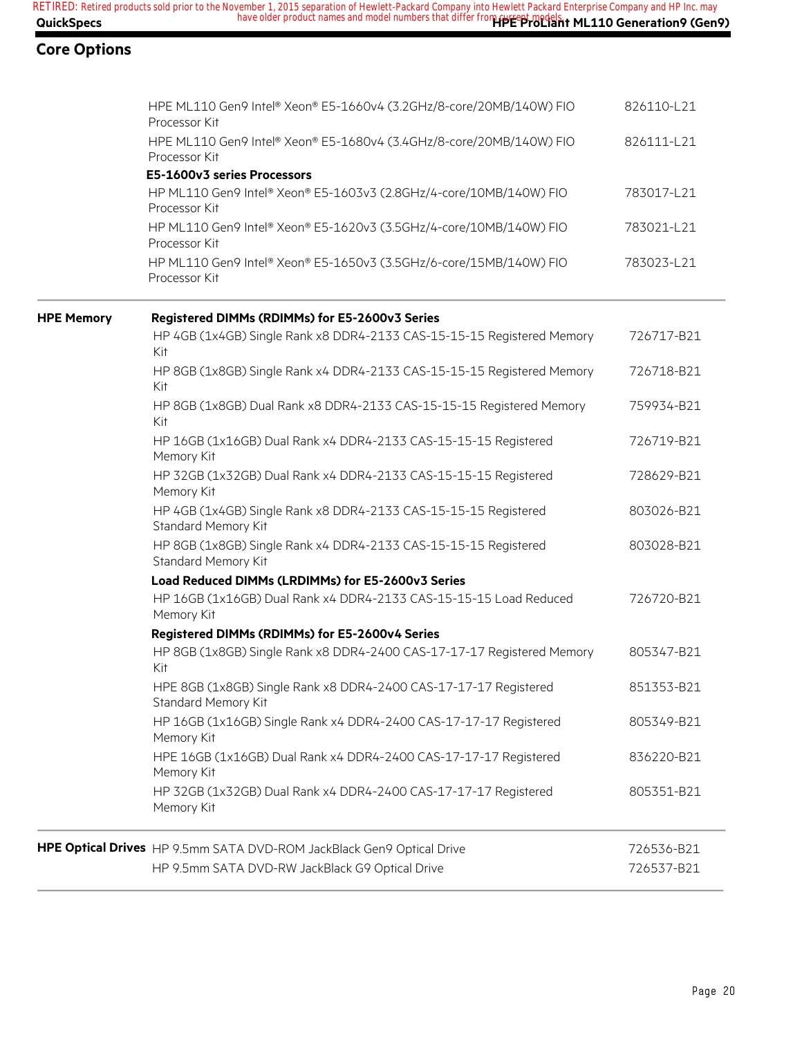|                   | RETIRED: Retired products sold prior to the November 1, 2015 separation of Hewlett-Packard Company into Hewlett Packard Enterprise Company and HP Inc. may |
|-------------------|------------------------------------------------------------------------------------------------------------------------------------------------------------|
| <b>QuickSpecs</b> | have older product names and model numbers that differ from HPE ProLlant ML110 Generation 9 (Gen 9)                                                        |

|                   | HPE ML110 Gen9 Intel® Xeon® E5-1660v4 (3.2GHz/8-core/20MB/140W) FIO<br>Processor Kit    | 826110-L21 |
|-------------------|-----------------------------------------------------------------------------------------|------------|
|                   | HPE ML110 Gen9 Intel® Xeon® E5-1680v4 (3.4GHz/8-core/20MB/140W) FIO<br>Processor Kit    | 826111-L21 |
|                   | E5-1600v3 series Processors                                                             |            |
|                   | HP ML110 Gen9 Intel® Xeon® E5-1603v3 (2.8GHz/4-core/10MB/140W) FIO<br>Processor Kit     | 783017-L21 |
|                   | HP ML110 Gen9 Intel® Xeon® E5-1620v3 (3.5GHz/4-core/10MB/140W) FIO<br>Processor Kit     | 783021-L21 |
|                   | HP ML110 Gen9 Intel® Xeon® E5-1650v3 (3.5GHz/6-core/15MB/140W) FIO<br>Processor Kit     | 783023-L21 |
| <b>HPE Memory</b> | Registered DIMMs (RDIMMs) for E5-2600v3 Series                                          |            |
|                   | HP 4GB (1x4GB) Single Rank x8 DDR4-2133 CAS-15-15-15 Registered Memory<br>Kit           | 726717-B21 |
|                   | HP 8GB (1x8GB) Single Rank x4 DDR4-2133 CAS-15-15-15 Registered Memory<br><b>Kit</b>    | 726718-B21 |
|                   | HP 8GB (1x8GB) Dual Rank x8 DDR4-2133 CAS-15-15-15 Registered Memory<br>Kit             | 759934-B21 |
|                   | HP 16GB (1x16GB) Dual Rank x4 DDR4-2133 CAS-15-15-15 Registered<br>Memory Kit           | 726719-B21 |
|                   | HP 32GB (1x32GB) Dual Rank x4 DDR4-2133 CAS-15-15-15 Registered<br>Memory Kit           | 728629-B21 |
|                   | HP 4GB (1x4GB) Single Rank x8 DDR4-2133 CAS-15-15-15 Registered<br>Standard Memory Kit  | 803026-B21 |
|                   | HP 8GB (1x8GB) Single Rank x4 DDR4-2133 CAS-15-15-15 Registered<br>Standard Memory Kit  | 803028-B21 |
|                   | Load Reduced DIMMs (LRDIMMs) for E5-2600v3 Series                                       |            |
|                   | HP 16GB (1x16GB) Dual Rank x4 DDR4-2133 CAS-15-15-15 Load Reduced<br>Memory Kit         | 726720-B21 |
|                   | Registered DIMMs (RDIMMs) for E5-2600v4 Series                                          |            |
|                   | HP 8GB (1x8GB) Single Rank x8 DDR4-2400 CAS-17-17-17 Registered Memory<br>Kit           | 805347-B21 |
|                   | HPE 8GB (1x8GB) Single Rank x8 DDR4-2400 CAS-17-17-17 Registered<br>Standard Memory Kit | 851353-B21 |
|                   | HP 16GB (1x16GB) Single Rank x4 DDR4-2400 CAS-17-17-17 Registered<br>Memory Kit         | 805349-B21 |
|                   | HPE 16GB (1x16GB) Dual Rank x4 DDR4-2400 CAS-17-17-17 Registered<br>Memory Kit          | 836220-B21 |
|                   | HP 32GB (1x32GB) Dual Rank x4 DDR4-2400 CAS-17-17-17 Registered<br>Memory Kit           | 805351-B21 |
|                   | HPE Optical Drives HP 9.5mm SATA DVD-ROM JackBlack Gen9 Optical Drive                   | 726536-B21 |
|                   | HP 9.5mm SATA DVD-RW JackBlack G9 Optical Drive                                         | 726537-B21 |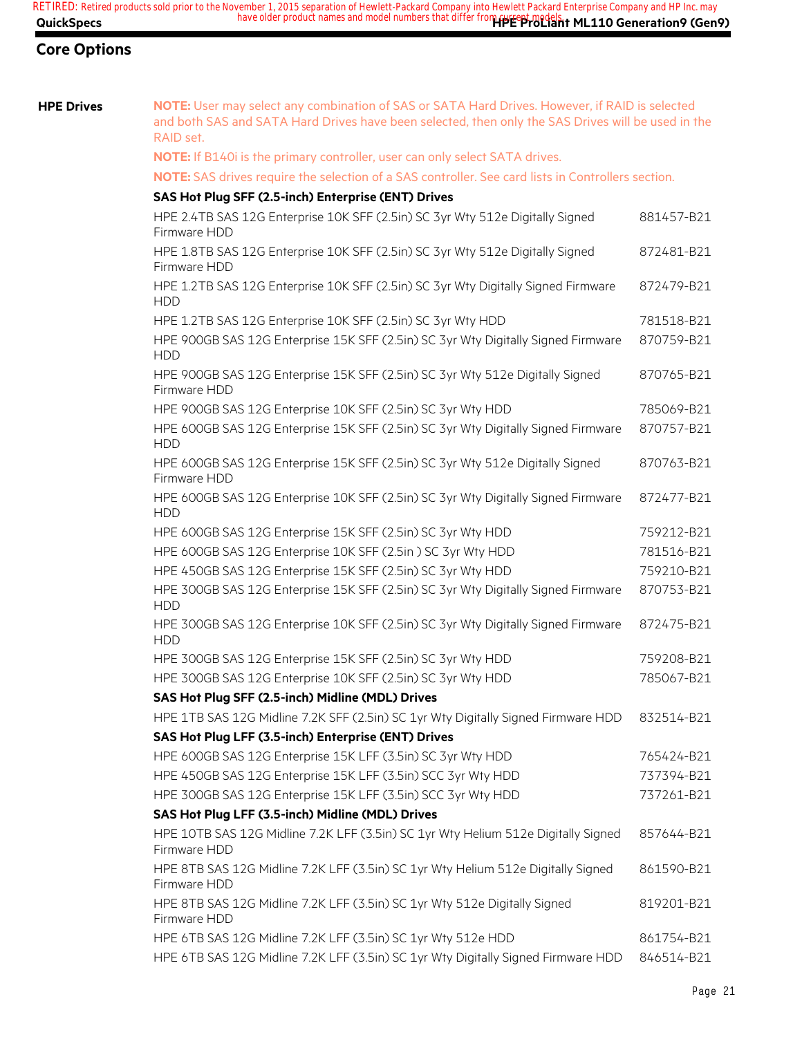**HPE Drives NOTE:** User may select any combination of SAS or SATA Hard Drives. However, if RAID is selected and both SAS and SATA Hard Drives have been selected, then only the SAS Drives will be used in the RAID set.

**NOTE:** If B140i is the primary controller, user can only select SATA drives.

#### **NOTE:** SAS drives require the selection of a SAS controller. See card lists in Controllers section.

#### **SAS Hot Plug SFF (2.5-inch) Enterprise (ENT) Drives**

| HPE 2.4TB SAS 12G Enterprise 10K SFF (2.5in) SC 3yr Wty 512e Digitally Signed<br>Firmware HDD     | 881457-B21 |
|---------------------------------------------------------------------------------------------------|------------|
| HPE 1.8TB SAS 12G Enterprise 10K SFF (2.5in) SC 3yr Wty 512e Digitally Signed<br>Firmware HDD     | 872481-B21 |
| HPE 1.2TB SAS 12G Enterprise 10K SFF (2.5in) SC 3yr Wty Digitally Signed Firmware<br><b>HDD</b>   | 872479-B21 |
| HPE 1.2TB SAS 12G Enterprise 10K SFF (2.5in) SC 3yr Wty HDD                                       | 781518-B21 |
| HPE 900GB SAS 12G Enterprise 15K SFF (2.5in) SC 3yr Wty Digitally Signed Firmware<br><b>HDD</b>   | 870759-B21 |
| HPE 900GB SAS 12G Enterprise 15K SFF (2.5in) SC 3yr Wty 512e Digitally Signed<br>Firmware HDD     | 870765-B21 |
| HPE 900GB SAS 12G Enterprise 10K SFF (2.5in) SC 3yr Wty HDD                                       | 785069-B21 |
| HPE 600GB SAS 12G Enterprise 15K SFF (2.5in) SC 3yr Wty Digitally Signed Firmware<br><b>HDD</b>   | 870757-B21 |
| HPE 600GB SAS 12G Enterprise 15K SFF (2.5in) SC 3yr Wty 512e Digitally Signed<br>Firmware HDD     | 870763-B21 |
| HPE 600GB SAS 12G Enterprise 10K SFF (2.5in) SC 3yr Wty Digitally Signed Firmware<br><b>HDD</b>   | 872477-B21 |
| HPE 600GB SAS 12G Enterprise 15K SFF (2.5in) SC 3yr Wty HDD                                       | 759212-B21 |
| HPE 600GB SAS 12G Enterprise 10K SFF (2.5in) SC 3yr Wty HDD                                       | 781516-B21 |
| HPE 450GB SAS 12G Enterprise 15K SFF (2.5in) SC 3yr Wty HDD                                       | 759210-B21 |
| HPE 300GB SAS 12G Enterprise 15K SFF (2.5in) SC 3yr Wty Digitally Signed Firmware<br><b>HDD</b>   | 870753-B21 |
| HPE 300GB SAS 12G Enterprise 10K SFF (2.5in) SC 3yr Wty Digitally Signed Firmware<br><b>HDD</b>   | 872475-B21 |
| HPE 300GB SAS 12G Enterprise 15K SFF (2.5in) SC 3yr Wty HDD                                       | 759208-B21 |
| HPE 300GB SAS 12G Enterprise 10K SFF (2.5in) SC 3yr Wty HDD                                       | 785067-B21 |
| SAS Hot Plug SFF (2.5-inch) Midline (MDL) Drives                                                  |            |
| HPE 1TB SAS 12G Midline 7.2K SFF (2.5in) SC 1yr Wty Digitally Signed Firmware HDD                 | 832514-B21 |
| SAS Hot Plug LFF (3.5-inch) Enterprise (ENT) Drives                                               |            |
| HPE 600GB SAS 12G Enterprise 15K LFF (3.5in) SC 3yr Wty HDD                                       | 765424-B21 |
| HPE 450GB SAS 12G Enterprise 15K LFF (3.5in) SCC 3yr Wty HDD                                      | 737394-B21 |
| HPE 300GB SAS 12G Enterprise 15K LFF (3.5in) SCC 3yr Wty HDD                                      | 737261-B21 |
| SAS Hot Plug LFF (3.5-inch) Midline (MDL) Drives                                                  |            |
| HPE 10TB SAS 12G Midline 7.2K LFF (3.5in) SC 1yr Wty Helium 512e Digitally Signed<br>Firmware HDD | 857644-B21 |
| HPE 8TB SAS 12G Midline 7.2K LFF (3.5in) SC 1yr Wty Helium 512e Digitally Signed<br>Firmware HDD  | 861590-B21 |
| HPE 8TB SAS 12G Midline 7.2K LFF (3.5in) SC 1yr Wty 512e Digitally Signed<br>Firmware HDD         | 819201-B21 |
| HPE 6TB SAS 12G Midline 7.2K LFF (3.5in) SC 1yr Wty 512e HDD                                      | 861754-B21 |
| HPE 6TB SAS 12G Midline 7.2K LFF (3.5in) SC 1yr Wty Digitally Signed Firmware HDD                 | 846514-B21 |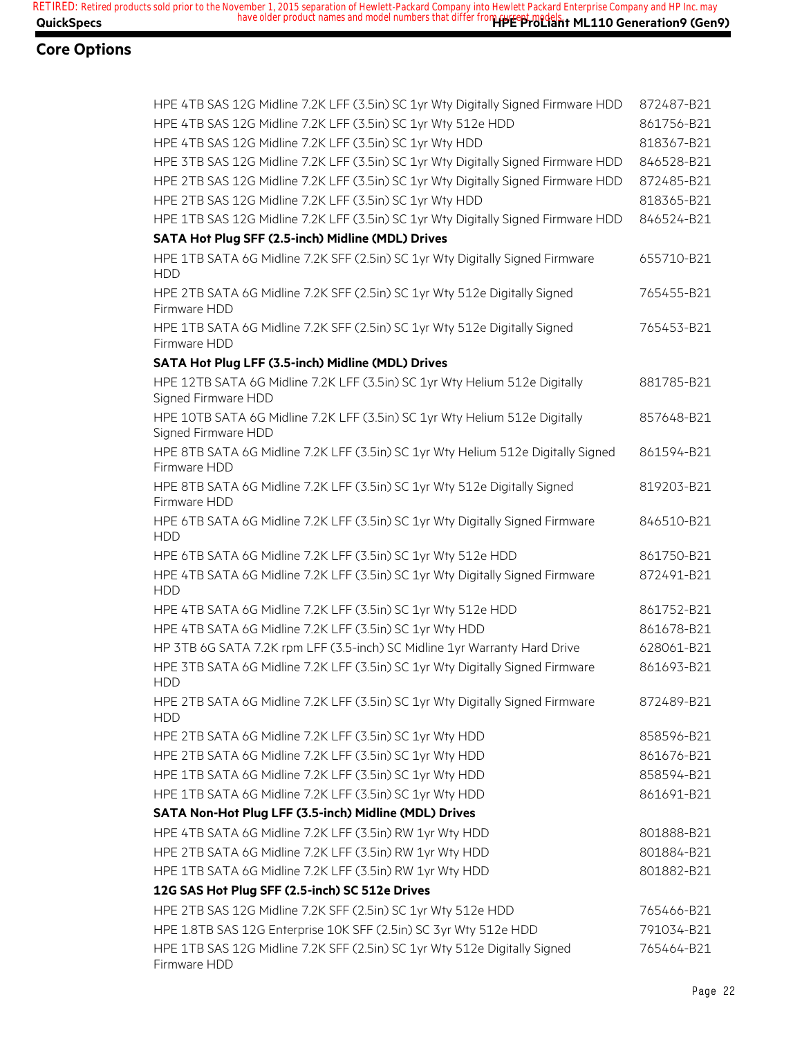| HPE 4TB SAS 12G Midline 7.2K LFF (3.5in) SC 1yr Wty Digitally Signed Firmware HDD                 | 872487-B21 |
|---------------------------------------------------------------------------------------------------|------------|
| HPE 4TB SAS 12G Midline 7.2K LFF (3.5in) SC 1yr Wty 512e HDD                                      | 861756-B21 |
| HPE 4TB SAS 12G Midline 7.2K LFF (3.5in) SC 1yr Wty HDD                                           | 818367-B21 |
| HPE 3TB SAS 12G Midline 7.2K LFF (3.5in) SC 1yr Wty Digitally Signed Firmware HDD                 | 846528-B21 |
| HPE 2TB SAS 12G Midline 7.2K LFF (3.5in) SC 1yr Wty Digitally Signed Firmware HDD                 | 872485-B21 |
| HPE 2TB SAS 12G Midline 7.2K LFF (3.5in) SC 1yr Wty HDD                                           | 818365-B21 |
| HPE 1TB SAS 12G Midline 7.2K LFF (3.5in) SC 1yr Wty Digitally Signed Firmware HDD                 | 846524-B21 |
| SATA Hot Plug SFF (2.5-inch) Midline (MDL) Drives                                                 |            |
| HPE 1TB SATA 6G Midline 7.2K SFF (2.5in) SC 1yr Wty Digitally Signed Firmware<br><b>HDD</b>       | 655710-B21 |
| HPE 2TB SATA 6G Midline 7.2K SFF (2.5in) SC 1yr Wty 512e Digitally Signed<br>Firmware HDD         | 765455-B21 |
| HPE 1TB SATA 6G Midline 7.2K SFF (2.5in) SC 1yr Wty 512e Digitally Signed<br>Firmware HDD         | 765453-B21 |
| SATA Hot Plug LFF (3.5-inch) Midline (MDL) Drives                                                 |            |
| HPE 12TB SATA 6G Midline 7.2K LFF (3.5in) SC 1yr Wty Helium 512e Digitally<br>Signed Firmware HDD | 881785-B21 |
| HPE 10TB SATA 6G Midline 7.2K LFF (3.5in) SC 1yr Wty Helium 512e Digitally<br>Signed Firmware HDD | 857648-B21 |
| HPE 8TB SATA 6G Midline 7.2K LFF (3.5in) SC 1yr Wty Helium 512e Digitally Signed<br>Firmware HDD  | 861594-B21 |
| HPE 8TB SATA 6G Midline 7.2K LFF (3.5in) SC 1yr Wty 512e Digitally Signed<br>Firmware HDD         | 819203-B21 |
| HPE 6TB SATA 6G Midline 7.2K LFF (3.5in) SC 1yr Wty Digitally Signed Firmware<br><b>HDD</b>       | 846510-B21 |
| HPE 6TB SATA 6G Midline 7.2K LFF (3.5in) SC 1yr Wty 512e HDD                                      | 861750-B21 |
| HPE 4TB SATA 6G Midline 7.2K LFF (3.5in) SC 1yr Wty Digitally Signed Firmware<br><b>HDD</b>       | 872491-B21 |
| HPE 4TB SATA 6G Midline 7.2K LFF (3.5in) SC 1yr Wty 512e HDD                                      | 861752-B21 |
| HPE 4TB SATA 6G Midline 7.2K LFF (3.5in) SC 1yr Wty HDD                                           | 861678-B21 |
| HP 3TB 6G SATA 7.2K rpm LFF (3.5-inch) SC Midline 1yr Warranty Hard Drive                         | 628061-B21 |
| HPE 3TB SATA 6G Midline 7.2K LFF (3.5in) SC 1yr Wty Digitally Signed Firmware<br><b>HDD</b>       | 861693-B21 |
| HPE 2TB SATA 6G Midline 7.2K LFF (3.5in) SC 1yr Wty Digitally Signed Firmware<br>HDD              | 872489-B21 |
| HPE 2TB SATA 6G Midline 7.2K LFF (3.5in) SC 1yr Wty HDD                                           | 858596-B21 |
| HPE 2TB SATA 6G Midline 7.2K LFF (3.5in) SC 1yr Wty HDD                                           | 861676-B21 |
| HPE 1TB SATA 6G Midline 7.2K LFF (3.5in) SC 1yr Wty HDD                                           | 858594-B21 |
| HPE 1TB SATA 6G Midline 7.2K LFF (3.5in) SC 1yr Wty HDD                                           | 861691-B21 |
| SATA Non-Hot Plug LFF (3.5-inch) Midline (MDL) Drives                                             |            |
| HPE 4TB SATA 6G Midline 7.2K LFF (3.5in) RW 1yr Wty HDD                                           | 801888-B21 |
| HPE 2TB SATA 6G Midline 7.2K LFF (3.5in) RW 1yr Wty HDD                                           | 801884-B21 |
| HPE 1TB SATA 6G Midline 7.2K LFF (3.5in) RW 1yr Wty HDD                                           | 801882-B21 |
| 12G SAS Hot Plug SFF (2.5-inch) SC 512e Drives                                                    |            |
| HPE 2TB SAS 12G Midline 7.2K SFF (2.5in) SC 1yr Wty 512e HDD                                      | 765466-B21 |
| HPE 1.8TB SAS 12G Enterprise 10K SFF (2.5in) SC 3yr Wty 512e HDD                                  | 791034-B21 |
| HPE 1TB SAS 12G Midline 7.2K SFF (2.5in) SC 1yr Wty 512e Digitally Signed<br>Firmware HDD         | 765464-B21 |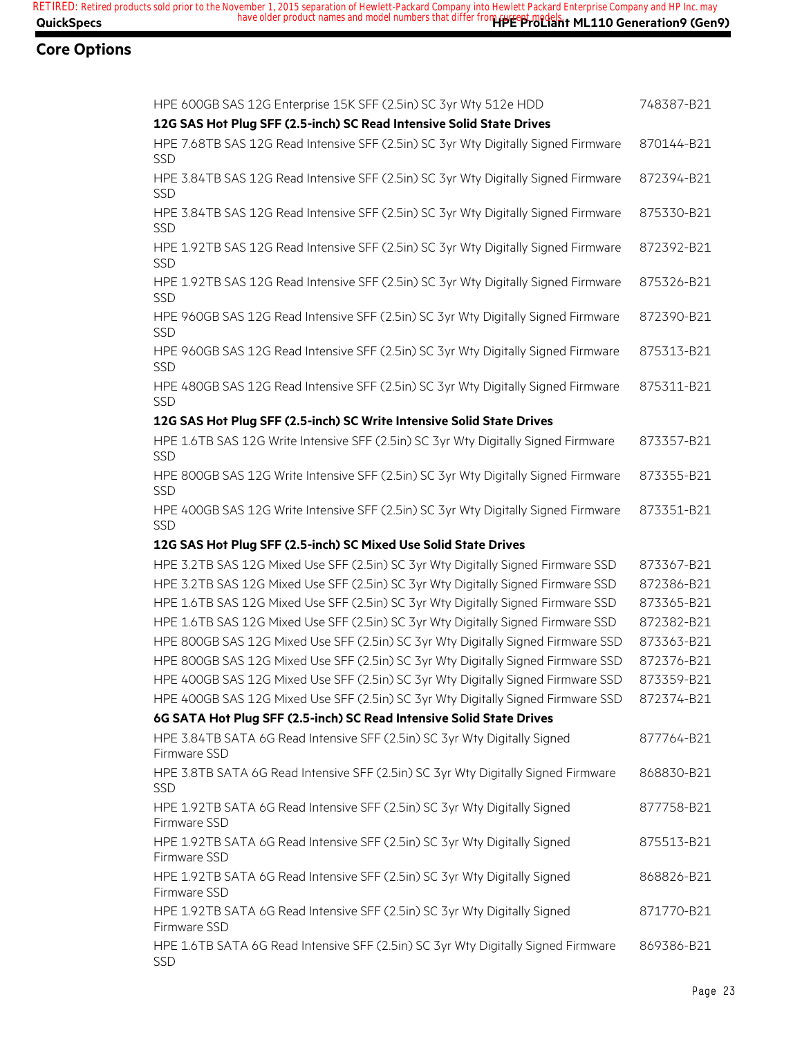| HPE 600GB SAS 12G Enterprise 15K SFF (2.5in) SC 3yr Wty 512e HDD                                 | 748387-B21 |
|--------------------------------------------------------------------------------------------------|------------|
| 12G SAS Hot Plug SFF (2.5-inch) SC Read Intensive Solid State Drives                             |            |
| HPE 7.68TB SAS 12G Read Intensive SFF (2.5in) SC 3yr Wty Digitally Signed Firmware<br><b>SSD</b> | 870144-B21 |
| HPE 3.84TB SAS 12G Read Intensive SFF (2.5in) SC 3yr Wty Digitally Signed Firmware<br>SSD        | 872394-B21 |
| HPE 3.84TB SAS 12G Read Intensive SFF (2.5in) SC 3yr Wty Digitally Signed Firmware<br>SSD        | 875330-B21 |
| HPE 1.92TB SAS 12G Read Intensive SFF (2.5in) SC 3yr Wty Digitally Signed Firmware<br>SSD        | 872392-B21 |
| HPE 1.92TB SAS 12G Read Intensive SFF (2.5in) SC 3yr Wty Digitally Signed Firmware<br><b>SSD</b> | 875326-B21 |
| HPE 960GB SAS 12G Read Intensive SFF (2.5in) SC 3yr Wty Digitally Signed Firmware<br>SSD         | 872390-B21 |
| HPE 960GB SAS 12G Read Intensive SFF (2.5in) SC 3yr Wty Digitally Signed Firmware<br>SSD         | 875313-B21 |
| HPE 480GB SAS 12G Read Intensive SFF (2.5in) SC 3yr Wty Digitally Signed Firmware<br><b>SSD</b>  | 875311-B21 |
| 12G SAS Hot Plug SFF (2.5-inch) SC Write Intensive Solid State Drives                            |            |
| HPE 1.6TB SAS 12G Write Intensive SFF (2.5in) SC 3yr Wty Digitally Signed Firmware<br>SSD        | 873357-B21 |
| HPE 800GB SAS 12G Write Intensive SFF (2.5in) SC 3yr Wty Digitally Signed Firmware<br><b>SSD</b> | 873355-B21 |
| HPE 400GB SAS 12G Write Intensive SFF (2.5in) SC 3yr Wty Digitally Signed Firmware<br>SSD        | 873351-B21 |
| 12G SAS Hot Plug SFF (2.5-inch) SC Mixed Use Solid State Drives                                  |            |
| HPE 3.2TB SAS 12G Mixed Use SFF (2.5in) SC 3yr Wty Digitally Signed Firmware SSD                 | 873367-B21 |
| HPE 3.2TB SAS 12G Mixed Use SFF (2.5in) SC 3yr Wty Digitally Signed Firmware SSD                 | 872386-B21 |
| HPE 1.6TB SAS 12G Mixed Use SFF (2.5in) SC 3yr Wty Digitally Signed Firmware SSD                 | 873365-B21 |
| HPE 1.6TB SAS 12G Mixed Use SFF (2.5in) SC 3yr Wty Digitally Signed Firmware SSD                 | 872382-B21 |
| HPE 800GB SAS 12G Mixed Use SFF (2.5in) SC 3yr Wty Digitally Signed Firmware SSD                 | 873363-B21 |
| HPE 800GB SAS 12G Mixed Use SFF (2.5in) SC 3yr Wty Digitally Signed Firmware SSD                 | 872376-B21 |
| HPE 400GB SAS 12G Mixed Use SFF (2.5in) SC 3yr Wty Digitally Signed Firmware SSD                 | 873359-B21 |
| HPE 400GB SAS 12G Mixed Use SFF (2.5in) SC 3yr Wty Digitally Signed Firmware SSD 872374-B21      |            |
| 6G SATA Hot Plug SFF (2.5-inch) SC Read Intensive Solid State Drives                             |            |
| HPE 3.84TB SATA 6G Read Intensive SFF (2.5in) SC 3yr Wty Digitally Signed                        | 877764-B21 |
| Firmware SSD                                                                                     |            |
| HPE 3.8TB SATA 6G Read Intensive SFF (2.5in) SC 3yr Wty Digitally Signed Firmware<br><b>SSD</b>  | 868830-B21 |
| HPE 1.92TB SATA 6G Read Intensive SFF (2.5in) SC 3yr Wty Digitally Signed<br>Firmware SSD        | 877758-B21 |
| HPE 1.92TB SATA 6G Read Intensive SFF (2.5in) SC 3yr Wty Digitally Signed<br>Firmware SSD        | 875513-B21 |
| HPE 1.92TB SATA 6G Read Intensive SFF (2.5in) SC 3yr Wty Digitally Signed<br>Firmware SSD        | 868826-B21 |
| HPE 1.92TB SATA 6G Read Intensive SFF (2.5in) SC 3yr Wty Digitally Signed<br>Firmware SSD        | 871770-B21 |
| HPE 1.6TB SATA 6G Read Intensive SFF (2.5in) SC 3yr Wty Digitally Signed Firmware<br><b>SSD</b>  | 869386-B21 |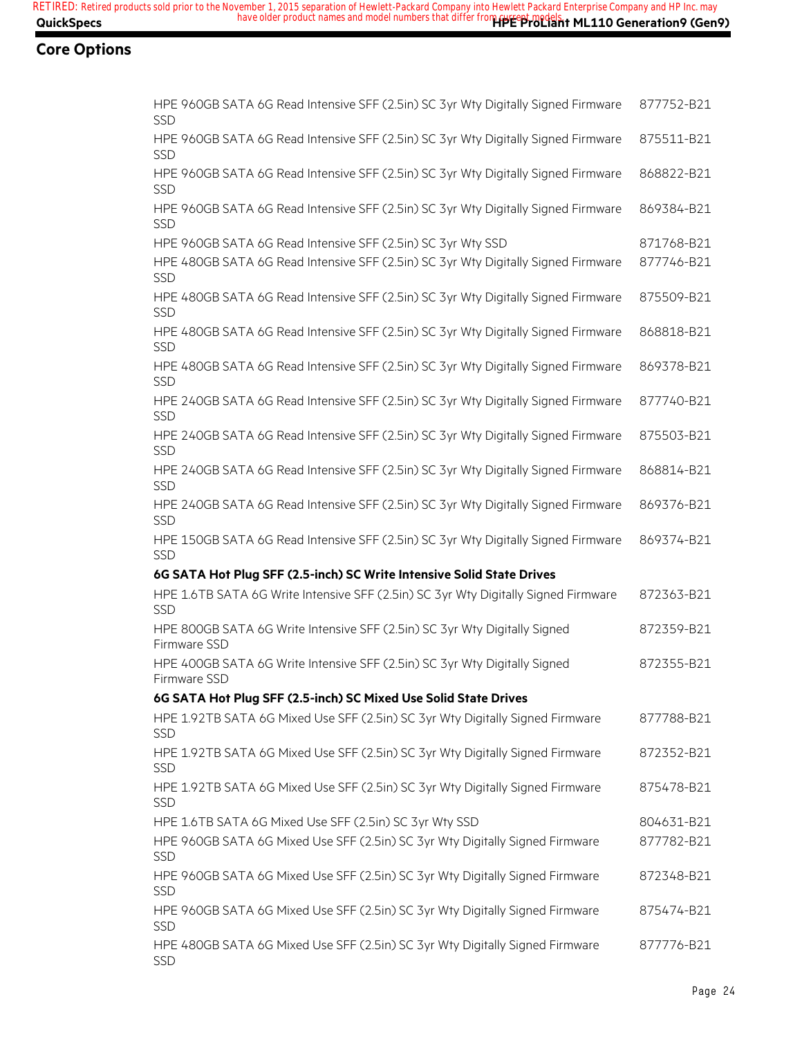| HPE 960GB SATA 6G Read Intensive SFF (2.5in) SC 3yr Wty Digitally Signed Firmware<br><b>SSD</b>  | 877752-B21 |
|--------------------------------------------------------------------------------------------------|------------|
| HPE 960GB SATA 6G Read Intensive SFF (2.5in) SC 3yr Wty Digitally Signed Firmware<br><b>SSD</b>  | 875511-B21 |
| HPE 960GB SATA 6G Read Intensive SFF (2.5in) SC 3yr Wty Digitally Signed Firmware<br>SSD         | 868822-B21 |
| HPE 960GB SATA 6G Read Intensive SFF (2.5in) SC 3yr Wty Digitally Signed Firmware<br>SSD         | 869384-B21 |
| HPE 960GB SATA 6G Read Intensive SFF (2.5in) SC 3yr Wty SSD                                      | 871768-B21 |
| HPE 480GB SATA 6G Read Intensive SFF (2.5in) SC 3yr Wty Digitally Signed Firmware<br>SSD         | 877746-B21 |
| HPE 480GB SATA 6G Read Intensive SFF (2.5in) SC 3yr Wty Digitally Signed Firmware<br><b>SSD</b>  | 875509-B21 |
| HPE 480GB SATA 6G Read Intensive SFF (2.5in) SC 3yr Wty Digitally Signed Firmware<br><b>SSD</b>  | 868818-B21 |
| HPE 480GB SATA 6G Read Intensive SFF (2.5in) SC 3yr Wty Digitally Signed Firmware<br>SSD         | 869378-B21 |
| HPE 240GB SATA 6G Read Intensive SFF (2.5in) SC 3yr Wty Digitally Signed Firmware<br><b>SSD</b>  | 877740-B21 |
| HPE 240GB SATA 6G Read Intensive SFF (2.5in) SC 3yr Wty Digitally Signed Firmware<br>SSD         | 875503-B21 |
| HPE 240GB SATA 6G Read Intensive SFF (2.5in) SC 3yr Wty Digitally Signed Firmware<br><b>SSD</b>  | 868814-B21 |
| HPE 240GB SATA 6G Read Intensive SFF (2.5in) SC 3yr Wty Digitally Signed Firmware<br><b>SSD</b>  | 869376-B21 |
| HPE 150GB SATA 6G Read Intensive SFF (2.5in) SC 3yr Wty Digitally Signed Firmware<br>SSD         | 869374-B21 |
| 6G SATA Hot Plug SFF (2.5-inch) SC Write Intensive Solid State Drives                            |            |
| HPE 1.6TB SATA 6G Write Intensive SFF (2.5in) SC 3yr Wty Digitally Signed Firmware<br><b>SSD</b> | 872363-B21 |
| HPE 800GB SATA 6G Write Intensive SFF (2.5in) SC 3yr Wty Digitally Signed<br>Firmware SSD        | 872359-B21 |
| HPE 400GB SATA 6G Write Intensive SFF (2.5in) SC 3yr Wty Digitally Signed<br>Firmware SSD        | 872355-B21 |
| 6G SATA Hot Plug SFF (2.5-inch) SC Mixed Use Solid State Drives                                  |            |
| HPE 1.92TB SATA 6G Mixed Use SFF (2.5in) SC 3yr Wty Digitally Signed Firmware<br><b>SSD</b>      | 877788-B21 |
| HPE 1.92TB SATA 6G Mixed Use SFF (2.5in) SC 3yr Wty Digitally Signed Firmware<br><b>SSD</b>      | 872352-B21 |
| HPE 1.92TB SATA 6G Mixed Use SFF (2.5in) SC 3yr Wty Digitally Signed Firmware<br><b>SSD</b>      | 875478-B21 |
| HPE 1.6TB SATA 6G Mixed Use SFF (2.5in) SC 3yr Wty SSD                                           |            |
|                                                                                                  | 804631-B21 |
| HPE 960GB SATA 6G Mixed Use SFF (2.5in) SC 3yr Wty Digitally Signed Firmware<br><b>SSD</b>       | 877782-B21 |
| HPE 960GB SATA 6G Mixed Use SFF (2.5in) SC 3yr Wty Digitally Signed Firmware<br>SSD              | 872348-B21 |
| HPE 960GB SATA 6G Mixed Use SFF (2.5in) SC 3yr Wty Digitally Signed Firmware<br><b>SSD</b>       | 875474-B21 |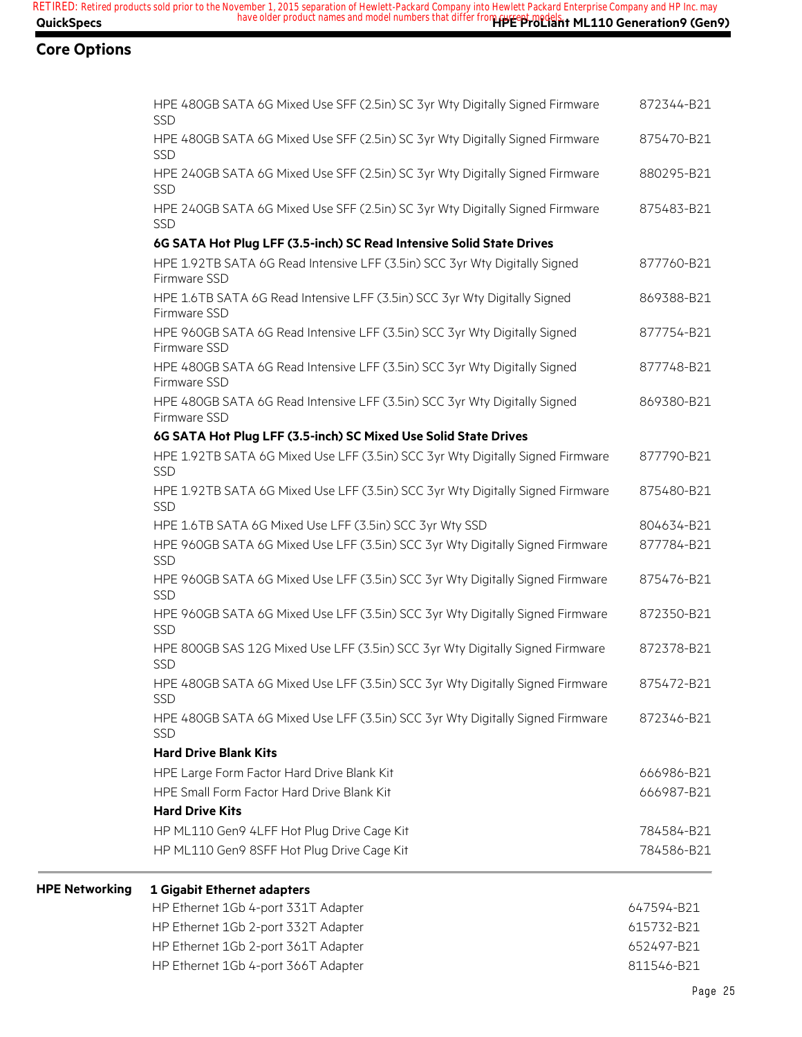**HPE** Networking

| HPE 480GB SATA 6G Mixed Use SFF (2.5in) SC 3yr Wty Digitally Signed Firmware<br><b>SSD</b>   | 872344-B21 |
|----------------------------------------------------------------------------------------------|------------|
| HPE 480GB SATA 6G Mixed Use SFF (2.5in) SC 3yr Wty Digitally Signed Firmware<br><b>SSD</b>   | 875470-B21 |
| HPE 240GB SATA 6G Mixed Use SFF (2.5in) SC 3yr Wty Digitally Signed Firmware<br>SSD          | 880295-B21 |
| HPE 240GB SATA 6G Mixed Use SFF (2.5in) SC 3yr Wty Digitally Signed Firmware<br><b>SSD</b>   | 875483-B21 |
| 6G SATA Hot Plug LFF (3.5-inch) SC Read Intensive Solid State Drives                         |            |
| HPE 1.92TB SATA 6G Read Intensive LFF (3.5in) SCC 3yr Wty Digitally Signed<br>Firmware SSD   | 877760-B21 |
| HPE 1.6TB SATA 6G Read Intensive LFF (3.5in) SCC 3yr Wty Digitally Signed<br>Firmware SSD    | 869388-B21 |
| HPE 960GB SATA 6G Read Intensive LFF (3.5in) SCC 3yr Wty Digitally Signed<br>Firmware SSD    | 877754-B21 |
| HPE 480GB SATA 6G Read Intensive LFF (3.5in) SCC 3yr Wty Digitally Signed<br>Firmware SSD    | 877748-B21 |
| HPE 480GB SATA 6G Read Intensive LFF (3.5in) SCC 3yr Wty Digitally Signed<br>Firmware SSD    | 869380-B21 |
| 6G SATA Hot Plug LFF (3.5-inch) SC Mixed Use Solid State Drives                              |            |
| HPE 1.92TB SATA 6G Mixed Use LFF (3.5in) SCC 3yr Wty Digitally Signed Firmware<br><b>SSD</b> | 877790-B21 |
| HPE 1.92TB SATA 6G Mixed Use LFF (3.5in) SCC 3yr Wty Digitally Signed Firmware<br><b>SSD</b> | 875480-B21 |
| HPE 1.6TB SATA 6G Mixed Use LFF (3.5in) SCC 3yr Wty SSD                                      | 804634-B21 |
| HPE 960GB SATA 6G Mixed Use LFF (3.5in) SCC 3yr Wty Digitally Signed Firmware<br>SSD         | 877784-B21 |
| HPE 960GB SATA 6G Mixed Use LFF (3.5in) SCC 3yr Wty Digitally Signed Firmware<br><b>SSD</b>  | 875476-B21 |
| HPE 960GB SATA 6G Mixed Use LFF (3.5in) SCC 3yr Wty Digitally Signed Firmware<br>SSD         | 872350-B21 |
| HPE 800GB SAS 12G Mixed Use LFF (3.5in) SCC 3yr Wty Digitally Signed Firmware<br>SSD         | 872378-B21 |
| HPE 480GB SATA 6G Mixed Use LFF (3.5in) SCC 3yr Wty Digitally Signed Firmware<br><b>SSD</b>  | 875472-B21 |
| HPE 480GB SATA 6G Mixed Use LFF (3.5in) SCC 3yr Wty Digitally Signed Firmware<br>SSD         | 872346-B21 |
| <b>Hard Drive Blank Kits</b>                                                                 |            |
| HPE Large Form Factor Hard Drive Blank Kit                                                   | 666986-B21 |
| HPE Small Form Factor Hard Drive Blank Kit                                                   | 666987-B21 |
| <b>Hard Drive Kits</b>                                                                       |            |
| HP ML110 Gen9 4LFF Hot Plug Drive Cage Kit                                                   | 784584-B21 |
| HP ML110 Gen9 8SFF Hot Plug Drive Cage Kit                                                   | 784586-B21 |
| 1 Gigabit Ethernet adapters                                                                  |            |
| HP Ethernet 1Gb 4-port 331T Adapter                                                          | 647594-B21 |
| HP Ethernet 1Gb 2-port 332T Adapter                                                          | 615732-B21 |

HP Ethernet 1Gb 2-port 361T Adapter 652497-B21 HP Ethernet 1Gb 4-port 366T Adapter 811546-B21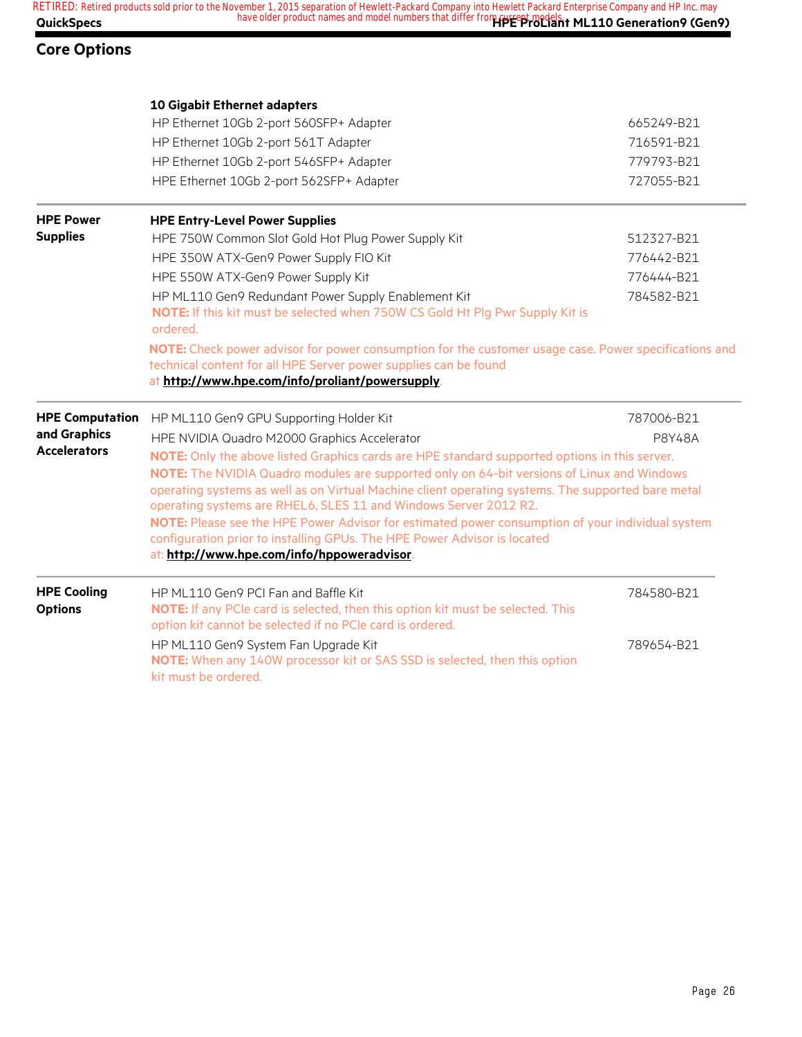|                   | RETIRED: Retired products sold prior to the November 1, 2015 separation of Hewlett-Packard Company into Hewlett Packard Enterprise Company and HP Inc. may |
|-------------------|------------------------------------------------------------------------------------------------------------------------------------------------------------|
| <b>QuickSpecs</b> | have older product names and model numbers that differ from reversing dels, t ML110 Generation 9 (Gen 9)                                                   |

|                                      | 10 Gigabit Ethernet adapters                                                                                                                                                                                                                                                                                                                                          |               |
|--------------------------------------|-----------------------------------------------------------------------------------------------------------------------------------------------------------------------------------------------------------------------------------------------------------------------------------------------------------------------------------------------------------------------|---------------|
|                                      | HP Ethernet 10Gb 2-port 560SFP+ Adapter                                                                                                                                                                                                                                                                                                                               | 665249-B21    |
|                                      | HP Ethernet 10Gb 2-port 561T Adapter                                                                                                                                                                                                                                                                                                                                  | 716591-B21    |
|                                      | HP Ethernet 10Gb 2-port 546SFP+ Adapter                                                                                                                                                                                                                                                                                                                               | 779793-B21    |
|                                      | HPE Ethernet 10Gb 2-port 562SFP+ Adapter                                                                                                                                                                                                                                                                                                                              | 727055-B21    |
| <b>HPE Power</b>                     | <b>HPE Entry-Level Power Supplies</b>                                                                                                                                                                                                                                                                                                                                 |               |
| <b>Supplies</b>                      | HPE 750W Common Slot Gold Hot Plug Power Supply Kit                                                                                                                                                                                                                                                                                                                   | 512327-B21    |
|                                      | HPE 350W ATX-Gen9 Power Supply FIO Kit                                                                                                                                                                                                                                                                                                                                | 776442-B21    |
|                                      | HPE 550W ATX-Gen9 Power Supply Kit                                                                                                                                                                                                                                                                                                                                    | 776444-B21    |
|                                      | HP ML110 Gen9 Redundant Power Supply Enablement Kit<br>NOTE: If this kit must be selected when 750W CS Gold Ht Plg Pwr Supply Kit is<br>ordered.                                                                                                                                                                                                                      | 784582-B21    |
|                                      | NOTE: Check power advisor for power consumption for the customer usage case. Power specifications and<br>technical content for all HPE Server power supplies can be found<br>at http://www.hpe.com/info/proliant/powersupply.                                                                                                                                         |               |
| <b>HPE Computation</b>               | HP ML110 Gen9 GPU Supporting Holder Kit                                                                                                                                                                                                                                                                                                                               | 787006-B21    |
| and Graphics                         | HPE NVIDIA Quadro M2000 Graphics Accelerator                                                                                                                                                                                                                                                                                                                          | <b>P8Y48A</b> |
| <b>Accelerators</b>                  | NOTE: Only the above listed Graphics cards are HPE standard supported options in this server.<br>NOTE: The NVIDIA Quadro modules are supported only on 64-bit versions of Linux and Windows<br>operating systems as well as on Virtual Machine client operating systems. The supported bare metal<br>operating systems are RHEL6, SLES 11 and Windows Server 2012 R2. |               |
|                                      | NOTE: Please see the HPE Power Advisor for estimated power consumption of your individual system<br>configuration prior to installing GPUs. The HPE Power Advisor is located<br>at: http://www.hpe.com/info/hppoweradvisor.                                                                                                                                           |               |
| <b>HPE Cooling</b><br><b>Options</b> | HP ML110 Gen9 PCI Fan and Baffle Kit<br>NOTE: If any PCIe card is selected, then this option kit must be selected. This<br>option kit cannot be selected if no PCIe card is ordered.                                                                                                                                                                                  | 784580-B21    |
|                                      | HP ML110 Gen9 System Fan Upgrade Kit<br>NOTE: When any 140W processor kit or SAS SSD is selected, then this option<br>kit must be ordered.                                                                                                                                                                                                                            | 789654-B21    |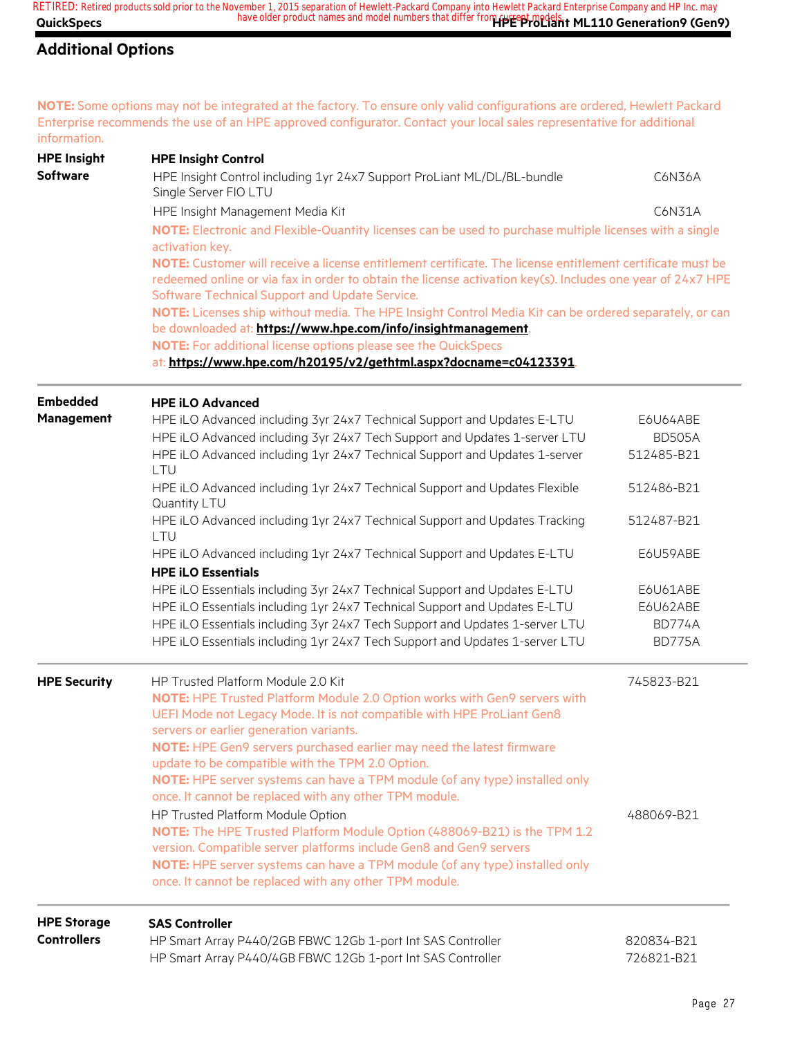#### **Additional Options**

**NOTE:** Some options may not be integrated at the factory. To ensure only valid configurations are ordered, Hewlett Packard Enterprise recommends the use of an HPE approved configurator. Contact your local sales representative for additional information.

| <b>HPE Insight</b>  | <b>HPE Insight Control</b>                                                                                                                                                                                                                                                 |               |
|---------------------|----------------------------------------------------------------------------------------------------------------------------------------------------------------------------------------------------------------------------------------------------------------------------|---------------|
| <b>Software</b>     | HPE Insight Control including 1yr 24x7 Support ProLiant ML/DL/BL-bundle<br>Single Server FIO LTU                                                                                                                                                                           | C6N36A        |
|                     | HPE Insight Management Media Kit                                                                                                                                                                                                                                           | C6N31A        |
|                     | NOTE: Electronic and Flexible-Quantity licenses can be used to purchase multiple licenses with a single<br>activation key.                                                                                                                                                 |               |
|                     | NOTE: Customer will receive a license entitlement certificate. The license entitlement certificate must be<br>redeemed online or via fax in order to obtain the license activation key(s). Includes one year of 24x7 HPE<br>Software Technical Support and Update Service. |               |
|                     | NOTE: Licenses ship without media. The HPE Insight Control Media Kit can be ordered separately, or can<br>be downloaded at: https://www.hpe.com/info/insightmanagement.                                                                                                    |               |
|                     | NOTE: For additional license options please see the QuickSpecs                                                                                                                                                                                                             |               |
|                     | at: https://www.hpe.com/h20195/v2/gethtml.aspx?docname=c04123391.                                                                                                                                                                                                          |               |
| <b>Embedded</b>     | <b>HPE iLO Advanced</b>                                                                                                                                                                                                                                                    |               |
| Management          | HPE iLO Advanced including 3yr 24x7 Technical Support and Updates E-LTU                                                                                                                                                                                                    | E6U64ABE      |
|                     | HPE iLO Advanced including 3yr 24x7 Tech Support and Updates 1-server LTU                                                                                                                                                                                                  | <b>BD505A</b> |
|                     | HPE iLO Advanced including 1yr 24x7 Technical Support and Updates 1-server<br>LTU                                                                                                                                                                                          | 512485-B21    |
|                     | HPE iLO Advanced including 1yr 24x7 Technical Support and Updates Flexible<br>Quantity LTU                                                                                                                                                                                 | 512486-B21    |
|                     | HPE iLO Advanced including 1yr 24x7 Technical Support and Updates Tracking<br>LTU                                                                                                                                                                                          | 512487-B21    |
|                     | HPE iLO Advanced including 1yr 24x7 Technical Support and Updates E-LTU                                                                                                                                                                                                    | E6U59ABE      |
|                     | <b>HPE iLO Essentials</b>                                                                                                                                                                                                                                                  |               |
|                     | HPE iLO Essentials including 3yr 24x7 Technical Support and Updates E-LTU                                                                                                                                                                                                  | E6U61ABE      |
|                     | HPE iLO Essentials including 1yr 24x7 Technical Support and Updates E-LTU                                                                                                                                                                                                  | E6U62ABE      |
|                     | HPE iLO Essentials including 3yr 24x7 Tech Support and Updates 1-server LTU                                                                                                                                                                                                | <b>BD774A</b> |
|                     | HPE iLO Essentials including 1yr 24x7 Tech Support and Updates 1-server LTU                                                                                                                                                                                                | <b>BD775A</b> |
| <b>HPE Security</b> | HP Trusted Platform Module 2.0 Kit                                                                                                                                                                                                                                         | 745823-B21    |
|                     | NOTE: HPE Trusted Platform Module 2.0 Option works with Gen9 servers with<br>UEFI Mode not Legacy Mode. It is not compatible with HPE ProLiant Gen8<br>servers or earlier generation variants.                                                                             |               |
|                     | NOTE: HPE Gen9 servers purchased earlier may need the latest firmware<br>update to be compatible with the TPM 2.0 Option.                                                                                                                                                  |               |
|                     | NOTE: HPE server systems can have a TPM module (of any type) installed only<br>once. It cannot be replaced with any other TPM module.                                                                                                                                      |               |
|                     | HP Trusted Platform Module Option                                                                                                                                                                                                                                          | 488069-B21    |
|                     | NOTE: The HPE Trusted Platform Module Option (488069-B21) is the TPM 1.2                                                                                                                                                                                                   |               |
|                     | version. Compatible server platforms include Gen8 and Gen9 servers                                                                                                                                                                                                         |               |
|                     | NOTE: HPE server systems can have a TPM module (of any type) installed only                                                                                                                                                                                                |               |
|                     | once. It cannot be replaced with any other TPM module.                                                                                                                                                                                                                     |               |
| <b>HPE Storage</b>  | <b>SAS Controller</b>                                                                                                                                                                                                                                                      |               |
| <b>Controllers</b>  | HP Smart Array P440/2GB FBWC 12Gb 1-port Int SAS Controller                                                                                                                                                                                                                | 820834-B21    |
|                     | HP Smart Array P440/4GB FBWC 12Gb 1-port Int SAS Controller                                                                                                                                                                                                                | 726821-B21    |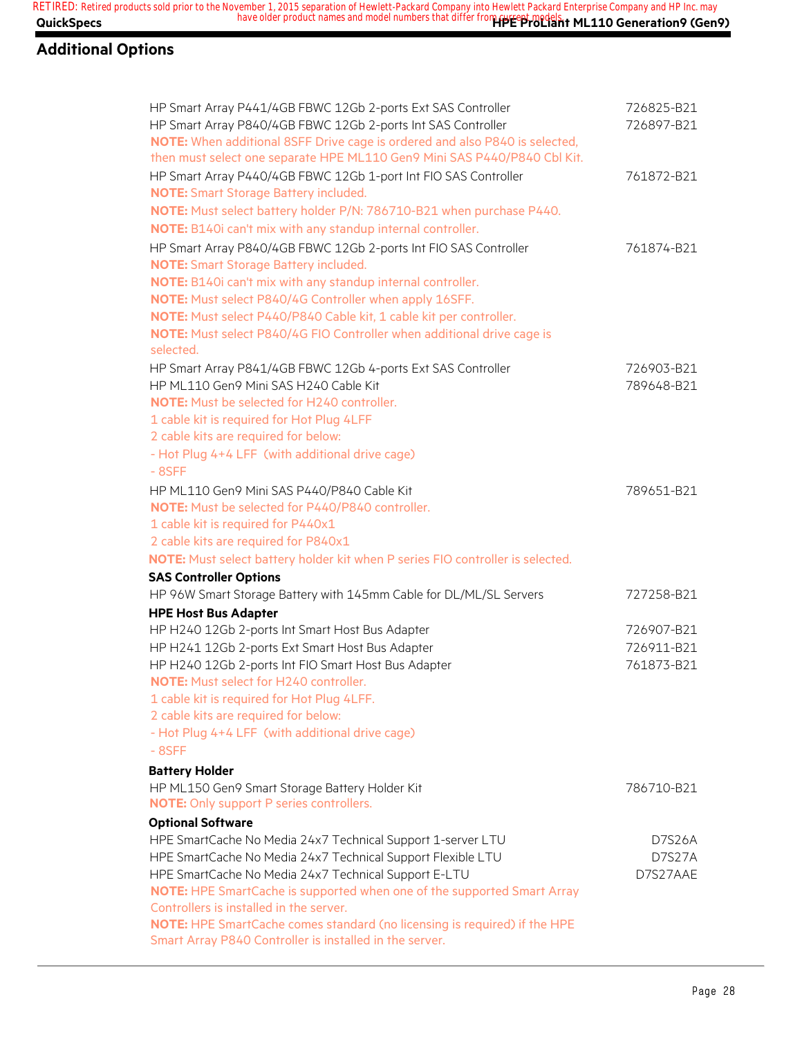### **Additional Options**

| HP Smart Array P441/4GB FBWC 12Gb 2-ports Ext SAS Controller<br>HP Smart Array P840/4GB FBWC 12Gb 2-ports Int SAS Controller<br>NOTE: When additional 8SFF Drive cage is ordered and also P840 is selected,<br>then must select one separate HPE ML110 Gen9 Mini SAS P440/P840 Cbl Kit.                                                                                                                                                                                      | 726825-B21<br>726897-B21               |
|------------------------------------------------------------------------------------------------------------------------------------------------------------------------------------------------------------------------------------------------------------------------------------------------------------------------------------------------------------------------------------------------------------------------------------------------------------------------------|----------------------------------------|
| HP Smart Array P440/4GB FBWC 12Gb 1-port Int FIO SAS Controller<br><b>NOTE:</b> Smart Storage Battery included.<br>NOTE: Must select battery holder P/N: 786710-B21 when purchase P440.<br>NOTE: B140i can't mix with any standup internal controller.                                                                                                                                                                                                                       | 761872-B21                             |
| HP Smart Array P840/4GB FBWC 12Gb 2-ports Int FIO SAS Controller<br><b>NOTE:</b> Smart Storage Battery included.<br>NOTE: B140i can't mix with any standup internal controller.<br>NOTE: Must select P840/4G Controller when apply 16SFF.<br>NOTE: Must select P440/P840 Cable kit, 1 cable kit per controller.<br>NOTE: Must select P840/4G FIO Controller when additional drive cage is<br>selected.                                                                       | 761874-B21                             |
| HP Smart Array P841/4GB FBWC 12Gb 4-ports Ext SAS Controller<br>HP ML110 Gen9 Mini SAS H240 Cable Kit<br><b>NOTE:</b> Must be selected for H240 controller.<br>1 cable kit is required for Hot Plug 4LFF<br>2 cable kits are required for below:<br>- Hot Plug 4+4 LFF (with additional drive cage)<br>$-8SFF$                                                                                                                                                               | 726903-B21<br>789648-B21               |
| HP ML110 Gen9 Mini SAS P440/P840 Cable Kit<br>NOTE: Must be selected for P440/P840 controller.<br>1 cable kit is required for P440x1<br>2 cable kits are required for P840x1<br>NOTE: Must select battery holder kit when P series FIO controller is selected.                                                                                                                                                                                                               | 789651-B21                             |
| <b>SAS Controller Options</b><br>HP 96W Smart Storage Battery with 145mm Cable for DL/ML/SL Servers                                                                                                                                                                                                                                                                                                                                                                          | 727258-B21                             |
| <b>HPE Host Bus Adapter</b><br>HP H240 12Gb 2-ports Int Smart Host Bus Adapter<br>HP H241 12Gb 2-ports Ext Smart Host Bus Adapter<br>HP H240 12Gb 2-ports Int FIO Smart Host Bus Adapter<br><b>NOTE:</b> Must select for H240 controller.<br>1 cable kit is required for Hot Plug 4LFF.<br>2 cable kits are required for below:<br>- Hot Plug 4+4 LFF (with additional drive cage)<br>$-8SFF$                                                                                | 726907-B21<br>726911-B21<br>761873-B21 |
| <b>Battery Holder</b><br>HP ML150 Gen9 Smart Storage Battery Holder Kit<br><b>NOTE:</b> Only support P series controllers.                                                                                                                                                                                                                                                                                                                                                   | 786710-B21                             |
| <b>Optional Software</b><br>HPE SmartCache No Media 24x7 Technical Support 1-server LTU<br>HPE SmartCache No Media 24x7 Technical Support Flexible LTU<br>HPE SmartCache No Media 24x7 Technical Support E-LTU<br>NOTE: HPE SmartCache is supported when one of the supported Smart Array<br>Controllers is installed in the server.<br>NOTE: HPE SmartCache comes standard (no licensing is required) if the HPE<br>Smart Array P840 Controller is installed in the server. | D7S26A<br>D7S27A<br>D7S27AAE           |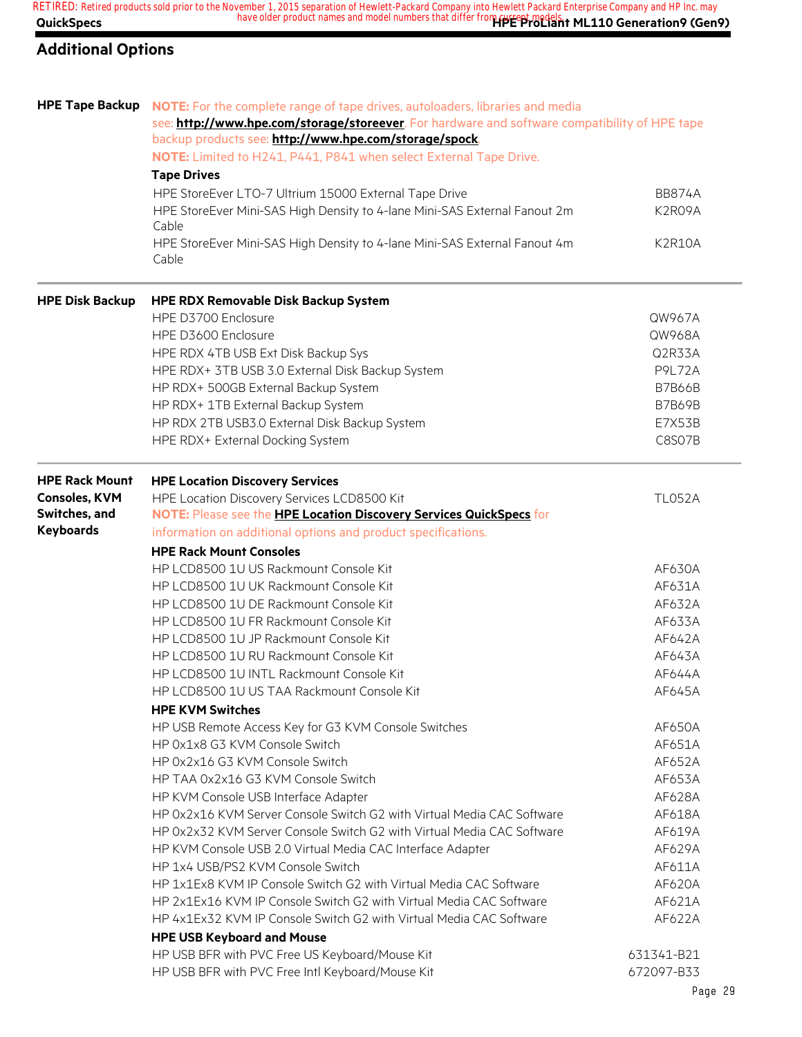### **Additional Options**

| see: http://www.hpe.com/storage/storeever. For hardware and software compatibility of HPE tape<br>backup products see: http://www.hpe.com/storage/spock.<br>NOTE: Limited to H241, P441, P841 when select External Tape Drive.<br><b>Tape Drives</b><br>HPE StoreEver LTO-7 Ultrium 15000 External Tape Drive<br><b>BB874A</b><br>HPE StoreEver Mini-SAS High Density to 4-lane Mini-SAS External Fanout 2m<br>K2R09A<br>Cable<br>HPE StoreEver Mini-SAS High Density to 4-lane Mini-SAS External Fanout 4m<br><b>K2R10A</b><br>Cable<br><b>HPE RDX Removable Disk Backup System</b><br>HPE D3700 Enclosure<br>QW967A<br>HPE D3600 Enclosure<br>QW968A<br>HPE RDX 4TB USB Ext Disk Backup Sys<br>Q2R33A<br>HPE RDX+ 3TB USB 3.0 External Disk Backup System<br><b>P9L72A</b><br>HP RDX+ 500GB External Backup System<br><b>B7B66B</b><br>HP RDX+ 1TB External Backup System<br><b>B7B69B</b><br>HP RDX 2TB USB3.0 External Disk Backup System<br>E7X53B<br>C8S07B<br>HPE RDX+ External Docking System<br><b>HPE Rack Mount</b><br><b>HPE Location Discovery Services</b><br><b>Consoles, KVM</b><br><b>TL052A</b><br>HPE Location Discovery Services LCD8500 Kit<br>Switches, and<br>NOTE: Please see the HPE Location Discovery Services QuickSpecs for<br><b>Keyboards</b><br>information on additional options and product specifications.<br><b>HPE Rack Mount Consoles</b><br>HP LCD8500 1U US Rackmount Console Kit<br>AF630A<br>HP LCD8500 1U UK Rackmount Console Kit<br>AF631A<br>HP LCD8500 1U DE Rackmount Console Kit<br>AF632A<br>HP LCD8500 1U FR Rackmount Console Kit<br>AF633A<br>HP LCD8500 1U JP Rackmount Console Kit<br>AF642A<br>HP LCD8500 1U RU Rackmount Console Kit<br>AF643A<br>HP LCD8500 1U INTL Rackmount Console Kit<br>AF644A<br>HP LCD8500 1U US TAA Rackmount Console Kit<br>AF645A<br><b>HPE KVM Switches</b><br>HP USB Remote Access Key for G3 KVM Console Switches<br>AF650A<br>HP 0x1x8 G3 KVM Console Switch<br>AF651A<br>HP 0x2x16 G3 KVM Console Switch<br>AF652A<br>HP TAA 0x2x16 G3 KVM Console Switch<br>AF653A<br>HP KVM Console USB Interface Adapter<br>AF628A<br>HP 0x2x16 KVM Server Console Switch G2 with Virtual Media CAC Software<br>AF618A<br>HP 0x2x32 KVM Server Console Switch G2 with Virtual Media CAC Software<br>AF619A<br>HP KVM Console USB 2.0 Virtual Media CAC Interface Adapter<br>AF629A<br>HP 1x4 USB/PS2 KVM Console Switch<br>AF611A<br>HP 1x1Ex8 KVM IP Console Switch G2 with Virtual Media CAC Software<br>AF620A<br>HP 2x1Ex16 KVM IP Console Switch G2 with Virtual Media CAC Software<br>AF621A<br>HP 4x1Ex32 KVM IP Console Switch G2 with Virtual Media CAC Software<br>AF622A<br><b>HPE USB Keyboard and Mouse</b><br>HP USB BFR with PVC Free US Keyboard/Mouse Kit<br>631341-B21<br>HP USB BFR with PVC Free Intl Keyboard/Mouse Kit<br>672097-B33 | <b>HPE Tape Backup</b> | NOTE: For the complete range of tape drives, autoloaders, libraries and media |  |
|----------------------------------------------------------------------------------------------------------------------------------------------------------------------------------------------------------------------------------------------------------------------------------------------------------------------------------------------------------------------------------------------------------------------------------------------------------------------------------------------------------------------------------------------------------------------------------------------------------------------------------------------------------------------------------------------------------------------------------------------------------------------------------------------------------------------------------------------------------------------------------------------------------------------------------------------------------------------------------------------------------------------------------------------------------------------------------------------------------------------------------------------------------------------------------------------------------------------------------------------------------------------------------------------------------------------------------------------------------------------------------------------------------------------------------------------------------------------------------------------------------------------------------------------------------------------------------------------------------------------------------------------------------------------------------------------------------------------------------------------------------------------------------------------------------------------------------------------------------------------------------------------------------------------------------------------------------------------------------------------------------------------------------------------------------------------------------------------------------------------------------------------------------------------------------------------------------------------------------------------------------------------------------------------------------------------------------------------------------------------------------------------------------------------------------------------------------------------------------------------------------------------------------------------------------------------------------------------------------------------------------------------------------------------------------------------------------------------------------------------------------------------------------------------------------------------------------------|------------------------|-------------------------------------------------------------------------------|--|
|                                                                                                                                                                                                                                                                                                                                                                                                                                                                                                                                                                                                                                                                                                                                                                                                                                                                                                                                                                                                                                                                                                                                                                                                                                                                                                                                                                                                                                                                                                                                                                                                                                                                                                                                                                                                                                                                                                                                                                                                                                                                                                                                                                                                                                                                                                                                                                                                                                                                                                                                                                                                                                                                                                                                                                                                                                        |                        |                                                                               |  |
|                                                                                                                                                                                                                                                                                                                                                                                                                                                                                                                                                                                                                                                                                                                                                                                                                                                                                                                                                                                                                                                                                                                                                                                                                                                                                                                                                                                                                                                                                                                                                                                                                                                                                                                                                                                                                                                                                                                                                                                                                                                                                                                                                                                                                                                                                                                                                                                                                                                                                                                                                                                                                                                                                                                                                                                                                                        |                        |                                                                               |  |
|                                                                                                                                                                                                                                                                                                                                                                                                                                                                                                                                                                                                                                                                                                                                                                                                                                                                                                                                                                                                                                                                                                                                                                                                                                                                                                                                                                                                                                                                                                                                                                                                                                                                                                                                                                                                                                                                                                                                                                                                                                                                                                                                                                                                                                                                                                                                                                                                                                                                                                                                                                                                                                                                                                                                                                                                                                        |                        |                                                                               |  |
|                                                                                                                                                                                                                                                                                                                                                                                                                                                                                                                                                                                                                                                                                                                                                                                                                                                                                                                                                                                                                                                                                                                                                                                                                                                                                                                                                                                                                                                                                                                                                                                                                                                                                                                                                                                                                                                                                                                                                                                                                                                                                                                                                                                                                                                                                                                                                                                                                                                                                                                                                                                                                                                                                                                                                                                                                                        |                        |                                                                               |  |
|                                                                                                                                                                                                                                                                                                                                                                                                                                                                                                                                                                                                                                                                                                                                                                                                                                                                                                                                                                                                                                                                                                                                                                                                                                                                                                                                                                                                                                                                                                                                                                                                                                                                                                                                                                                                                                                                                                                                                                                                                                                                                                                                                                                                                                                                                                                                                                                                                                                                                                                                                                                                                                                                                                                                                                                                                                        |                        |                                                                               |  |
|                                                                                                                                                                                                                                                                                                                                                                                                                                                                                                                                                                                                                                                                                                                                                                                                                                                                                                                                                                                                                                                                                                                                                                                                                                                                                                                                                                                                                                                                                                                                                                                                                                                                                                                                                                                                                                                                                                                                                                                                                                                                                                                                                                                                                                                                                                                                                                                                                                                                                                                                                                                                                                                                                                                                                                                                                                        |                        |                                                                               |  |
|                                                                                                                                                                                                                                                                                                                                                                                                                                                                                                                                                                                                                                                                                                                                                                                                                                                                                                                                                                                                                                                                                                                                                                                                                                                                                                                                                                                                                                                                                                                                                                                                                                                                                                                                                                                                                                                                                                                                                                                                                                                                                                                                                                                                                                                                                                                                                                                                                                                                                                                                                                                                                                                                                                                                                                                                                                        |                        |                                                                               |  |
|                                                                                                                                                                                                                                                                                                                                                                                                                                                                                                                                                                                                                                                                                                                                                                                                                                                                                                                                                                                                                                                                                                                                                                                                                                                                                                                                                                                                                                                                                                                                                                                                                                                                                                                                                                                                                                                                                                                                                                                                                                                                                                                                                                                                                                                                                                                                                                                                                                                                                                                                                                                                                                                                                                                                                                                                                                        |                        |                                                                               |  |
|                                                                                                                                                                                                                                                                                                                                                                                                                                                                                                                                                                                                                                                                                                                                                                                                                                                                                                                                                                                                                                                                                                                                                                                                                                                                                                                                                                                                                                                                                                                                                                                                                                                                                                                                                                                                                                                                                                                                                                                                                                                                                                                                                                                                                                                                                                                                                                                                                                                                                                                                                                                                                                                                                                                                                                                                                                        | <b>HPE Disk Backup</b> |                                                                               |  |
|                                                                                                                                                                                                                                                                                                                                                                                                                                                                                                                                                                                                                                                                                                                                                                                                                                                                                                                                                                                                                                                                                                                                                                                                                                                                                                                                                                                                                                                                                                                                                                                                                                                                                                                                                                                                                                                                                                                                                                                                                                                                                                                                                                                                                                                                                                                                                                                                                                                                                                                                                                                                                                                                                                                                                                                                                                        |                        |                                                                               |  |
|                                                                                                                                                                                                                                                                                                                                                                                                                                                                                                                                                                                                                                                                                                                                                                                                                                                                                                                                                                                                                                                                                                                                                                                                                                                                                                                                                                                                                                                                                                                                                                                                                                                                                                                                                                                                                                                                                                                                                                                                                                                                                                                                                                                                                                                                                                                                                                                                                                                                                                                                                                                                                                                                                                                                                                                                                                        |                        |                                                                               |  |
|                                                                                                                                                                                                                                                                                                                                                                                                                                                                                                                                                                                                                                                                                                                                                                                                                                                                                                                                                                                                                                                                                                                                                                                                                                                                                                                                                                                                                                                                                                                                                                                                                                                                                                                                                                                                                                                                                                                                                                                                                                                                                                                                                                                                                                                                                                                                                                                                                                                                                                                                                                                                                                                                                                                                                                                                                                        |                        |                                                                               |  |
|                                                                                                                                                                                                                                                                                                                                                                                                                                                                                                                                                                                                                                                                                                                                                                                                                                                                                                                                                                                                                                                                                                                                                                                                                                                                                                                                                                                                                                                                                                                                                                                                                                                                                                                                                                                                                                                                                                                                                                                                                                                                                                                                                                                                                                                                                                                                                                                                                                                                                                                                                                                                                                                                                                                                                                                                                                        |                        |                                                                               |  |
|                                                                                                                                                                                                                                                                                                                                                                                                                                                                                                                                                                                                                                                                                                                                                                                                                                                                                                                                                                                                                                                                                                                                                                                                                                                                                                                                                                                                                                                                                                                                                                                                                                                                                                                                                                                                                                                                                                                                                                                                                                                                                                                                                                                                                                                                                                                                                                                                                                                                                                                                                                                                                                                                                                                                                                                                                                        |                        |                                                                               |  |
|                                                                                                                                                                                                                                                                                                                                                                                                                                                                                                                                                                                                                                                                                                                                                                                                                                                                                                                                                                                                                                                                                                                                                                                                                                                                                                                                                                                                                                                                                                                                                                                                                                                                                                                                                                                                                                                                                                                                                                                                                                                                                                                                                                                                                                                                                                                                                                                                                                                                                                                                                                                                                                                                                                                                                                                                                                        |                        |                                                                               |  |
|                                                                                                                                                                                                                                                                                                                                                                                                                                                                                                                                                                                                                                                                                                                                                                                                                                                                                                                                                                                                                                                                                                                                                                                                                                                                                                                                                                                                                                                                                                                                                                                                                                                                                                                                                                                                                                                                                                                                                                                                                                                                                                                                                                                                                                                                                                                                                                                                                                                                                                                                                                                                                                                                                                                                                                                                                                        |                        |                                                                               |  |
|                                                                                                                                                                                                                                                                                                                                                                                                                                                                                                                                                                                                                                                                                                                                                                                                                                                                                                                                                                                                                                                                                                                                                                                                                                                                                                                                                                                                                                                                                                                                                                                                                                                                                                                                                                                                                                                                                                                                                                                                                                                                                                                                                                                                                                                                                                                                                                                                                                                                                                                                                                                                                                                                                                                                                                                                                                        |                        |                                                                               |  |
|                                                                                                                                                                                                                                                                                                                                                                                                                                                                                                                                                                                                                                                                                                                                                                                                                                                                                                                                                                                                                                                                                                                                                                                                                                                                                                                                                                                                                                                                                                                                                                                                                                                                                                                                                                                                                                                                                                                                                                                                                                                                                                                                                                                                                                                                                                                                                                                                                                                                                                                                                                                                                                                                                                                                                                                                                                        |                        |                                                                               |  |
|                                                                                                                                                                                                                                                                                                                                                                                                                                                                                                                                                                                                                                                                                                                                                                                                                                                                                                                                                                                                                                                                                                                                                                                                                                                                                                                                                                                                                                                                                                                                                                                                                                                                                                                                                                                                                                                                                                                                                                                                                                                                                                                                                                                                                                                                                                                                                                                                                                                                                                                                                                                                                                                                                                                                                                                                                                        |                        |                                                                               |  |
|                                                                                                                                                                                                                                                                                                                                                                                                                                                                                                                                                                                                                                                                                                                                                                                                                                                                                                                                                                                                                                                                                                                                                                                                                                                                                                                                                                                                                                                                                                                                                                                                                                                                                                                                                                                                                                                                                                                                                                                                                                                                                                                                                                                                                                                                                                                                                                                                                                                                                                                                                                                                                                                                                                                                                                                                                                        |                        |                                                                               |  |
|                                                                                                                                                                                                                                                                                                                                                                                                                                                                                                                                                                                                                                                                                                                                                                                                                                                                                                                                                                                                                                                                                                                                                                                                                                                                                                                                                                                                                                                                                                                                                                                                                                                                                                                                                                                                                                                                                                                                                                                                                                                                                                                                                                                                                                                                                                                                                                                                                                                                                                                                                                                                                                                                                                                                                                                                                                        |                        |                                                                               |  |
|                                                                                                                                                                                                                                                                                                                                                                                                                                                                                                                                                                                                                                                                                                                                                                                                                                                                                                                                                                                                                                                                                                                                                                                                                                                                                                                                                                                                                                                                                                                                                                                                                                                                                                                                                                                                                                                                                                                                                                                                                                                                                                                                                                                                                                                                                                                                                                                                                                                                                                                                                                                                                                                                                                                                                                                                                                        |                        |                                                                               |  |
|                                                                                                                                                                                                                                                                                                                                                                                                                                                                                                                                                                                                                                                                                                                                                                                                                                                                                                                                                                                                                                                                                                                                                                                                                                                                                                                                                                                                                                                                                                                                                                                                                                                                                                                                                                                                                                                                                                                                                                                                                                                                                                                                                                                                                                                                                                                                                                                                                                                                                                                                                                                                                                                                                                                                                                                                                                        |                        |                                                                               |  |
|                                                                                                                                                                                                                                                                                                                                                                                                                                                                                                                                                                                                                                                                                                                                                                                                                                                                                                                                                                                                                                                                                                                                                                                                                                                                                                                                                                                                                                                                                                                                                                                                                                                                                                                                                                                                                                                                                                                                                                                                                                                                                                                                                                                                                                                                                                                                                                                                                                                                                                                                                                                                                                                                                                                                                                                                                                        |                        |                                                                               |  |
|                                                                                                                                                                                                                                                                                                                                                                                                                                                                                                                                                                                                                                                                                                                                                                                                                                                                                                                                                                                                                                                                                                                                                                                                                                                                                                                                                                                                                                                                                                                                                                                                                                                                                                                                                                                                                                                                                                                                                                                                                                                                                                                                                                                                                                                                                                                                                                                                                                                                                                                                                                                                                                                                                                                                                                                                                                        |                        |                                                                               |  |
|                                                                                                                                                                                                                                                                                                                                                                                                                                                                                                                                                                                                                                                                                                                                                                                                                                                                                                                                                                                                                                                                                                                                                                                                                                                                                                                                                                                                                                                                                                                                                                                                                                                                                                                                                                                                                                                                                                                                                                                                                                                                                                                                                                                                                                                                                                                                                                                                                                                                                                                                                                                                                                                                                                                                                                                                                                        |                        |                                                                               |  |
|                                                                                                                                                                                                                                                                                                                                                                                                                                                                                                                                                                                                                                                                                                                                                                                                                                                                                                                                                                                                                                                                                                                                                                                                                                                                                                                                                                                                                                                                                                                                                                                                                                                                                                                                                                                                                                                                                                                                                                                                                                                                                                                                                                                                                                                                                                                                                                                                                                                                                                                                                                                                                                                                                                                                                                                                                                        |                        |                                                                               |  |
|                                                                                                                                                                                                                                                                                                                                                                                                                                                                                                                                                                                                                                                                                                                                                                                                                                                                                                                                                                                                                                                                                                                                                                                                                                                                                                                                                                                                                                                                                                                                                                                                                                                                                                                                                                                                                                                                                                                                                                                                                                                                                                                                                                                                                                                                                                                                                                                                                                                                                                                                                                                                                                                                                                                                                                                                                                        |                        |                                                                               |  |
|                                                                                                                                                                                                                                                                                                                                                                                                                                                                                                                                                                                                                                                                                                                                                                                                                                                                                                                                                                                                                                                                                                                                                                                                                                                                                                                                                                                                                                                                                                                                                                                                                                                                                                                                                                                                                                                                                                                                                                                                                                                                                                                                                                                                                                                                                                                                                                                                                                                                                                                                                                                                                                                                                                                                                                                                                                        |                        |                                                                               |  |
|                                                                                                                                                                                                                                                                                                                                                                                                                                                                                                                                                                                                                                                                                                                                                                                                                                                                                                                                                                                                                                                                                                                                                                                                                                                                                                                                                                                                                                                                                                                                                                                                                                                                                                                                                                                                                                                                                                                                                                                                                                                                                                                                                                                                                                                                                                                                                                                                                                                                                                                                                                                                                                                                                                                                                                                                                                        |                        |                                                                               |  |
|                                                                                                                                                                                                                                                                                                                                                                                                                                                                                                                                                                                                                                                                                                                                                                                                                                                                                                                                                                                                                                                                                                                                                                                                                                                                                                                                                                                                                                                                                                                                                                                                                                                                                                                                                                                                                                                                                                                                                                                                                                                                                                                                                                                                                                                                                                                                                                                                                                                                                                                                                                                                                                                                                                                                                                                                                                        |                        |                                                                               |  |
|                                                                                                                                                                                                                                                                                                                                                                                                                                                                                                                                                                                                                                                                                                                                                                                                                                                                                                                                                                                                                                                                                                                                                                                                                                                                                                                                                                                                                                                                                                                                                                                                                                                                                                                                                                                                                                                                                                                                                                                                                                                                                                                                                                                                                                                                                                                                                                                                                                                                                                                                                                                                                                                                                                                                                                                                                                        |                        |                                                                               |  |
|                                                                                                                                                                                                                                                                                                                                                                                                                                                                                                                                                                                                                                                                                                                                                                                                                                                                                                                                                                                                                                                                                                                                                                                                                                                                                                                                                                                                                                                                                                                                                                                                                                                                                                                                                                                                                                                                                                                                                                                                                                                                                                                                                                                                                                                                                                                                                                                                                                                                                                                                                                                                                                                                                                                                                                                                                                        |                        |                                                                               |  |
|                                                                                                                                                                                                                                                                                                                                                                                                                                                                                                                                                                                                                                                                                                                                                                                                                                                                                                                                                                                                                                                                                                                                                                                                                                                                                                                                                                                                                                                                                                                                                                                                                                                                                                                                                                                                                                                                                                                                                                                                                                                                                                                                                                                                                                                                                                                                                                                                                                                                                                                                                                                                                                                                                                                                                                                                                                        |                        |                                                                               |  |
|                                                                                                                                                                                                                                                                                                                                                                                                                                                                                                                                                                                                                                                                                                                                                                                                                                                                                                                                                                                                                                                                                                                                                                                                                                                                                                                                                                                                                                                                                                                                                                                                                                                                                                                                                                                                                                                                                                                                                                                                                                                                                                                                                                                                                                                                                                                                                                                                                                                                                                                                                                                                                                                                                                                                                                                                                                        |                        |                                                                               |  |
|                                                                                                                                                                                                                                                                                                                                                                                                                                                                                                                                                                                                                                                                                                                                                                                                                                                                                                                                                                                                                                                                                                                                                                                                                                                                                                                                                                                                                                                                                                                                                                                                                                                                                                                                                                                                                                                                                                                                                                                                                                                                                                                                                                                                                                                                                                                                                                                                                                                                                                                                                                                                                                                                                                                                                                                                                                        |                        |                                                                               |  |
|                                                                                                                                                                                                                                                                                                                                                                                                                                                                                                                                                                                                                                                                                                                                                                                                                                                                                                                                                                                                                                                                                                                                                                                                                                                                                                                                                                                                                                                                                                                                                                                                                                                                                                                                                                                                                                                                                                                                                                                                                                                                                                                                                                                                                                                                                                                                                                                                                                                                                                                                                                                                                                                                                                                                                                                                                                        |                        |                                                                               |  |
|                                                                                                                                                                                                                                                                                                                                                                                                                                                                                                                                                                                                                                                                                                                                                                                                                                                                                                                                                                                                                                                                                                                                                                                                                                                                                                                                                                                                                                                                                                                                                                                                                                                                                                                                                                                                                                                                                                                                                                                                                                                                                                                                                                                                                                                                                                                                                                                                                                                                                                                                                                                                                                                                                                                                                                                                                                        |                        |                                                                               |  |
|                                                                                                                                                                                                                                                                                                                                                                                                                                                                                                                                                                                                                                                                                                                                                                                                                                                                                                                                                                                                                                                                                                                                                                                                                                                                                                                                                                                                                                                                                                                                                                                                                                                                                                                                                                                                                                                                                                                                                                                                                                                                                                                                                                                                                                                                                                                                                                                                                                                                                                                                                                                                                                                                                                                                                                                                                                        |                        |                                                                               |  |
|                                                                                                                                                                                                                                                                                                                                                                                                                                                                                                                                                                                                                                                                                                                                                                                                                                                                                                                                                                                                                                                                                                                                                                                                                                                                                                                                                                                                                                                                                                                                                                                                                                                                                                                                                                                                                                                                                                                                                                                                                                                                                                                                                                                                                                                                                                                                                                                                                                                                                                                                                                                                                                                                                                                                                                                                                                        |                        |                                                                               |  |
|                                                                                                                                                                                                                                                                                                                                                                                                                                                                                                                                                                                                                                                                                                                                                                                                                                                                                                                                                                                                                                                                                                                                                                                                                                                                                                                                                                                                                                                                                                                                                                                                                                                                                                                                                                                                                                                                                                                                                                                                                                                                                                                                                                                                                                                                                                                                                                                                                                                                                                                                                                                                                                                                                                                                                                                                                                        |                        |                                                                               |  |
|                                                                                                                                                                                                                                                                                                                                                                                                                                                                                                                                                                                                                                                                                                                                                                                                                                                                                                                                                                                                                                                                                                                                                                                                                                                                                                                                                                                                                                                                                                                                                                                                                                                                                                                                                                                                                                                                                                                                                                                                                                                                                                                                                                                                                                                                                                                                                                                                                                                                                                                                                                                                                                                                                                                                                                                                                                        |                        |                                                                               |  |
|                                                                                                                                                                                                                                                                                                                                                                                                                                                                                                                                                                                                                                                                                                                                                                                                                                                                                                                                                                                                                                                                                                                                                                                                                                                                                                                                                                                                                                                                                                                                                                                                                                                                                                                                                                                                                                                                                                                                                                                                                                                                                                                                                                                                                                                                                                                                                                                                                                                                                                                                                                                                                                                                                                                                                                                                                                        |                        |                                                                               |  |
|                                                                                                                                                                                                                                                                                                                                                                                                                                                                                                                                                                                                                                                                                                                                                                                                                                                                                                                                                                                                                                                                                                                                                                                                                                                                                                                                                                                                                                                                                                                                                                                                                                                                                                                                                                                                                                                                                                                                                                                                                                                                                                                                                                                                                                                                                                                                                                                                                                                                                                                                                                                                                                                                                                                                                                                                                                        |                        |                                                                               |  |
|                                                                                                                                                                                                                                                                                                                                                                                                                                                                                                                                                                                                                                                                                                                                                                                                                                                                                                                                                                                                                                                                                                                                                                                                                                                                                                                                                                                                                                                                                                                                                                                                                                                                                                                                                                                                                                                                                                                                                                                                                                                                                                                                                                                                                                                                                                                                                                                                                                                                                                                                                                                                                                                                                                                                                                                                                                        |                        |                                                                               |  |
|                                                                                                                                                                                                                                                                                                                                                                                                                                                                                                                                                                                                                                                                                                                                                                                                                                                                                                                                                                                                                                                                                                                                                                                                                                                                                                                                                                                                                                                                                                                                                                                                                                                                                                                                                                                                                                                                                                                                                                                                                                                                                                                                                                                                                                                                                                                                                                                                                                                                                                                                                                                                                                                                                                                                                                                                                                        |                        |                                                                               |  |
|                                                                                                                                                                                                                                                                                                                                                                                                                                                                                                                                                                                                                                                                                                                                                                                                                                                                                                                                                                                                                                                                                                                                                                                                                                                                                                                                                                                                                                                                                                                                                                                                                                                                                                                                                                                                                                                                                                                                                                                                                                                                                                                                                                                                                                                                                                                                                                                                                                                                                                                                                                                                                                                                                                                                                                                                                                        |                        |                                                                               |  |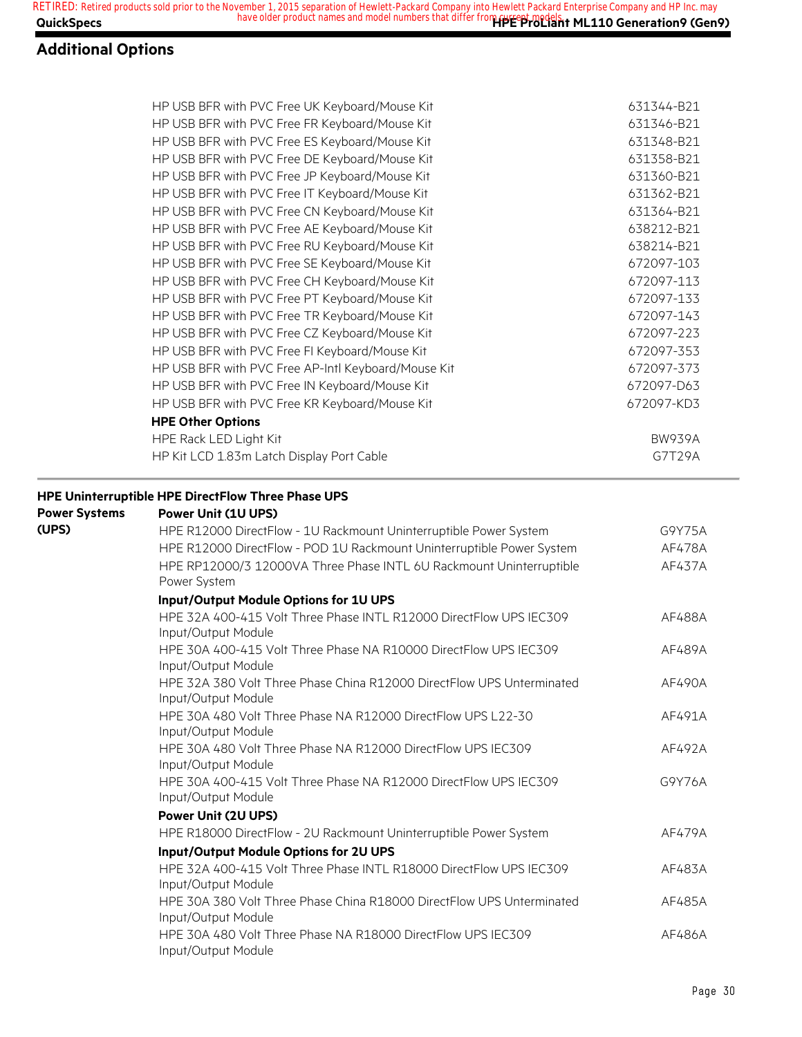### **Additional Options**

| HP USB BFR with PVC Free UK Keyboard/Mouse Kit                                                               | 631344-B21    |
|--------------------------------------------------------------------------------------------------------------|---------------|
| HP USB BFR with PVC Free FR Keyboard/Mouse Kit                                                               | 631346-B21    |
| HP USB BFR with PVC Free ES Keyboard/Mouse Kit                                                               | 631348-B21    |
| HP USB BFR with PVC Free DE Keyboard/Mouse Kit                                                               | 631358-B21    |
| HP USB BFR with PVC Free JP Keyboard/Mouse Kit                                                               | 631360-B21    |
| HP USB BFR with PVC Free IT Keyboard/Mouse Kit                                                               | 631362-B21    |
| HP USB BFR with PVC Free CN Keyboard/Mouse Kit                                                               | 631364-B21    |
| HP USB BFR with PVC Free AE Keyboard/Mouse Kit                                                               | 638212-B21    |
| HP USB BFR with PVC Free RU Keyboard/Mouse Kit                                                               | 638214-B21    |
| HP USB BFR with PVC Free SE Keyboard/Mouse Kit                                                               | 672097-103    |
| HP USB BFR with PVC Free CH Keyboard/Mouse Kit                                                               | 672097-113    |
| HP USB BFR with PVC Free PT Keyboard/Mouse Kit                                                               | 672097-133    |
| HP USB BFR with PVC Free TR Keyboard/Mouse Kit                                                               | 672097-143    |
| HP USB BFR with PVC Free CZ Keyboard/Mouse Kit                                                               | 672097-223    |
| HP USB BFR with PVC Free FI Keyboard/Mouse Kit                                                               | 672097-353    |
| HP USB BFR with PVC Free AP-Intl Keyboard/Mouse Kit                                                          | 672097-373    |
| HP USB BFR with PVC Free IN Keyboard/Mouse Kit                                                               | 672097-D63    |
| HP USB BFR with PVC Free KR Keyboard/Mouse Kit                                                               | 672097-KD3    |
| <b>HPE Other Options</b>                                                                                     |               |
| HPE Rack LED Light Kit                                                                                       | <b>BW939A</b> |
| HP Kit LCD 1.83m Latch Display Port Cable                                                                    | G7T29A        |
| HPE R12000 DirectFlow - POD 1U Rackmount Uninterruptible Power System                                        | AF478A        |
| HPE RP12000/3 12000VA Three Phase INTL 6U Rackmount Uninterruptible<br>Power System                          | AF437A        |
| Input/Output Module Options for 1U UPS                                                                       |               |
| HPE 32A 400-415 Volt Three Phase INTL R12000 DirectFlow UPS IEC309<br>Input/Output Module                    | AF488A        |
| HPE 30A 400-415 Volt Three Phase NA R10000 DirectFlow UPS IEC309<br>Input/Output Module                      | AF489A        |
| HPE 32A 380 Volt Three Phase China R12000 DirectFlow UPS Unterminated<br>Input/Output Module                 | AF490A        |
| HPE 30A 480 Volt Three Phase NA R12000 DirectFlow UPS L22-30<br>Input/Output Module                          | AF491A        |
| HPE 30A 480 Volt Three Phase NA R12000 DirectFlow UPS IEC309<br>Input/Output Module                          | AF492A        |
| HPE 30A 400-415 Volt Three Phase NA R12000 DirectFlow UPS IEC309<br>Input/Output Module                      | G9Y76A        |
| Power Unit (2U UPS)                                                                                          |               |
| HPE R18000 DirectFlow - 2U Rackmount Uninterruptible Power System                                            | AF479A        |
|                                                                                                              |               |
| Input/Output Module Options for 2U UPS<br>HPE 32A 400-415 Volt Three Phase INTL R18000 DirectFlow UPS IEC309 |               |
| Input/Output Module                                                                                          | AF483A        |
| HPE 30A 380 Volt Three Phase China R18000 DirectFlow UPS Unterminated                                        | AF485A        |
| Input/Output Module                                                                                          |               |
| HPE 30A 480 Volt Three Phase NA R18000 DirectFlow UPS IEC309<br>Input/Output Module                          | AF486A        |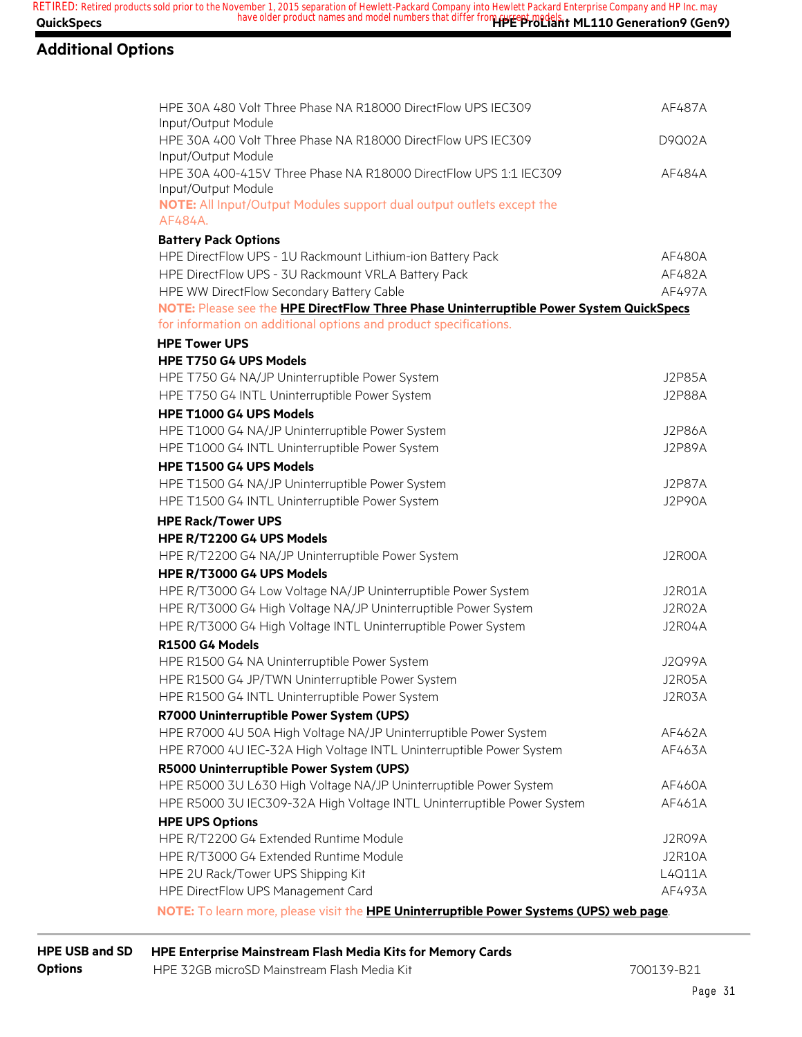#### **Additional Options**

| HPE 30A 480 Volt Three Phase NA R18000 DirectFlow UPS IEC309<br>Input/Output Module       | AF487A        |
|-------------------------------------------------------------------------------------------|---------------|
| HPE 30A 400 Volt Three Phase NA R18000 DirectFlow UPS IEC309<br>Input/Output Module       | D9002A        |
| HPE 30A 400-415V Three Phase NA R18000 DirectFlow UPS 1:1 IEC309<br>Input/Output Module   | AF484A        |
| NOTE: All Input/Output Modules support dual output outlets except the<br>AF484A.          |               |
|                                                                                           |               |
| <b>Battery Pack Options</b><br>HPE DirectFlow UPS - 1U Rackmount Lithium-ion Battery Pack | AF480A        |
| HPE DirectFlow UPS - 3U Rackmount VRLA Battery Pack                                       | AF482A        |
| HPE WW DirectFlow Secondary Battery Cable                                                 | AF497A        |
| NOTE: Please see the HPE DirectFlow Three Phase Uninterruptible Power System QuickSpecs   |               |
| for information on additional options and product specifications.                         |               |
| <b>HPE Tower UPS</b>                                                                      |               |
| <b>HPE T750 G4 UPS Models</b>                                                             |               |
| HPE T750 G4 NA/JP Uninterruptible Power System                                            | J2P85A        |
| HPE T750 G4 INTL Uninterruptible Power System                                             | <b>J2P88A</b> |
| HPE T1000 G4 UPS Models                                                                   |               |
| HPE T1000 G4 NA/JP Uninterruptible Power System                                           | <b>J2P86A</b> |
| HPE T1000 G4 INTL Uninterruptible Power System                                            | <b>J2P89A</b> |
| HPE T1500 G4 UPS Models                                                                   |               |
| HPE T1500 G4 NA/JP Uninterruptible Power System                                           | J2P87A        |
| HPE T1500 G4 INTL Uninterruptible Power System                                            | <b>J2P90A</b> |
| <b>HPE Rack/Tower UPS</b>                                                                 |               |
| HPE R/T2200 G4 UPS Models                                                                 |               |
| HPE R/T2200 G4 NA/JP Uninterruptible Power System                                         | J2R00A        |
| HPE R/T3000 G4 UPS Models                                                                 |               |
| HPE R/T3000 G4 Low Voltage NA/JP Uninterruptible Power System                             | J2R01A        |
| HPE R/T3000 G4 High Voltage NA/JP Uninterruptible Power System                            | J2R02A        |
| HPE R/T3000 G4 High Voltage INTL Uninterruptible Power System                             | J2R04A        |
| R1500 G4 Models                                                                           |               |
| HPE R1500 G4 NA Uninterruptible Power System                                              | J2Q99A        |
| HPE R1500 G4 JP/TWN Uninterruptible Power System                                          | J2RO5A        |
| HPE R1500 G4 INTL Uninterruptible Power System                                            | J2R03A        |
| R7000 Uninterruptible Power System (UPS)                                                  |               |
| HPE R7000 4U 50A High Voltage NA/JP Uninterruptible Power System                          | AF462A        |
| HPE R7000 4U IEC-32A High Voltage INTL Uninterruptible Power System                       | AF463A        |
| R5000 Uninterruptible Power System (UPS)                                                  |               |
| HPE R5000 3U L630 High Voltage NA/JP Uninterruptible Power System                         | AF460A        |
| HPE R5000 3U IEC309-32A High Voltage INTL Uninterruptible Power System                    | AF461A        |
| <b>HPE UPS Options</b>                                                                    |               |
| HPE R/T2200 G4 Extended Runtime Module                                                    | J2R09A        |
| HPE R/T3000 G4 Extended Runtime Module                                                    | J2R10A        |
| HPE 2U Rack/Tower UPS Shipping Kit                                                        | L4Q11A        |
| HPE DirectFlow UPS Management Card                                                        | AF493A        |

**NOTE:** To learn more, please visit the **HPE Uninterruptible Power Systems (UPS) web page**.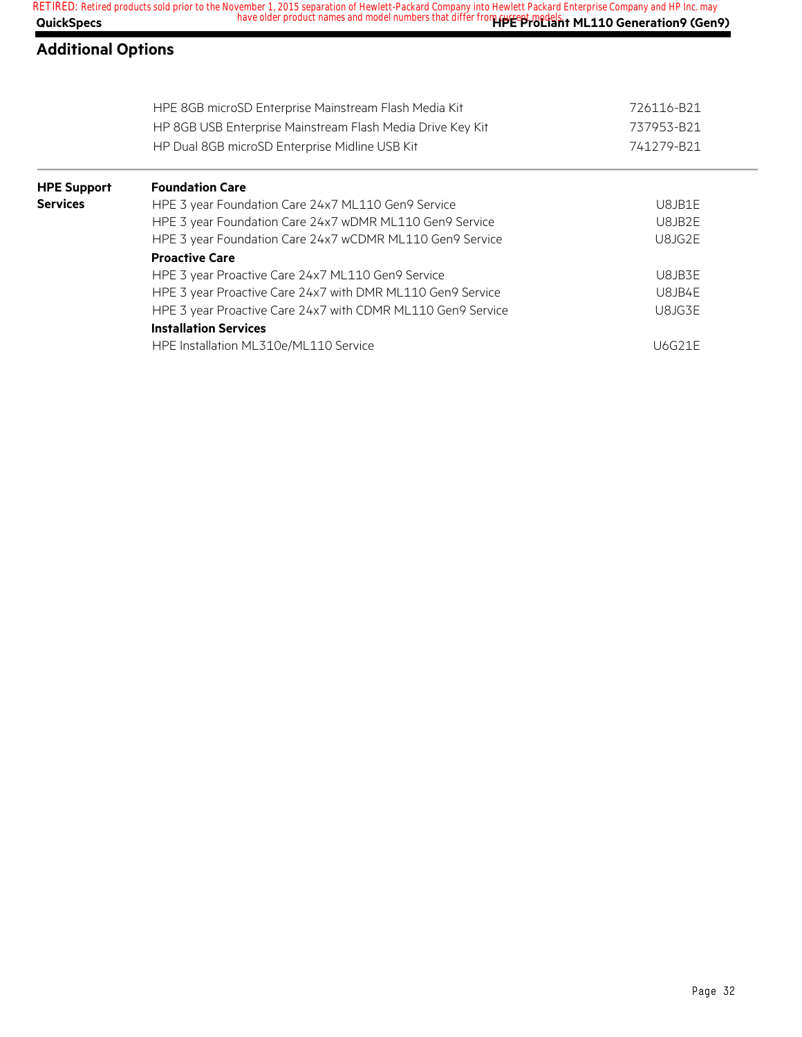| <b>QuickSpecs</b>         | Netting the 2010 separation of the contract that differ from recept modelsh t ML110 Generation9 (Gen9) |               |
|---------------------------|--------------------------------------------------------------------------------------------------------|---------------|
| <b>Additional Options</b> |                                                                                                        |               |
|                           | HPE 8GB microSD Enterprise Mainstream Flash Media Kit                                                  | 726116-B21    |
|                           | HP 8GB USB Enterprise Mainstream Flash Media Drive Key Kit                                             | 737953-B21    |
|                           | HP Dual 8GB microSD Enterprise Midline USB Kit                                                         | 741279-B21    |
| <b>HPE Support</b>        | <b>Foundation Care</b>                                                                                 |               |
| <b>Services</b>           | HPE 3 year Foundation Care 24x7 ML110 Gen9 Service                                                     | U8JB1E        |
|                           | HPE 3 year Foundation Care 24x7 wDMR ML110 Gen9 Service                                                | U8JB2E        |
|                           | HPE 3 year Foundation Care 24x7 wCDMR ML110 Gen9 Service                                               | U8JG2E        |
|                           | <b>Proactive Care</b>                                                                                  |               |
|                           | HPE 3 year Proactive Care 24x7 ML110 Gen9 Service                                                      | U8JB3E        |
|                           | HPE 3 year Proactive Care 24x7 with DMR ML110 Gen9 Service                                             | U8JB4E        |
|                           | HPE 3 year Proactive Care 24x7 with CDMR ML110 Gen9 Service                                            | U8JG3E        |
|                           | <b>Installation Services</b>                                                                           |               |
|                           | HPE Installation ML310e/ML110 Service                                                                  | <b>U6G21E</b> |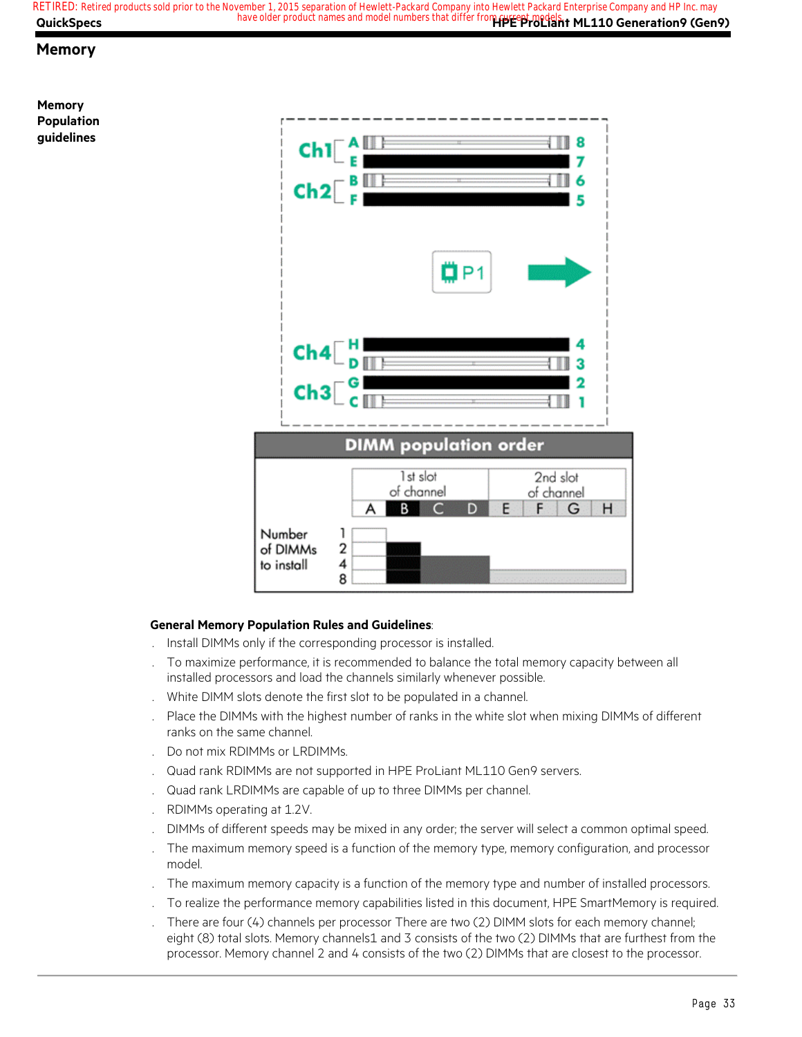**QuickSpecs Here are all of the same of the product names and model numbers that differ from <b>current models**. ML110 Generation9 (Gen9) **RETIRED: Retired products sold prior to the November 1, 2015 separation of Hewlett-Packard Company into Hewlett Packard Enterprise Company and HP Inc. may**

#### **Memory**





#### **General Memory Population Rules and Guidelines**:

- . Install DIMMs only if the corresponding processor is installed.
- . To maximize performance, it is recommended to balance the total memory capacity between all installed processors and load the channels similarly whenever possible.
- . White DIMM slots denote the first slot to be populated in a channel.
- . Place the DIMMs with the highest number of ranks in the white slot when mixing DIMMs of different ranks on the same channel.
- . Do not mix RDIMMs or LRDIMMs.
- . Quad rank RDIMMs are not supported in HPE ProLiant ML110 Gen9 servers.
- . Quad rank LRDIMMs are capable of up to three DIMMs per channel.
- . RDIMMs operating at 1.2V.
- . DIMMs of different speeds may be mixed in any order; the server will select a common optimal speed.
- . The maximum memory speed is a function of the memory type, memory configuration, and processor model.
- . The maximum memory capacity is a function of the memory type and number of installed processors.
- . To realize the performance memory capabilities listed in this document, HPE SmartMemory is required.
- . There are four (4) channels per processor There are two (2) DIMM slots for each memory channel; eight (8) total slots. Memory channels1 and 3 consists of the two (2) DIMMs that are furthest from the processor. Memory channel 2 and 4 consists of the two (2) DIMMs that are closest to the processor.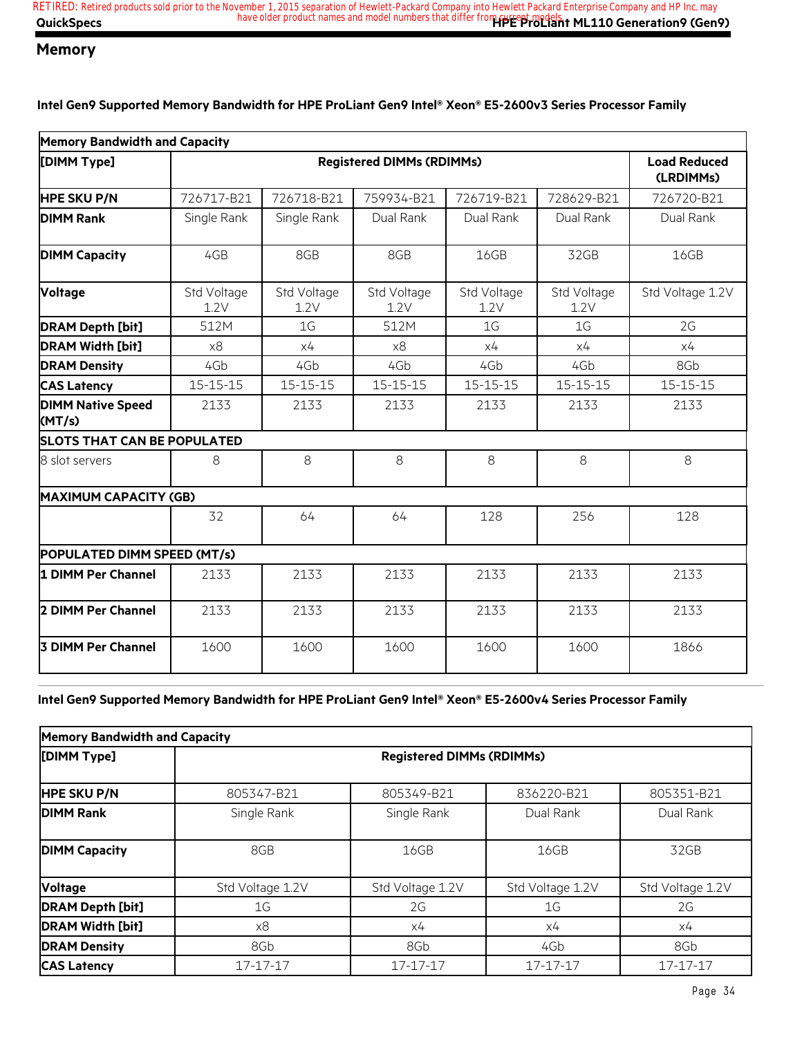#### **Memory**

**Intel Gen9 Supported Memory Bandwidth for HPE ProLiant Gen9 Intel® Xeon® E5-2600v3 Series Processor Family**

| <b>Memory Bandwidth and Capacity</b> |                                  |                     |                     |                     |                     |                                  |
|--------------------------------------|----------------------------------|---------------------|---------------------|---------------------|---------------------|----------------------------------|
| [DIMM Type]                          | <b>Registered DIMMs (RDIMMs)</b> |                     |                     |                     |                     | <b>Load Reduced</b><br>(LRDIMMs) |
| <b>HPE SKU P/N</b>                   | 726717-B21                       | 726718-B21          | 759934-B21          | 726719-B21          | 728629-B21          | 726720-B21                       |
| <b>DIMM Rank</b>                     | Single Rank                      | Single Rank         | Dual Rank           | Dual Rank           | Dual Rank           | Dual Rank                        |
| <b>DIMM Capacity</b>                 | 4GB                              | 8GB                 | 8GB                 | 16GB                | 32GB                | 16GB                             |
| <b>Voltage</b>                       | Std Voltage<br>1.2V              | Std Voltage<br>1.2V | Std Voltage<br>1.2V | Std Voltage<br>1.2V | Std Voltage<br>1.2V | Std Voltage 1.2V                 |
| <b>DRAM Depth [bit]</b>              | 512M                             | 1 <sub>G</sub>      | 512M                | 1 <sub>G</sub>      | 1 <sub>G</sub>      | 2G                               |
| <b>DRAM Width [bit]</b>              | x8                               | x4                  | x8                  | x4                  | x4                  | x4                               |
| <b>DRAM Density</b>                  | 4Gb                              | 4Gb                 | 4Gb                 | 4Gb                 | 4Gb                 | 8Gb                              |
| <b>CAS Latency</b>                   | $15 - 15 - 15$                   | $15 - 15 - 15$      | 15-15-15            | $15 - 15 - 15$      | $15 - 15 - 15$      | 15-15-15                         |
| <b>DIMM Native Speed</b><br>(MT/s)   | 2133                             | 2133                | 2133                | 2133                | 2133                | 2133                             |
| <b>SLOTS THAT CAN BE POPULATED</b>   |                                  |                     |                     |                     |                     |                                  |
| 8 slot servers                       | 8                                | 8                   | 8                   | 8                   | 8                   | 8                                |
| <b>MAXIMUM CAPACITY (GB)</b>         |                                  |                     |                     |                     |                     |                                  |
|                                      | 32                               | 64                  | 64                  | 128                 | 256                 | 128                              |
| POPULATED DIMM SPEED (MT/s)          |                                  |                     |                     |                     |                     |                                  |
| 1 DIMM Per Channel                   | 2133                             | 2133                | 2133                | 2133                | 2133                | 2133                             |
| 2 DIMM Per Channel                   | 2133                             | 2133                | 2133                | 2133                | 2133                | 2133                             |
| <b>3 DIMM Per Channel</b>            | 1600                             | 1600                | 1600                | 1600                | 1600                | 1866                             |
|                                      |                                  |                     |                     |                     |                     |                                  |

**Intel Gen9 Supported Memory Bandwidth for HPE ProLiant Gen9 Intel® Xeon® E5-2600v4 Series Processor Family**

| <b>Memory Bandwidth and Capacity</b> |                                  |                  |                  |                  |  |  |
|--------------------------------------|----------------------------------|------------------|------------------|------------------|--|--|
| [DIMM Type]                          | <b>Registered DIMMs (RDIMMs)</b> |                  |                  |                  |  |  |
| <b>HPE SKU P/N</b>                   | 805347-B21                       | 805349-B21       | 836220-B21       | 805351-B21       |  |  |
| <b>DIMM Rank</b>                     | Single Rank                      | Single Rank      | Dual Rank        | Dual Rank        |  |  |
| <b>DIMM Capacity</b>                 | 8GB                              | 16GB             | 16GB             | 32GB             |  |  |
| <b>Voltage</b>                       | Std Voltage 1.2V                 | Std Voltage 1.2V | Std Voltage 1.2V | Std Voltage 1.2V |  |  |
| <b>DRAM Depth [bit]</b>              | 1G                               | 2G               | 1G               | 2G               |  |  |
| <b>DRAM Width [bit]</b>              | x8                               | х4               | х4               | x4               |  |  |
| <b>DRAM Density</b>                  | 8Gb                              | 8Gb              | 4Gb              | 8Gb              |  |  |
| <b>CAS Latency</b>                   | 17-17-17                         | 17-17-17         | 17-17-17         | 17-17-17         |  |  |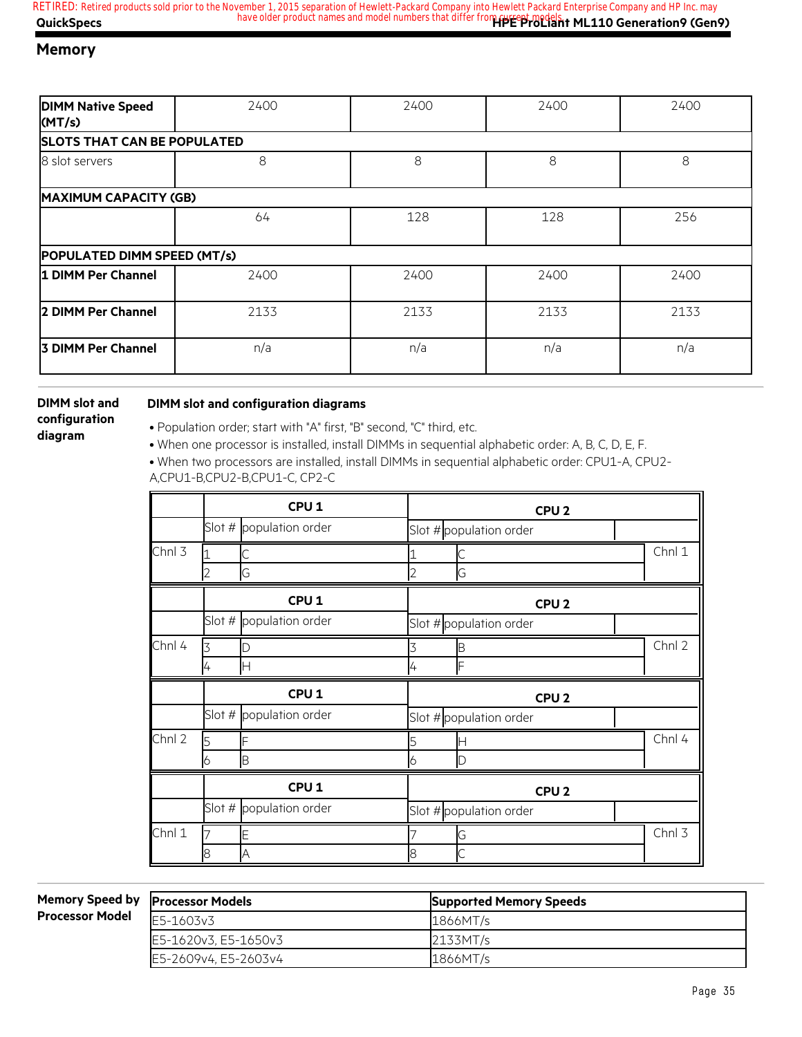#### **Memory**

| <b>DIMM Native Speed</b><br>(MT/s) | 2400 | 2400 | 2400 | 2400 |
|------------------------------------|------|------|------|------|
| <b>SLOTS THAT CAN BE POPULATED</b> |      |      |      |      |
| 8 slot servers                     | 8    | 8    | 8    | 8    |
| <b>MAXIMUM CAPACITY (GB)</b>       |      |      |      |      |
|                                    | 64   | 128  | 128  | 256  |
| POPULATED DIMM SPEED (MT/s)        |      |      |      |      |
| 1 DIMM Per Channel                 | 2400 | 2400 | 2400 | 2400 |
| 2 DIMM Per Channel                 | 2133 | 2133 | 2133 | 2133 |
| 3 DIMM Per Channel                 | n/a  | n/a  | n/a  | n/a  |

**DIMM slot and configuration diagram**

#### **DIMM slot and configuration diagrams**

• Population order; start with "A" first, "B" second, "C" third, etc.

• When one processor is installed, install DIMMs in sequential alphabetic order: A, B, C, D, E, F.

• When two processors are installed, install DIMMs in sequential alphabetic order: CPU1-A, CPU2- A,CPU1-B,CPU2-B,CPU1-C, CP2-C

|        | CPU <sub>1</sub> |                         | CPU <sub>2</sub>        |        |  |  |
|--------|------------------|-------------------------|-------------------------|--------|--|--|
|        |                  | Slot # population order | Slot # population order |        |  |  |
| Chnl 3 | 1                |                         |                         | Chnl 1 |  |  |
|        |                  | G                       | G                       |        |  |  |
|        |                  | CPU <sub>1</sub>        | CPU <sub>2</sub>        |        |  |  |
|        |                  | Slot # population order | Slot # population order |        |  |  |
| Chnl 4 |                  |                         | Κ                       | Chnl 2 |  |  |
|        | 4                | IН                      | F<br>4                  |        |  |  |
|        |                  |                         |                         |        |  |  |
|        |                  | CPU <sub>1</sub>        | CPU <sub>2</sub>        |        |  |  |
|        |                  | Slot # population order | Slot # population order |        |  |  |
| Chnl 2 | 5                |                         | 5<br>ℍ                  | Chnl 4 |  |  |
|        | 6                | B                       | 6<br>D                  |        |  |  |
|        |                  | CPU <sub>1</sub>        | CPU <sub>2</sub>        |        |  |  |
|        |                  | Slot # population order | Slot # population order |        |  |  |
| Chnl 1 |                  |                         | G                       | Chnl 3 |  |  |

**Memory Speed by Processor Mode** 

| d bv | <b>Processor Models</b> | <b>Supported Memory Speeds</b> |
|------|-------------------------|--------------------------------|
| del  | E5-1603v3               | 1866MT/s                       |
|      | E5-1620v3, E5-1650v3    | 2133MT/s                       |
|      | E5-2609v4, E5-2603v4    | 1866MT/s                       |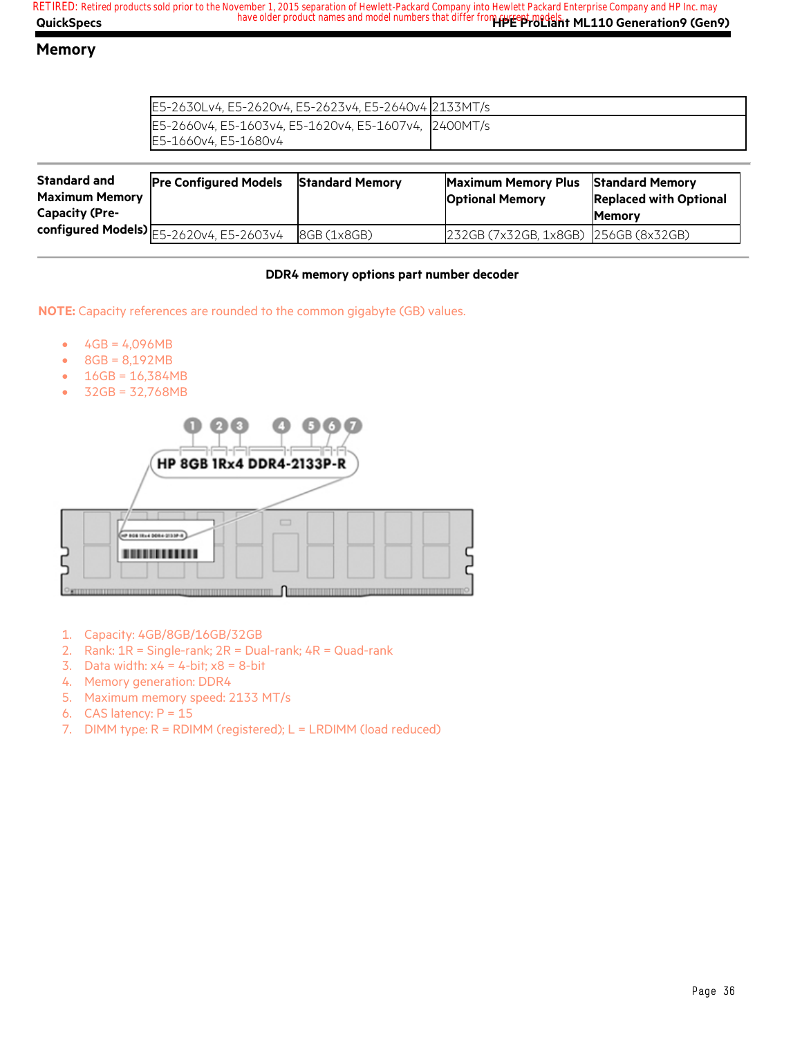#### **Memory**

| E5-2630Lv4, E5-2620v4, E5-2623v4, E5-2640v4 2133MT/s |  |
|------------------------------------------------------|--|
| E5-2660v4, E5-1603v4, E5-1620v4, E5-1607v4, 2400MT/s |  |
| E5-1660v4. E5-1680v4                                 |  |

| <b>Standard and</b><br><b>Maximum Memory</b><br><b>Capacity (Pre-</b> | <b>Pre Configured Models</b>               | <b>Standard Memory</b> | <b>Maximum Memory Plus</b><br><b>Optional Memory</b> | <b>Standard Memory</b><br><b>Replaced with Optional</b><br><b>IMemory</b> |
|-----------------------------------------------------------------------|--------------------------------------------|------------------------|------------------------------------------------------|---------------------------------------------------------------------------|
|                                                                       | configured Models) $E5-2620v4$ , E5-2603v4 | 8GB (1x8GB)            | 232GB (7x32GB, 1x8GB) 256GB (8x32GB)                 |                                                                           |

#### **DDR4 memory options part number decoder**

**NOTE:** Capacity references are rounded to the common gigabyte (GB) values.

- $4GB = 4,096MB$
- 8GB = 8,192MB
- $16GB = 16,384MB$
- 32GB = 32,768MB



- 1. Capacity: 4GB/8GB/16GB/32GB
- 2. Rank: 1R = Single-rank; 2R = Dual-rank; 4R = Quad-rank
- 3. Data width:  $x4 = 4$ -bit;  $x8 = 8$ -bit
- 4. Memory generation: DDR4
- 5. Maximum memory speed: 2133 MT/s
- 6. CAS latency:  $P = 15$
- 7. DIMM type: R = RDIMM (registered); L = LRDIMM (load reduced)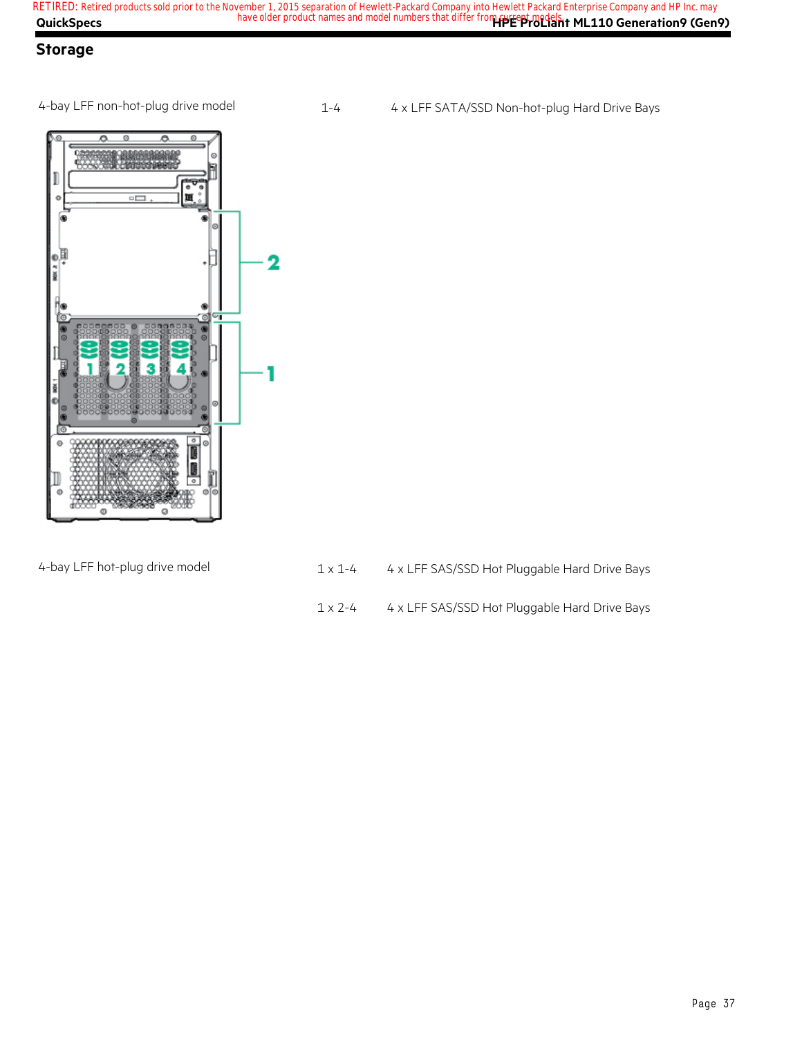### **Storage**

4-bay LFF non-hot-plug drive model 1-4 4 x LFF SATA/SSD Non-hot-plug Hard Drive Bays



- 4-bay LFF hot-plug drive model  $1 \times 1 4$   $4 \times$  LFF SAS/SSD Hot Pluggable Hard Drive Bays
	- 1 x 2-4 4 x LFF SAS/SSD Hot Pluggable Hard Drive Bays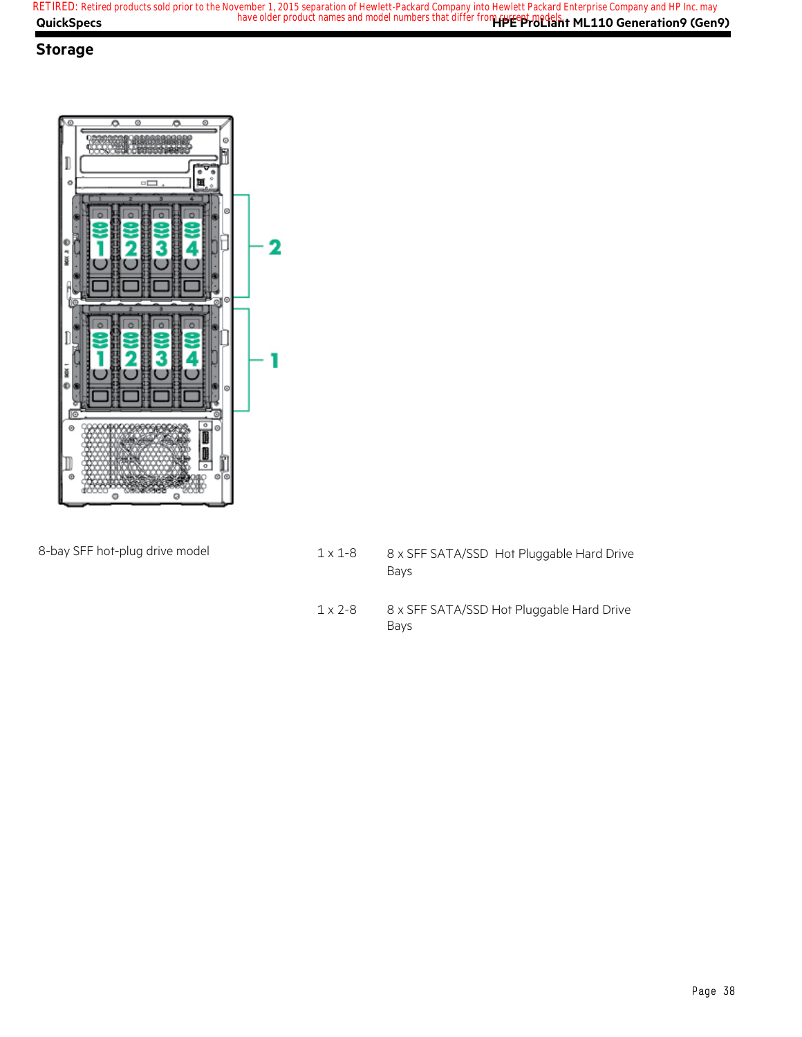#### **Storage**



- 8-bay SFF hot-plug drive model 1 x 1-8 8 x SFF SATA/SSD Hot Pluggable Hard Drive Bays
	- 1 x 2-8 8 x SFF SATA/SSD Hot Pluggable Hard Drive Bays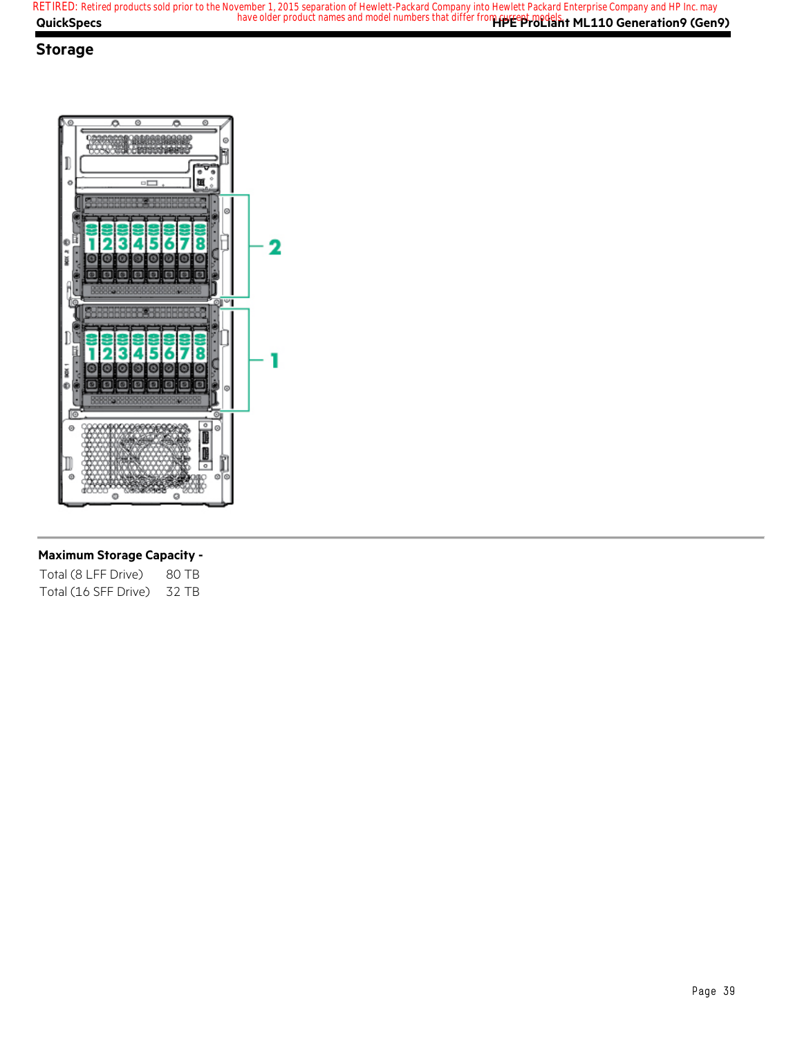#### **Storage**



#### **Maximum Storage Capacity -**

| Total (8 LFF Drive)  | 80 TB |
|----------------------|-------|
| Total (16 SFF Drive) | 32 TB |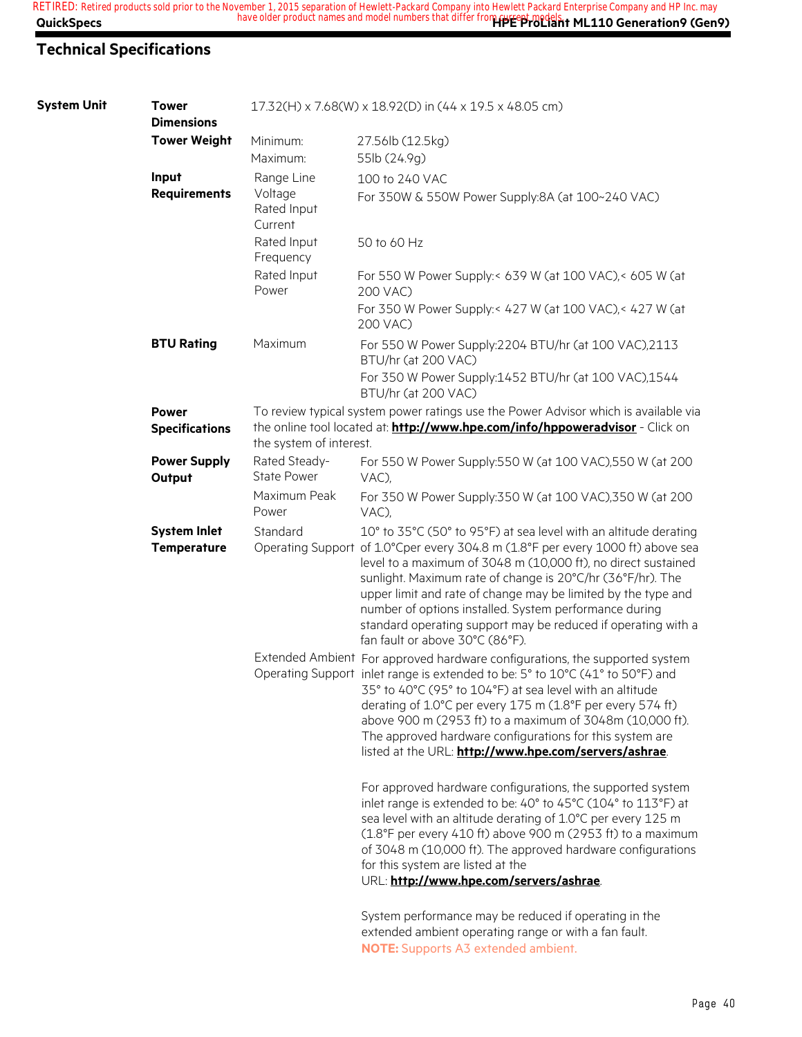### **Technical Specifications**

| <b>System Unit</b> | <b>Tower</b><br><b>Dimensions</b>         |                                                 | 17.32(H) x 7.68(W) x 18.92(D) in (44 x 19.5 x 48.05 cm)                                                                                                                                                                                                                                                                                                                                                                                                                                                           |
|--------------------|-------------------------------------------|-------------------------------------------------|-------------------------------------------------------------------------------------------------------------------------------------------------------------------------------------------------------------------------------------------------------------------------------------------------------------------------------------------------------------------------------------------------------------------------------------------------------------------------------------------------------------------|
|                    | <b>Tower Weight</b>                       | Minimum:<br>Maximum:                            | 27.56lb (12.5kg)<br>55lb (24.9g)                                                                                                                                                                                                                                                                                                                                                                                                                                                                                  |
|                    | Input<br><b>Requirements</b>              | Range Line<br>Voltage<br>Rated Input<br>Current | 100 to 240 VAC<br>For 350W & 550W Power Supply:8A (at 100~240 VAC)                                                                                                                                                                                                                                                                                                                                                                                                                                                |
|                    |                                           | Rated Input<br>Frequency                        | 50 to 60 Hz                                                                                                                                                                                                                                                                                                                                                                                                                                                                                                       |
|                    |                                           | Rated Input<br>Power                            | For 550 W Power Supply:< 639 W (at 100 VAC),< 605 W (at<br>200 VAC)                                                                                                                                                                                                                                                                                                                                                                                                                                               |
|                    |                                           |                                                 | For 350 W Power Supply:< 427 W (at 100 VAC),< 427 W (at<br>200 VAC)                                                                                                                                                                                                                                                                                                                                                                                                                                               |
|                    | <b>BTU Rating</b>                         | Maximum                                         | For 550 W Power Supply:2204 BTU/hr (at 100 VAC),2113<br>BTU/hr (at 200 VAC)                                                                                                                                                                                                                                                                                                                                                                                                                                       |
|                    |                                           |                                                 | For 350 W Power Supply:1452 BTU/hr (at 100 VAC),1544<br>BTU/hr (at 200 VAC)                                                                                                                                                                                                                                                                                                                                                                                                                                       |
|                    | <b>Power</b><br><b>Specifications</b>     | the system of interest.                         | To review typical system power ratings use the Power Advisor which is available via<br>the online tool located at: <b>http://www.hpe.com/info/hppoweradvisor</b> - Click on                                                                                                                                                                                                                                                                                                                                       |
|                    | <b>Power Supply</b><br>Output             | Rated Steady-<br><b>State Power</b>             | For 550 W Power Supply:550 W (at 100 VAC),550 W (at 200<br>VAC),                                                                                                                                                                                                                                                                                                                                                                                                                                                  |
|                    |                                           | Maximum Peak<br>Power                           | For 350 W Power Supply:350 W (at 100 VAC),350 W (at 200<br>VAC),                                                                                                                                                                                                                                                                                                                                                                                                                                                  |
|                    | <b>System Inlet</b><br><b>Temperature</b> | Standard                                        | 10° to 35°C (50° to 95°F) at sea level with an altitude derating<br>Operating Support of 1.0°Cper every 304.8 m (1.8°F per every 1000 ft) above sea<br>level to a maximum of 3048 m (10,000 ft), no direct sustained<br>sunlight. Maximum rate of change is 20°C/hr (36°F/hr). The<br>upper limit and rate of change may be limited by the type and<br>number of options installed. System performance during<br>standard operating support may be reduced if operating with a<br>fan fault or above 30°C (86°F). |
|                    |                                           |                                                 | Extended Ambient For approved hardware configurations, the supported system<br>Operating Support inlet range is extended to be: 5° to 10°C (41° to 50°F) and<br>35° to 40°C (95° to 104°F) at sea level with an altitude<br>derating of 1.0°C per every 175 m (1.8°F per every 574 ft)<br>above 900 m (2953 ft) to a maximum of 3048m (10,000 ft).<br>The approved hardware configurations for this system are<br>listed at the URL: http://www.hpe.com/servers/ashrae.                                           |
|                    |                                           |                                                 | For approved hardware configurations, the supported system<br>inlet range is extended to be: 40° to 45°C (104° to 113°F) at<br>sea level with an altitude derating of 1.0°C per every 125 m<br>(1.8°F per every 410 ft) above 900 m (2953 ft) to a maximum<br>of 3048 m (10,000 ft). The approved hardware configurations<br>for this system are listed at the<br>URL: http://www.hpe.com/servers/ashrae.                                                                                                         |
|                    |                                           |                                                 | System performance may be reduced if operating in the                                                                                                                                                                                                                                                                                                                                                                                                                                                             |

extended ambient operating range or with a fan fault. **NOTE:** Supports A3 extended ambient.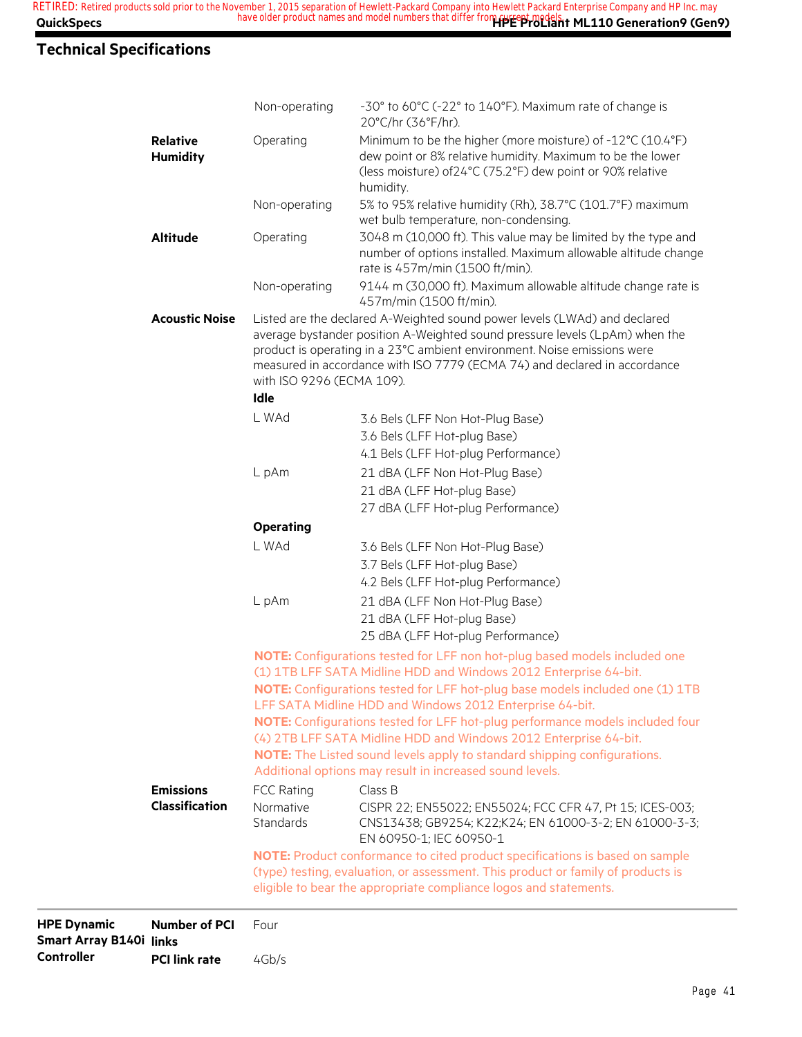## **Technical Specifications**

|                       |                               | (type) testing, evaluation, or assessment. This product or family of products is<br>eligible to bear the appropriate compliance logos and statements.                                                                                |
|-----------------------|-------------------------------|--------------------------------------------------------------------------------------------------------------------------------------------------------------------------------------------------------------------------------------|
|                       |                               |                                                                                                                                                                                                                                      |
| <b>Classification</b> | Normative<br><b>Standards</b> | CISPR 22; EN55022; EN55024; FCC CFR 47, Pt 15; ICES-003;<br>CNS13438; GB9254; K22;K24; EN 61000-3-2; EN 61000-3-3;<br>EN 60950-1; IEC 60950-1<br>NOTE: Product conformance to cited product specifications is based on sample        |
| <b>Emissions</b>      | <b>FCC Rating</b>             | Class B                                                                                                                                                                                                                              |
|                       |                               | Additional options may result in increased sound levels.                                                                                                                                                                             |
|                       |                               | NOTE: The Listed sound levels apply to standard shipping configurations.                                                                                                                                                             |
|                       |                               | (4) 2TB LFF SATA Midline HDD and Windows 2012 Enterprise 64-bit.                                                                                                                                                                     |
|                       |                               | NOTE: Configurations tested for LFF hot-plug performance models included four                                                                                                                                                        |
|                       |                               | NOTE: Configurations tested for LFF hot-plug base models included one (1) 1TB<br>LFF SATA Midline HDD and Windows 2012 Enterprise 64-bit.                                                                                            |
|                       |                               | (1) 1TB LFF SATA Midline HDD and Windows 2012 Enterprise 64-bit.                                                                                                                                                                     |
|                       |                               | NOTE: Configurations tested for LFF non hot-plug based models included one                                                                                                                                                           |
|                       |                               | 25 dBA (LFF Hot-plug Performance)                                                                                                                                                                                                    |
|                       |                               | 21 dBA (LFF Hot-plug Base)                                                                                                                                                                                                           |
|                       | L pAm                         | 21 dBA (LFF Non Hot-Plug Base)                                                                                                                                                                                                       |
|                       |                               | 4.2 Bels (LFF Hot-plug Performance)                                                                                                                                                                                                  |
|                       |                               | 3.6 Bels (LFF Non Hot-Plug Base)<br>3.7 Bels (LFF Hot-plug Base)                                                                                                                                                                     |
|                       | <b>Operating</b><br>L WAd     |                                                                                                                                                                                                                                      |
|                       |                               | 27 dBA (LFF Hot-plug Performance)                                                                                                                                                                                                    |
|                       |                               | 21 dBA (LFF Hot-plug Base)                                                                                                                                                                                                           |
|                       | L pAm                         | 21 dBA (LFF Non Hot-Plug Base)                                                                                                                                                                                                       |
|                       |                               | 4.1 Bels (LFF Hot-plug Performance)                                                                                                                                                                                                  |
|                       |                               | 3.6 Bels (LFF Hot-plug Base)                                                                                                                                                                                                         |
|                       | L WAd                         | 3.6 Bels (LFF Non Hot-Plug Base)                                                                                                                                                                                                     |
|                       | Idle                          |                                                                                                                                                                                                                                      |
|                       | with ISO 9296 (ECMA 109).     | average bystander position A-Weighted sound pressure levels (LpAm) when the<br>product is operating in a 23°C ambient environment. Noise emissions were<br>measured in accordance with ISO 7779 (ECMA 74) and declared in accordance |
| <b>Acoustic Noise</b> |                               | Listed are the declared A-Weighted sound power levels (LWAd) and declared                                                                                                                                                            |
|                       | Non-operating                 | 9144 m (30,000 ft). Maximum allowable altitude change rate is<br>457m/min (1500 ft/min).                                                                                                                                             |
| <b>Altitude</b>       | Operating                     | 3048 m (10,000 ft). This value may be limited by the type and<br>number of options installed. Maximum allowable altitude change<br>rate is 457m/min (1500 ft/min).                                                                   |
|                       |                               | wet bulb temperature, non-condensing.                                                                                                                                                                                                |
|                       | Non-operating                 | humidity.<br>5% to 95% relative humidity (Rh), 38.7°C (101.7°F) maximum                                                                                                                                                              |
| <b>Humidity</b>       |                               | dew point or 8% relative humidity. Maximum to be the lower<br>(less moisture) of 24°C (75.2°F) dew point or 90% relative                                                                                                             |
| <b>Relative</b>       | Operating                     | Minimum to be the higher (more moisture) of -12°C (10.4°F)                                                                                                                                                                           |
|                       |                               | 20°C/hr (36°F/hr).                                                                                                                                                                                                                   |

**HPE Dynamic Smart Array B140i links Controller PCI link rate** 4Gb/s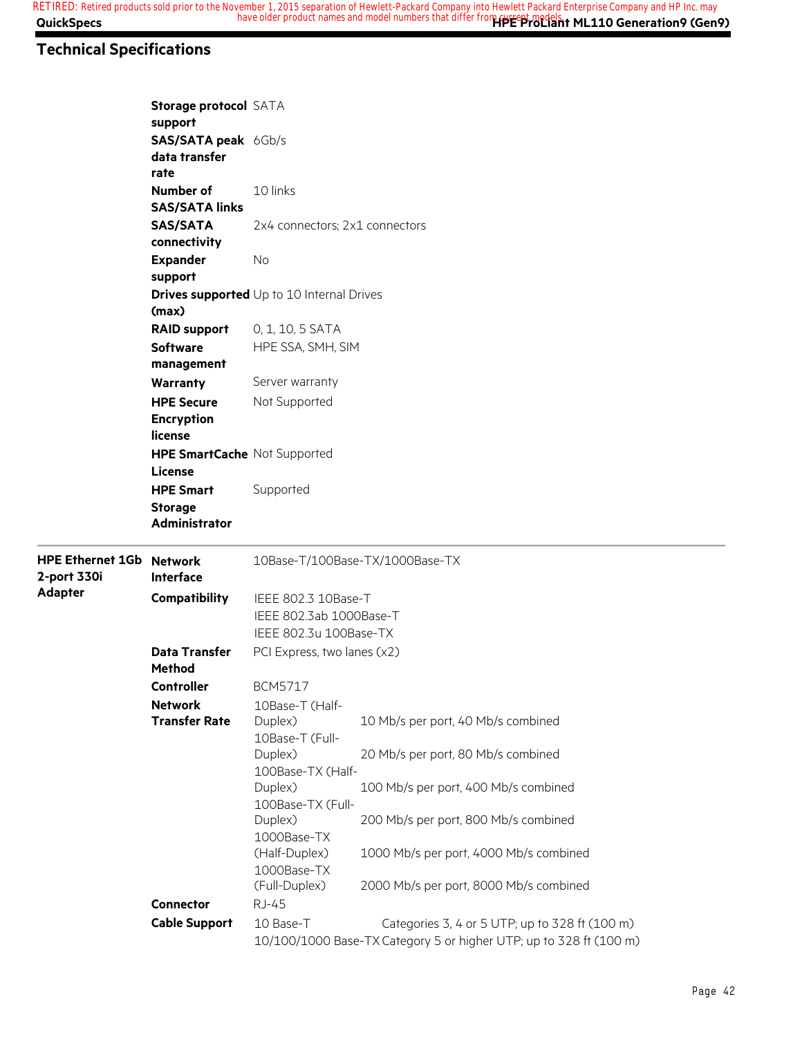### **Technical Specifications**

|                                                | Storage protocol SATA<br>support                           |                                                                          |                                                                                                                      |  |  |
|------------------------------------------------|------------------------------------------------------------|--------------------------------------------------------------------------|----------------------------------------------------------------------------------------------------------------------|--|--|
|                                                | SAS/SATA peak 6Gb/s<br>data transfer<br>rate               |                                                                          |                                                                                                                      |  |  |
|                                                | Number of<br><b>SAS/SATA links</b>                         | 10 links                                                                 |                                                                                                                      |  |  |
|                                                | <b>SAS/SATA</b><br>connectivity                            | 2x4 connectors; 2x1 connectors                                           |                                                                                                                      |  |  |
| <b>Expander</b><br>support                     |                                                            | <b>No</b>                                                                |                                                                                                                      |  |  |
|                                                | (max)                                                      | <b>Drives supported</b> Up to 10 Internal Drives                         |                                                                                                                      |  |  |
|                                                | <b>RAID support</b><br><b>Software</b><br>management       | 0, 1, 10, 5 SATA<br>HPE SSA, SMH, SIM                                    |                                                                                                                      |  |  |
|                                                | <b>Warranty</b><br><b>HPE Secure</b>                       | Server warranty<br>Not Supported                                         |                                                                                                                      |  |  |
|                                                | <b>Encryption</b><br>license                               |                                                                          |                                                                                                                      |  |  |
|                                                | HPE SmartCache Not Supported<br>License                    |                                                                          |                                                                                                                      |  |  |
|                                                | <b>HPE Smart</b><br><b>Storage</b><br><b>Administrator</b> | Supported                                                                |                                                                                                                      |  |  |
| <b>HPE Ethernet 1Gb Network</b><br>2-port 330i | Interface                                                  |                                                                          | 10Base-T/100Base-TX/1000Base-TX                                                                                      |  |  |
| <b>Adapter</b>                                 | Compatibility                                              | IEEE 802.3 10Base-T<br>IEEE 802.3ab 1000Base-T<br>IEEE 802.3u 100Base-TX |                                                                                                                      |  |  |
|                                                | <b>Data Transfer</b><br><b>Method</b>                      | PCI Express, two lanes (x2)                                              |                                                                                                                      |  |  |
|                                                | <b>Controller</b>                                          | <b>BCM5717</b>                                                           |                                                                                                                      |  |  |
|                                                | <b>Network</b><br><b>Transfer Rate</b>                     | 10Base-T (Half-<br>Duplex)<br>10Base-T (Full-                            | 10 Mb/s per port, 40 Mb/s combined                                                                                   |  |  |
|                                                |                                                            | Duplex)<br>100Base-TX (Half-                                             | 20 Mb/s per port, 80 Mb/s combined                                                                                   |  |  |
|                                                |                                                            | Duplex)<br>100Base-TX (Full-                                             | 100 Mb/s per port, 400 Mb/s combined                                                                                 |  |  |
|                                                |                                                            | Duplex)<br>1000Base-TX                                                   | 200 Mb/s per port, 800 Mb/s combined                                                                                 |  |  |
|                                                |                                                            | (Half-Duplex)<br>1000Base-TX<br>(Full-Duplex)                            | 1000 Mb/s per port, 4000 Mb/s combined<br>2000 Mb/s per port, 8000 Mb/s combined                                     |  |  |
|                                                | <b>Connector</b>                                           | <b>RJ-45</b>                                                             |                                                                                                                      |  |  |
|                                                | <b>Cable Support</b>                                       | 10 Base-T                                                                | Categories 3, 4 or 5 UTP; up to 328 ft (100 m)<br>10/100/1000 Base-TX Category 5 or higher UTP; up to 328 ft (100 m) |  |  |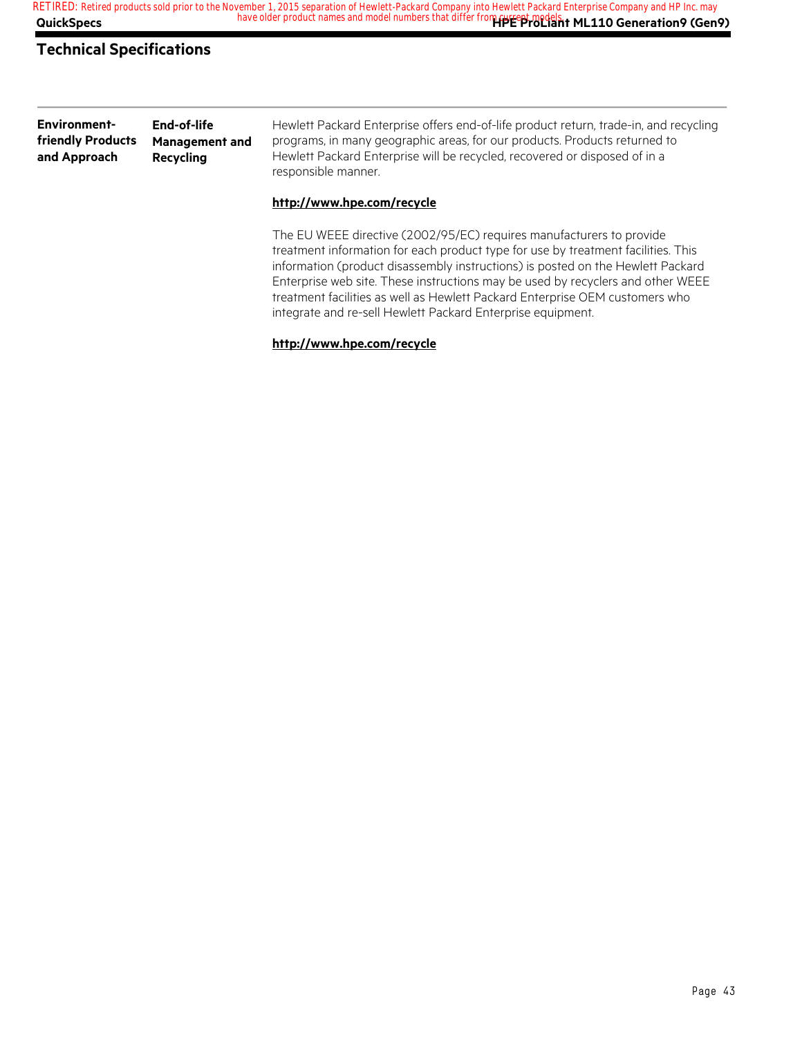#### **Technical Specifications**

| <b>Environment-</b> | End-of-life           | Hewlett Packard Enterprise offers end-of-life product return, trade-in, and recycling |
|---------------------|-----------------------|---------------------------------------------------------------------------------------|
| friendly Products   | <b>Management and</b> | programs, in many geographic areas, for our products. Products returned to            |
| and Approach        | Recycling             | Hewlett Packard Enterprise will be recycled, recovered or disposed of in a            |
|                     |                       | responsible manner.                                                                   |

#### **http://www.hpe.com/recycle**

The EU WEEE directive (2002/95/EC) requires manufacturers to provide treatment information for each product type for use by treatment facilities. This information (product disassembly instructions) is posted on the Hewlett Packard Enterprise web site. These instructions may be used by recyclers and other WEEE treatment facilities as well as Hewlett Packard Enterprise OEM customers who integrate and re-sell Hewlett Packard Enterprise equipment.

#### **http://www.hpe.com/recycle**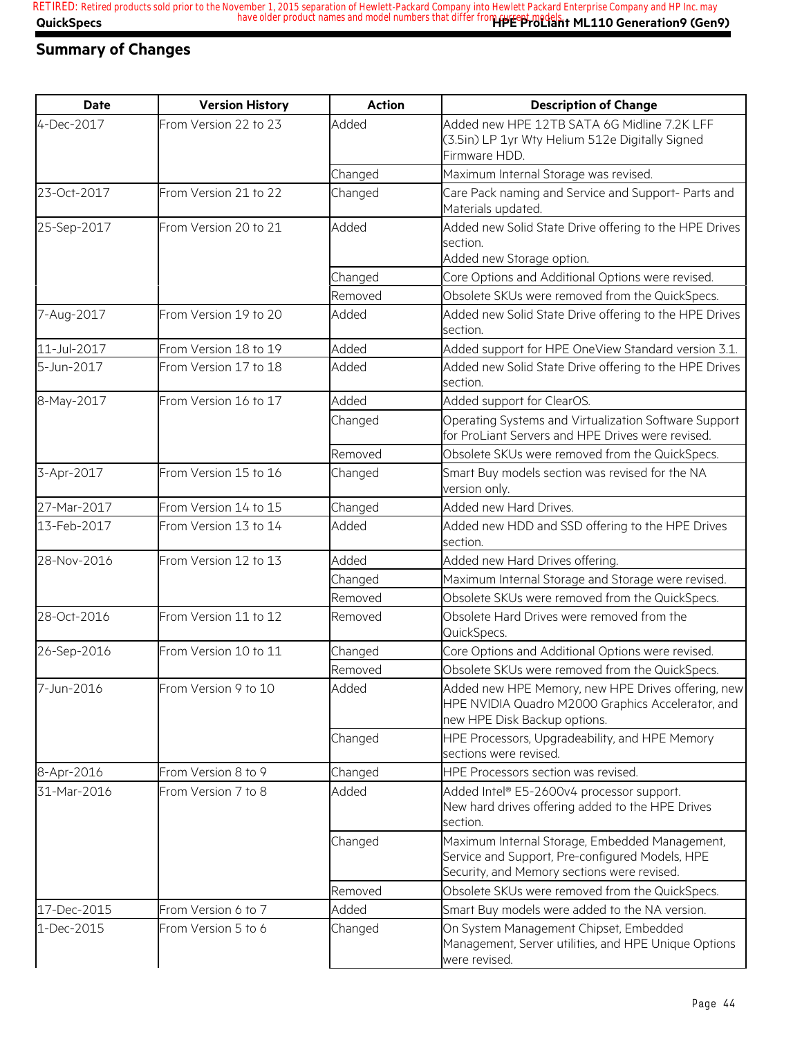### **Summary of Changes**

| <b>Date</b> | <b>Version History</b> | <b>Action</b> | <b>Description of Change</b>                                                                                                                     |
|-------------|------------------------|---------------|--------------------------------------------------------------------------------------------------------------------------------------------------|
| 4-Dec-2017  | From Version 22 to 23  | Added         | Added new HPE 12TB SATA 6G Midline 7.2K LFF<br>(3.5in) LP 1yr Wty Helium 512e Digitally Signed<br>Firmware HDD.                                  |
|             |                        | Changed       | Maximum Internal Storage was revised.                                                                                                            |
| 23-Oct-2017 | From Version 21 to 22  | Changed       | Care Pack naming and Service and Support- Parts and<br>Materials updated.                                                                        |
| 25-Sep-2017 | From Version 20 to 21  | Added         | Added new Solid State Drive offering to the HPE Drives<br>section.<br>Added new Storage option.                                                  |
|             |                        | Changed       | Core Options and Additional Options were revised.                                                                                                |
|             |                        | Removed       | Obsolete SKUs were removed from the QuickSpecs.                                                                                                  |
| 7-Aug-2017  | From Version 19 to 20  | Added         | Added new Solid State Drive offering to the HPE Drives<br>section.                                                                               |
| 11-Jul-2017 | From Version 18 to 19  | Added         | Added support for HPE OneView Standard version 3.1.                                                                                              |
| 5-Jun-2017  | From Version 17 to 18  | Added         | Added new Solid State Drive offering to the HPE Drives<br>section.                                                                               |
| 8-May-2017  | From Version 16 to 17  | Added         | Added support for ClearOS.                                                                                                                       |
|             |                        | Changed       | Operating Systems and Virtualization Software Support<br>for ProLiant Servers and HPE Drives were revised.                                       |
|             |                        | Removed       | Obsolete SKUs were removed from the QuickSpecs.                                                                                                  |
| 3-Apr-2017  | From Version 15 to 16  | Changed       | Smart Buy models section was revised for the NA<br>version only.                                                                                 |
| 27-Mar-2017 | From Version 14 to 15  | Changed       | Added new Hard Drives.                                                                                                                           |
| 13-Feb-2017 | From Version 13 to 14  | Added         | Added new HDD and SSD offering to the HPE Drives<br>section.                                                                                     |
| 28-Nov-2016 | From Version 12 to 13  | Added         | Added new Hard Drives offering.                                                                                                                  |
|             |                        | Changed       | Maximum Internal Storage and Storage were revised.                                                                                               |
|             |                        | Removed       | Obsolete SKUs were removed from the QuickSpecs.                                                                                                  |
| 28-Oct-2016 | From Version 11 to 12  | Removed       | Obsolete Hard Drives were removed from the<br>QuickSpecs.                                                                                        |
| 26-Sep-2016 | From Version 10 to 11  | Changed       | Core Options and Additional Options were revised.                                                                                                |
|             |                        | Removed       | Obsolete SKUs were removed from the QuickSpecs.                                                                                                  |
| 7-Jun-2016  | From Version 9 to 10   | Added         | Added new HPE Memory, new HPE Drives offering, new<br>HPE NVIDIA Quadro M2000 Graphics Accelerator, and<br>new HPE Disk Backup options.          |
|             |                        | Changed       | HPE Processors, Upgradeability, and HPE Memory<br>sections were revised.                                                                         |
| 8-Apr-2016  | From Version 8 to 9    | Changed       | HPE Processors section was revised.                                                                                                              |
| 31-Mar-2016 | From Version 7 to 8    | Added         | Added Intel® E5-2600v4 processor support.<br>New hard drives offering added to the HPE Drives<br>section.                                        |
|             |                        | Changed       | Maximum Internal Storage, Embedded Management,<br>Service and Support, Pre-configured Models, HPE<br>Security, and Memory sections were revised. |
|             |                        | Removed       | Obsolete SKUs were removed from the QuickSpecs.                                                                                                  |
| 17-Dec-2015 | From Version 6 to 7    | Added         | Smart Buy models were added to the NA version.                                                                                                   |
| 1-Dec-2015  | From Version 5 to 6    | Changed       | On System Management Chipset, Embedded<br>Management, Server utilities, and HPE Unique Options<br>were revised.                                  |